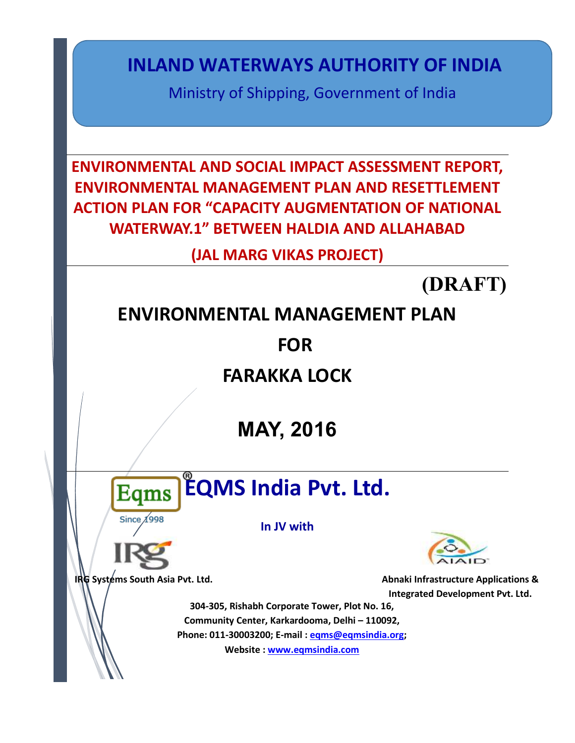**INLAND WATERWAYS AUTHORITY OF INDIA**

Ministry of Shipping, Government of India

**ENVIRONMENTAL AND SOCIAL IMPACT ASSESSMENT REPORT, ENVIRONMENTAL MANAGEMENT PLAN AND RESETTLEMENT ACTION PLAN FOR "CAPACITY AUGMENTATION OF NATIONAL WATERWAY.1" BETWEEN HALDIA AND ALLAHABAD** 

**(JAL MARG VIKAS PROJECT)**

**(DRAFT)** 

# **ENVIRONMENTAL MANAGEMENT PLAN**

**FOR**

**FARAKKA LOCK** 

**MAY, 2016**

**Eqms** Since A998

**EQMS India Pvt. Ltd.**

**In JV with**



**IRG** Systems South Asia Pvt. Ltd. **Abnaki Infrastructure Applications & Abnaki Infrastructure Applications & Integrated Development Pvt. Ltd.**

**304-305, Rishabh Corporate Tower, Plot No. 16, Community Center, Karkardooma, Delhi – 110092, Phone: 011-30003200; E-mail : [eqms@eqmsindia.org;](mailto:eqms@eqmsindia.org) Website : [www.eqmsindia.com](http://www.eqmsindia.com/)**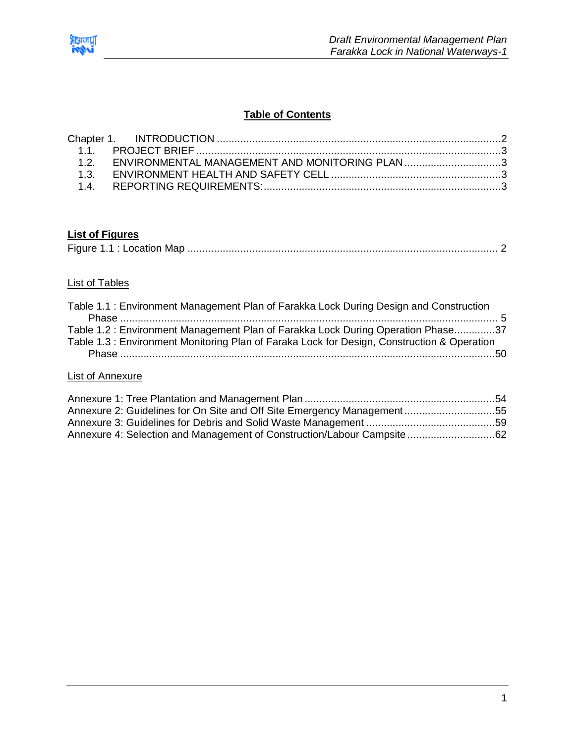

# **Table of Contents**

| 1.2. ENVIRONMENTAL MANAGEMENT AND MONITORING PLAN3 |  |
|----------------------------------------------------|--|
|                                                    |  |
|                                                    |  |

# **List of Figures**

|--|

# List of Tables

| Table 1.1: Environment Management Plan of Farakka Lock During Design and Construction      |  |
|--------------------------------------------------------------------------------------------|--|
|                                                                                            |  |
| Table 1.2: Environment Management Plan of Farakka Lock During Operation Phase37            |  |
| Table 1.3: Environment Monitoring Plan of Faraka Lock for Design, Construction & Operation |  |
|                                                                                            |  |
|                                                                                            |  |

## List of Annexure

| Annexure 2: Guidelines for On Site and Off Site Emergency Management55  |  |
|-------------------------------------------------------------------------|--|
|                                                                         |  |
| Annexure 4: Selection and Management of Construction/Labour Campsite 62 |  |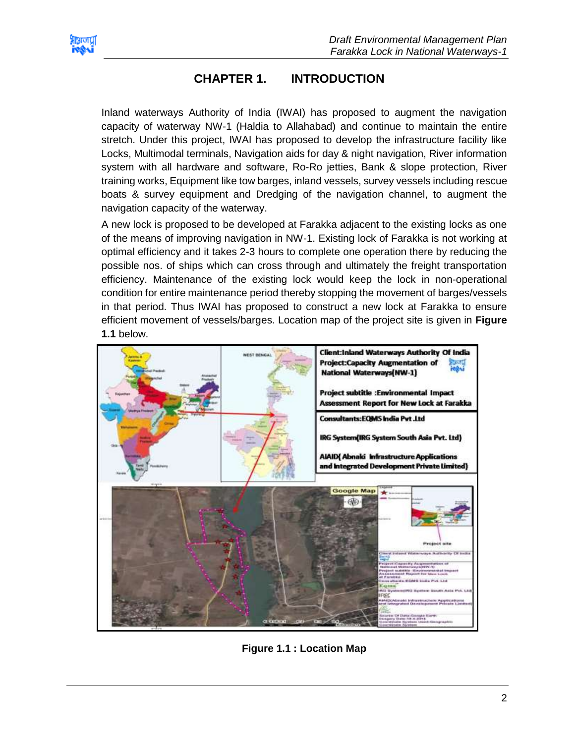<span id="page-2-0"></span>

# **CHAPTER 1. INTRODUCTION**

Inland waterways Authority of India (IWAI) has proposed to augment the navigation capacity of waterway NW-1 (Haldia to Allahabad) and continue to maintain the entire stretch. Under this project, IWAI has proposed to develop the infrastructure facility like Locks, Multimodal terminals, Navigation aids for day & night navigation, River information system with all hardware and software, Ro-Ro jetties, Bank & slope protection, River training works, Equipment like tow barges, inland vessels, survey vessels including rescue boats & survey equipment and Dredging of the navigation channel, to augment the navigation capacity of the waterway.

A new lock is proposed to be developed at Farakka adjacent to the existing locks as one of the means of improving navigation in NW-1. Existing lock of Farakka is not working at optimal efficiency and it takes 2-3 hours to complete one operation there by reducing the possible nos. of ships which can cross through and ultimately the freight transportation efficiency. Maintenance of the existing lock would keep the lock in non-operational condition for entire maintenance period thereby stopping the movement of barges/vessels in that period. Thus IWAI has proposed to construct a new lock at Farakka to ensure efficient movement of vessels/barges. Location map of the project site is given in **Figure 1.1** below.



<span id="page-2-1"></span>**Figure 1.1 : Location Map**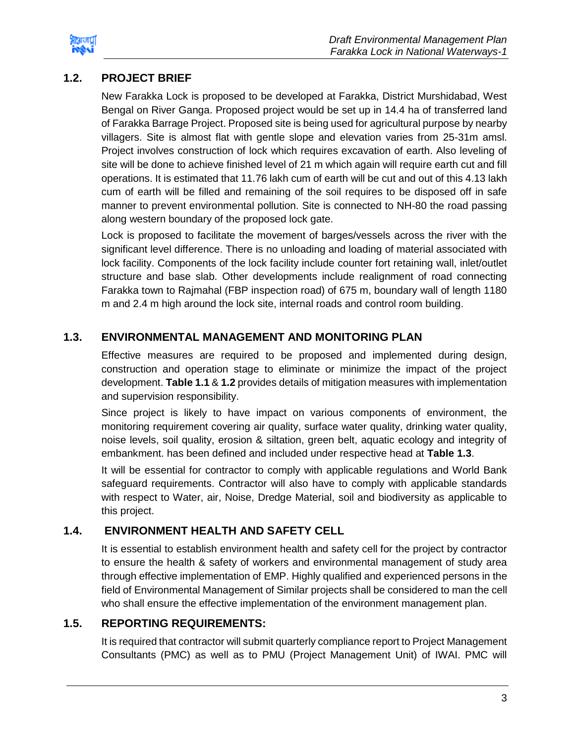

# <span id="page-3-0"></span>**1.2. PROJECT BRIEF**

New Farakka Lock is proposed to be developed at Farakka, District Murshidabad, West Bengal on River Ganga. Proposed project would be set up in 14.4 ha of transferred land of Farakka Barrage Project. Proposed site is being used for agricultural purpose by nearby villagers. Site is almost flat with gentle slope and elevation varies from 25-31m amsl. Project involves construction of lock which requires excavation of earth. Also leveling of site will be done to achieve finished level of 21 m which again will require earth cut and fill operations. It is estimated that 11.76 lakh cum of earth will be cut and out of this 4.13 lakh cum of earth will be filled and remaining of the soil requires to be disposed off in safe manner to prevent environmental pollution. Site is connected to NH-80 the road passing along western boundary of the proposed lock gate.

Lock is proposed to facilitate the movement of barges/vessels across the river with the significant level difference. There is no unloading and loading of material associated with lock facility. Components of the lock facility include counter fort retaining wall, inlet/outlet structure and base slab. Other developments include realignment of road connecting Farakka town to Rajmahal (FBP inspection road) of 675 m, boundary wall of length 1180 m and 2.4 m high around the lock site, internal roads and control room building.

# <span id="page-3-1"></span>**1.3. ENVIRONMENTAL MANAGEMENT AND MONITORING PLAN**

Effective measures are required to be proposed and implemented during design, construction and operation stage to eliminate or minimize the impact of the project development. **Table 1.1** & **1.2** provides details of mitigation measures with implementation and supervision responsibility.

Since project is likely to have impact on various components of environment, the monitoring requirement covering air quality, surface water quality, drinking water quality, noise levels, soil quality, erosion & siltation, green belt, aquatic ecology and integrity of embankment. has been defined and included under respective head at **Table 1.3**.

It will be essential for contractor to comply with applicable regulations and World Bank safeguard requirements. Contractor will also have to comply with applicable standards with respect to Water, air, Noise, Dredge Material, soil and biodiversity as applicable to this project.

# **1.4. ENVIRONMENT HEALTH AND SAFETY CELL**

<span id="page-3-2"></span>It is essential to establish environment health and safety cell for the project by contractor to ensure the health & safety of workers and environmental management of study area through effective implementation of EMP. Highly qualified and experienced persons in the field of Environmental Management of Similar projects shall be considered to man the cell who shall ensure the effective implementation of the environment management plan.

# <span id="page-3-3"></span>**1.5. REPORTING REQUIREMENTS:**

It is required that contractor will submit quarterly compliance report to Project Management Consultants (PMC) as well as to PMU (Project Management Unit) of IWAI. PMC will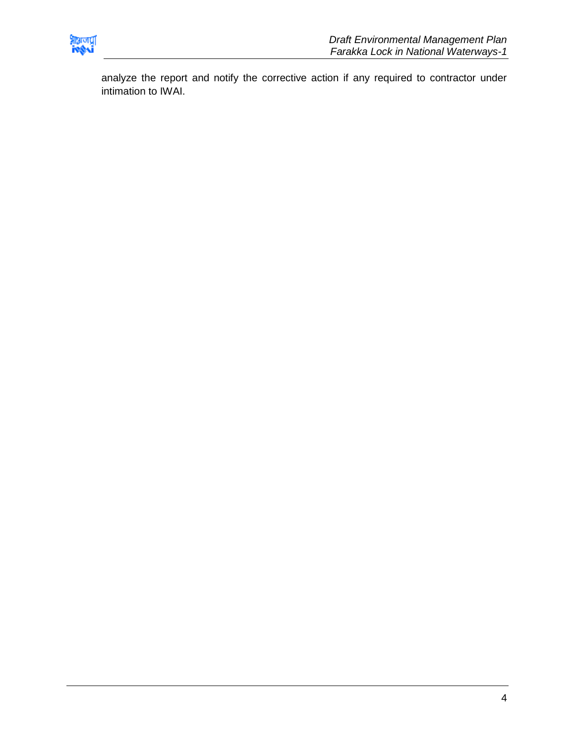

analyze the report and notify the corrective action if any required to contractor under intimation to IWAI.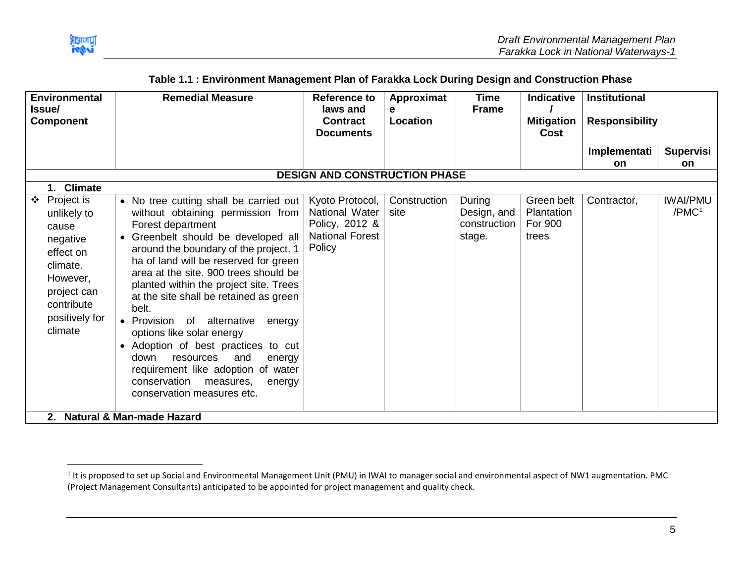

 $\overline{\phantom{a}}$ 

<span id="page-5-0"></span>

| <b>Environmental</b><br><b>Issue</b>                                                                                                          | <b>Remedial Measure</b>                                                                                                                                                                                                                                                                                                                                                                                                                                                                                                                                                                                                                 | <b>Reference to</b><br>laws and                                                         | Approximat<br>е      | <b>Time</b><br><b>Frame</b>                     | <b>Indicative</b>                            | Institutional         |                                |
|-----------------------------------------------------------------------------------------------------------------------------------------------|-----------------------------------------------------------------------------------------------------------------------------------------------------------------------------------------------------------------------------------------------------------------------------------------------------------------------------------------------------------------------------------------------------------------------------------------------------------------------------------------------------------------------------------------------------------------------------------------------------------------------------------------|-----------------------------------------------------------------------------------------|----------------------|-------------------------------------------------|----------------------------------------------|-----------------------|--------------------------------|
| <b>Component</b>                                                                                                                              |                                                                                                                                                                                                                                                                                                                                                                                                                                                                                                                                                                                                                                         | <b>Contract</b><br><b>Documents</b>                                                     | Location             |                                                 | <b>Mitigation</b><br><b>Cost</b>             | <b>Responsibility</b> |                                |
|                                                                                                                                               |                                                                                                                                                                                                                                                                                                                                                                                                                                                                                                                                                                                                                                         |                                                                                         |                      |                                                 |                                              | Implementati          | <b>Supervisi</b>               |
|                                                                                                                                               |                                                                                                                                                                                                                                                                                                                                                                                                                                                                                                                                                                                                                                         | <b>DESIGN AND CONSTRUCTION PHASE</b>                                                    |                      |                                                 |                                              | <b>on</b>             | on                             |
| 1. Climate                                                                                                                                    |                                                                                                                                                                                                                                                                                                                                                                                                                                                                                                                                                                                                                                         |                                                                                         |                      |                                                 |                                              |                       |                                |
| Project is<br>unlikely to<br>cause<br>negative<br>effect on<br>climate.<br>However,<br>project can<br>contribute<br>positively for<br>climate | • No tree cutting shall be carried out<br>without obtaining permission from<br>Forest department<br>Greenbelt should be developed all<br>$\bullet$<br>around the boundary of the project. 1<br>ha of land will be reserved for green<br>area at the site. 900 trees should be<br>planted within the project site. Trees<br>at the site shall be retained as green<br>belt.<br>• Provision of alternative<br>energy<br>options like solar energy<br>• Adoption of best practices to cut<br>and<br>down<br>resources<br>energy<br>requirement like adoption of water<br>conservation<br>measures,<br>energy<br>conservation measures etc. | Kyoto Protocol,<br>National Water<br>Policy, 2012 &<br><b>National Forest</b><br>Policy | Construction<br>site | During<br>Design, and<br>construction<br>stage. | Green belt<br>Plantation<br>For 900<br>trees | Contractor,           | <b>IWAI/PMU</b><br>$/$ PMC $1$ |
|                                                                                                                                               | 2. Natural & Man-made Hazard                                                                                                                                                                                                                                                                                                                                                                                                                                                                                                                                                                                                            |                                                                                         |                      |                                                 |                                              |                       |                                |

### **Table 1.1 : Environment Management Plan of Farakka Lock During Design and Construction Phase**

 $^1$  It is proposed to set up Social and Environmental Management Unit (PMU) in IWAI to manager social and environmental aspect of NW1 augmentation. PMC (Project Management Consultants) anticipated to be appointed for project management and quality check.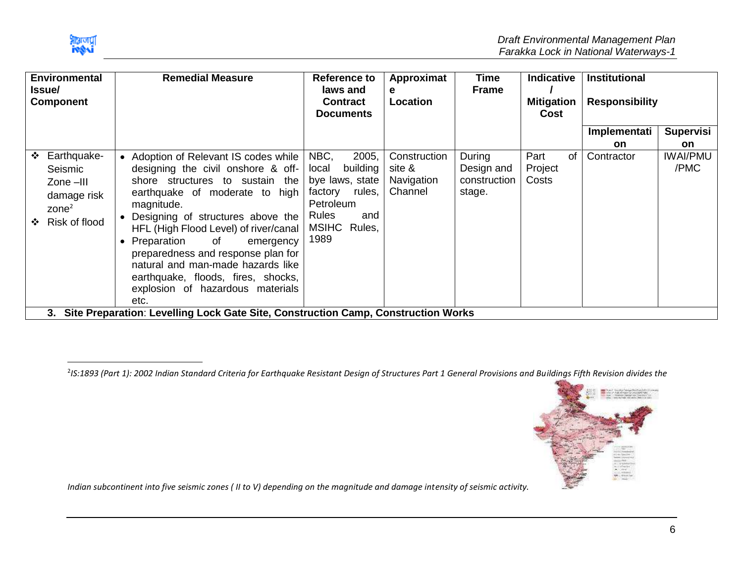

 $\overline{\phantom{a}}$ 

| <b>Environmental</b><br>lssue/<br><b>Component</b> |                                                                                       |           | <b>Remedial Measure</b><br>Reference to<br>laws and<br>е<br><b>Contract</b><br><b>Documents</b>                                                                                                                                                                                                                                                                                                                                          | Approximat<br>Location                                                                                                          | Time<br><b>Frame</b>                            | <b>Indicative</b><br><b>Mitigation</b><br>Cost |                          | <b>Institutional</b><br><b>Responsibility</b> |                           |                         |
|----------------------------------------------------|---------------------------------------------------------------------------------------|-----------|------------------------------------------------------------------------------------------------------------------------------------------------------------------------------------------------------------------------------------------------------------------------------------------------------------------------------------------------------------------------------------------------------------------------------------------|---------------------------------------------------------------------------------------------------------------------------------|-------------------------------------------------|------------------------------------------------|--------------------------|-----------------------------------------------|---------------------------|-------------------------|
|                                                    |                                                                                       |           |                                                                                                                                                                                                                                                                                                                                                                                                                                          |                                                                                                                                 |                                                 |                                                |                          |                                               | Implementati<br><b>on</b> | <b>Supervisi</b><br>on. |
| ❖<br>$\mathbf{A}$                                  | Earthquake-<br>Seismic<br>Zone-III<br>damage risk<br>$\text{zone}^2$<br>Risk of flood | $\bullet$ | • Adoption of Relevant IS codes while<br>designing the civil onshore & off-<br>shore structures to sustain the<br>earthquake of moderate to high<br>magnitude.<br>Designing of structures above the<br>HFL (High Flood Level) of river/canal<br>Preparation of<br>emergency<br>preparedness and response plan for<br>natural and man-made hazards like<br>earthquake, floods, fires, shocks,<br>explosion of hazardous materials<br>etc. | NBC,<br>2005,<br>building<br>local<br>bye laws, state<br>rules,<br>factory<br>Petroleum<br>Rules<br>and<br>MSIHC Rules,<br>1989 | Construction<br>site &<br>Navigation<br>Channel | During<br>Design and<br>construction<br>stage. | Part<br>Project<br>Costs | 0f                                            | Contractor                | <b>IWAI/PMU</b><br>/PMC |
|                                                    |                                                                                       |           | 3. Site Preparation: Levelling Lock Gate Site, Construction Camp, Construction Works                                                                                                                                                                                                                                                                                                                                                     |                                                                                                                                 |                                                 |                                                |                          |                                               |                           |                         |

2 *IS:1893 (Part 1): 2002 Indian Standard Criteria for Earthquake Resistant Design of Structures Part 1 General Provisions and Buildings Fifth Revision divides the* 



*Indian subcontinent into five seismic zones ( II to V) depending on the magnitude and damage intensity of seismic activity.*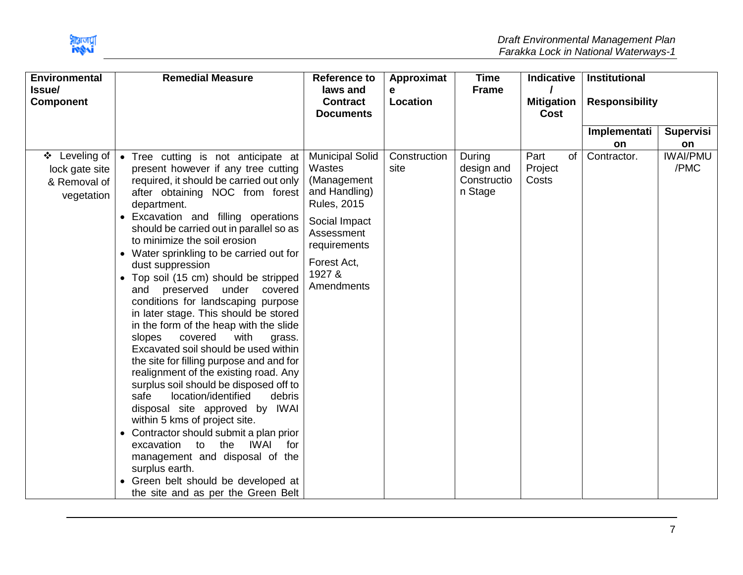

| <b>Environmental</b>                                             |           | <b>Remedial Measure</b>                                                                                                                                                                                                                                                                                                                                                                                                                                                                                                                                                                                                                                                                                                                                                                                                                                                                                                                                                                                                                                           | <b>Reference to</b>                                                                                                                                                          | Approximat           | <b>Time</b>                                    | <b>Indicative</b>              | Institutional         |                         |
|------------------------------------------------------------------|-----------|-------------------------------------------------------------------------------------------------------------------------------------------------------------------------------------------------------------------------------------------------------------------------------------------------------------------------------------------------------------------------------------------------------------------------------------------------------------------------------------------------------------------------------------------------------------------------------------------------------------------------------------------------------------------------------------------------------------------------------------------------------------------------------------------------------------------------------------------------------------------------------------------------------------------------------------------------------------------------------------------------------------------------------------------------------------------|------------------------------------------------------------------------------------------------------------------------------------------------------------------------------|----------------------|------------------------------------------------|--------------------------------|-----------------------|-------------------------|
| Issue/<br><b>Component</b>                                       |           |                                                                                                                                                                                                                                                                                                                                                                                                                                                                                                                                                                                                                                                                                                                                                                                                                                                                                                                                                                                                                                                                   | laws and<br><b>Contract</b>                                                                                                                                                  | e<br>Location        | <b>Frame</b>                                   | <b>Mitigation</b>              | <b>Responsibility</b> |                         |
|                                                                  |           |                                                                                                                                                                                                                                                                                                                                                                                                                                                                                                                                                                                                                                                                                                                                                                                                                                                                                                                                                                                                                                                                   | <b>Documents</b>                                                                                                                                                             |                      |                                                | Cost                           |                       |                         |
|                                                                  |           |                                                                                                                                                                                                                                                                                                                                                                                                                                                                                                                                                                                                                                                                                                                                                                                                                                                                                                                                                                                                                                                                   |                                                                                                                                                                              |                      |                                                |                                | Implementati          | <b>Supervisi</b>        |
|                                                                  |           |                                                                                                                                                                                                                                                                                                                                                                                                                                                                                                                                                                                                                                                                                                                                                                                                                                                                                                                                                                                                                                                                   |                                                                                                                                                                              |                      |                                                |                                | <b>on</b>             | on                      |
| Leveling of<br>❖<br>lock gate site<br>& Removal of<br>vegetation | $\bullet$ | Tree cutting is not anticipate at<br>present however if any tree cutting<br>required, it should be carried out only<br>after obtaining NOC from forest<br>department.<br>• Excavation and filling operations<br>should be carried out in parallel so as<br>to minimize the soil erosion<br>• Water sprinkling to be carried out for<br>dust suppression<br>Top soil (15 cm) should be stripped<br>preserved under covered<br>and<br>conditions for landscaping purpose<br>in later stage. This should be stored<br>in the form of the heap with the slide<br>covered<br>with<br>slopes<br>grass.<br>Excavated soil should be used within<br>the site for filling purpose and and for<br>realignment of the existing road. Any<br>surplus soil should be disposed off to<br>location/identified<br>safe<br>debris<br>disposal site approved by IWAI<br>within 5 kms of project site.<br>Contractor should submit a plan prior<br>the<br>excavation<br>to<br>IWAI<br>for<br>management and disposal of the<br>surplus earth.<br>• Green belt should be developed at | <b>Municipal Solid</b><br>Wastes<br>(Management<br>and Handling)<br><b>Rules, 2015</b><br>Social Impact<br>Assessment<br>requirements<br>Forest Act,<br>1927 &<br>Amendments | Construction<br>site | During<br>design and<br>Constructio<br>n Stage | Part<br>of<br>Project<br>Costs | Contractor.           | <b>IWAI/PMU</b><br>/PMC |
|                                                                  |           | the site and as per the Green Belt                                                                                                                                                                                                                                                                                                                                                                                                                                                                                                                                                                                                                                                                                                                                                                                                                                                                                                                                                                                                                                |                                                                                                                                                                              |                      |                                                |                                |                       |                         |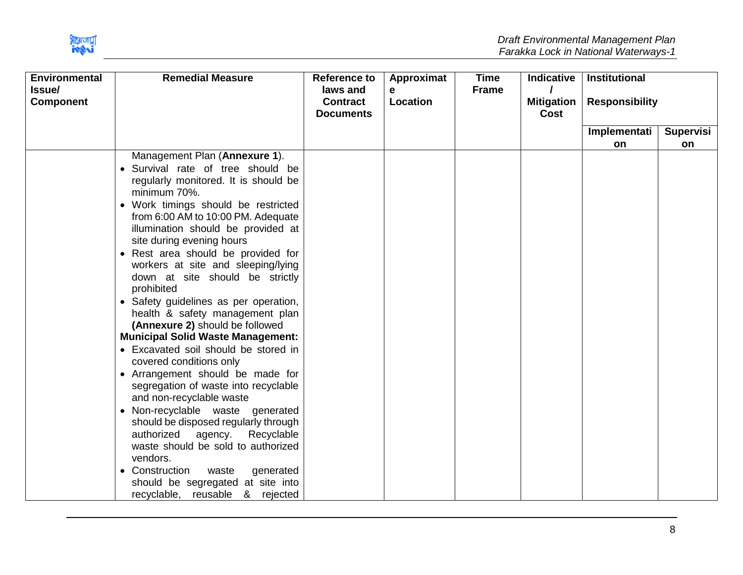

| <b>Environmental</b>       | <b>Remedial Measure</b>                                                                                                                                                                                                                                                                                                                                                                                                                                                                                                                                                                                                                                                                                                                                                                                                                                                                                                                                                                                                         | <b>Reference to</b>                             | Approximat    | <b>Time</b>  | <b>Indicative</b>         | <b>Institutional</b>  |           |
|----------------------------|---------------------------------------------------------------------------------------------------------------------------------------------------------------------------------------------------------------------------------------------------------------------------------------------------------------------------------------------------------------------------------------------------------------------------------------------------------------------------------------------------------------------------------------------------------------------------------------------------------------------------------------------------------------------------------------------------------------------------------------------------------------------------------------------------------------------------------------------------------------------------------------------------------------------------------------------------------------------------------------------------------------------------------|-------------------------------------------------|---------------|--------------|---------------------------|-----------------------|-----------|
| Issue/<br><b>Component</b> |                                                                                                                                                                                                                                                                                                                                                                                                                                                                                                                                                                                                                                                                                                                                                                                                                                                                                                                                                                                                                                 | laws and<br><b>Contract</b><br><b>Documents</b> | е<br>Location | <b>Frame</b> | <b>Mitigation</b><br>Cost | <b>Responsibility</b> |           |
|                            |                                                                                                                                                                                                                                                                                                                                                                                                                                                                                                                                                                                                                                                                                                                                                                                                                                                                                                                                                                                                                                 |                                                 |               |              |                           | Implementati          | Supervisi |
|                            |                                                                                                                                                                                                                                                                                                                                                                                                                                                                                                                                                                                                                                                                                                                                                                                                                                                                                                                                                                                                                                 |                                                 |               |              |                           | on.                   | on        |
|                            | Management Plan (Annexure 1).<br>• Survival rate of tree should be<br>regularly monitored. It is should be<br>minimum 70%.<br>• Work timings should be restricted<br>from 6:00 AM to 10:00 PM. Adequate<br>illumination should be provided at<br>site during evening hours<br>• Rest area should be provided for<br>workers at site and sleeping/lying<br>down at site should be strictly<br>prohibited<br>• Safety guidelines as per operation,<br>health & safety management plan<br>(Annexure 2) should be followed<br><b>Municipal Solid Waste Management:</b><br>• Excavated soil should be stored in<br>covered conditions only<br>• Arrangement should be made for<br>segregation of waste into recyclable<br>and non-recyclable waste<br>• Non-recyclable waste generated<br>should be disposed regularly through<br>authorized agency.<br>Recyclable<br>waste should be sold to authorized<br>vendors.<br>• Construction<br>waste<br>generated<br>should be segregated at site into<br>recyclable, reusable & rejected |                                                 |               |              |                           |                       |           |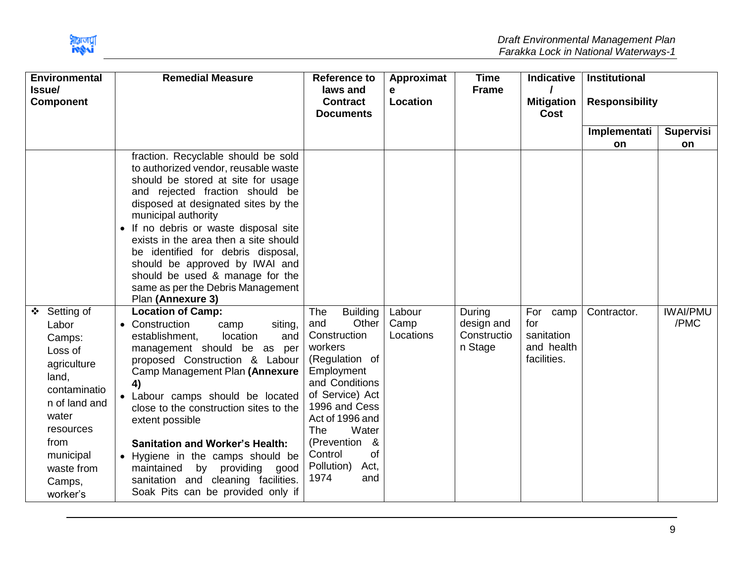

| <b>Environmental</b><br><b>Issue/</b>                                                                                                                                              | <b>Remedial Measure</b>                                                                                                                                                                                                                                                                                                                                                                                                                                                                                         | <b>Reference to</b><br>laws and                                                                                                                                                                                                                                                      | Approximat<br>e             | <b>Time</b><br><b>Frame</b>                    | Indicative                                                    | <b>Institutional</b>  |                         |
|------------------------------------------------------------------------------------------------------------------------------------------------------------------------------------|-----------------------------------------------------------------------------------------------------------------------------------------------------------------------------------------------------------------------------------------------------------------------------------------------------------------------------------------------------------------------------------------------------------------------------------------------------------------------------------------------------------------|--------------------------------------------------------------------------------------------------------------------------------------------------------------------------------------------------------------------------------------------------------------------------------------|-----------------------------|------------------------------------------------|---------------------------------------------------------------|-----------------------|-------------------------|
| <b>Component</b>                                                                                                                                                                   |                                                                                                                                                                                                                                                                                                                                                                                                                                                                                                                 | <b>Contract</b><br><b>Documents</b>                                                                                                                                                                                                                                                  | Location                    |                                                | <b>Mitigation</b><br>Cost                                     | <b>Responsibility</b> |                         |
|                                                                                                                                                                                    |                                                                                                                                                                                                                                                                                                                                                                                                                                                                                                                 |                                                                                                                                                                                                                                                                                      |                             |                                                |                                                               | Implementati          | <b>Supervisi</b>        |
|                                                                                                                                                                                    |                                                                                                                                                                                                                                                                                                                                                                                                                                                                                                                 |                                                                                                                                                                                                                                                                                      |                             |                                                |                                                               | <b>on</b>             | on                      |
|                                                                                                                                                                                    | fraction. Recyclable should be sold<br>to authorized vendor, reusable waste<br>should be stored at site for usage<br>and rejected fraction should be<br>disposed at designated sites by the<br>municipal authority<br>• If no debris or waste disposal site<br>exists in the area then a site should<br>be identified for debris disposal,<br>should be approved by IWAI and<br>should be used & manage for the<br>same as per the Debris Management<br>Plan (Annexure 3)                                       |                                                                                                                                                                                                                                                                                      |                             |                                                |                                                               |                       |                         |
| ❖ Setting of<br>Labor<br>Camps:<br>Loss of<br>agriculture<br>land,<br>contaminatio<br>n of land and<br>water<br>resources<br>from<br>municipal<br>waste from<br>Camps,<br>worker's | <b>Location of Camp:</b><br>• Construction<br>siting,<br>camp<br>establishment,<br>location<br>and<br>management should be as<br>per<br>proposed Construction & Labour<br>Camp Management Plan (Annexure<br>4)<br>• Labour camps should be located<br>close to the construction sites to the<br>extent possible<br><b>Sanitation and Worker's Health:</b><br>• Hygiene in the camps should be<br>providing good<br>maintained<br>by<br>sanitation and cleaning facilities.<br>Soak Pits can be provided only if | <b>Building</b><br>The<br>Other<br>and<br>Construction<br>workers<br>(Regulation of<br>Employment<br>and Conditions<br>of Service) Act<br>1996 and Cess<br>Act of 1996 and<br>Water<br><b>The</b><br>(Prevention<br>- &<br><b>of</b><br>Control<br>Pollution)<br>Act,<br>1974<br>and | Labour<br>Camp<br>Locations | During<br>design and<br>Constructio<br>n Stage | For<br>camp<br>for<br>sanitation<br>and health<br>facilities. | Contractor.           | <b>IWAI/PMU</b><br>/PMC |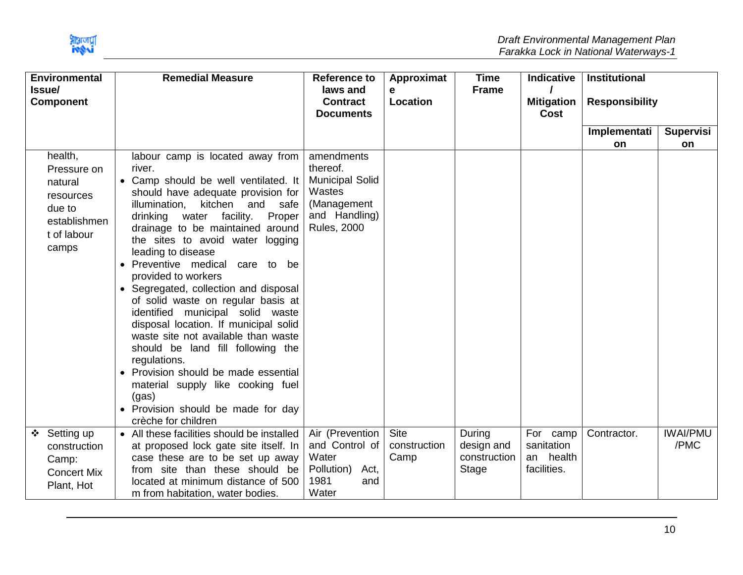

|        | <b>Environmental</b>                                                                             | <b>Remedial Measure</b>                                                                                                                                                                                                                                                                                                                                                                                                                                                                                                                                                                                                                                                                                                                               | Reference to                                                                                                     | Approximat                          | <b>Time</b>                                   | <b>Indicative</b>                                  | <b>Institutional</b>  |                         |
|--------|--------------------------------------------------------------------------------------------------|-------------------------------------------------------------------------------------------------------------------------------------------------------------------------------------------------------------------------------------------------------------------------------------------------------------------------------------------------------------------------------------------------------------------------------------------------------------------------------------------------------------------------------------------------------------------------------------------------------------------------------------------------------------------------------------------------------------------------------------------------------|------------------------------------------------------------------------------------------------------------------|-------------------------------------|-----------------------------------------------|----------------------------------------------------|-----------------------|-------------------------|
| Issue/ | <b>Component</b>                                                                                 |                                                                                                                                                                                                                                                                                                                                                                                                                                                                                                                                                                                                                                                                                                                                                       | laws and<br><b>Contract</b><br><b>Documents</b>                                                                  | e<br>Location                       | <b>Frame</b>                                  | <b>Mitigation</b><br>Cost                          | <b>Responsibility</b> |                         |
|        |                                                                                                  |                                                                                                                                                                                                                                                                                                                                                                                                                                                                                                                                                                                                                                                                                                                                                       |                                                                                                                  |                                     |                                               |                                                    | Implementati          | <b>Supervisi</b>        |
|        |                                                                                                  |                                                                                                                                                                                                                                                                                                                                                                                                                                                                                                                                                                                                                                                                                                                                                       |                                                                                                                  |                                     |                                               |                                                    | <b>on</b>             | on                      |
|        | health,<br>Pressure on<br>natural<br>resources<br>due to<br>establishmen<br>t of labour<br>camps | labour camp is located away from<br>river.<br>• Camp should be well ventilated. It<br>should have adequate provision for<br>kitchen and<br>safe<br>illumination,<br>drinking water facility.<br>Proper<br>drainage to be maintained around<br>the sites to avoid water logging<br>leading to disease<br>• Preventive medical<br>care to be<br>provided to workers<br>• Segregated, collection and disposal<br>of solid waste on regular basis at<br>identified municipal solid waste<br>disposal location. If municipal solid<br>waste site not available than waste<br>should be land fill following the<br>regulations.<br>• Provision should be made essential<br>material supply like cooking fuel<br>(gas)<br>• Provision should be made for day | amendments<br>thereof.<br><b>Municipal Solid</b><br>Wastes<br>(Management<br>and Handling)<br><b>Rules, 2000</b> |                                     |                                               |                                                    |                       |                         |
|        |                                                                                                  | crèche for children                                                                                                                                                                                                                                                                                                                                                                                                                                                                                                                                                                                                                                                                                                                                   |                                                                                                                  |                                     |                                               |                                                    |                       |                         |
|        | ❖ Setting up<br>construction<br>Camp:<br><b>Concert Mix</b><br>Plant, Hot                        | • All these facilities should be installed<br>at proposed lock gate site itself. In<br>case these are to be set up away<br>from site than these should be<br>located at minimum distance of 500<br>m from habitation, water bodies.                                                                                                                                                                                                                                                                                                                                                                                                                                                                                                                   | Air (Prevention<br>and Control of<br>Water<br>Pollution)<br>Act,<br>1981<br>and<br>Water                         | <b>Site</b><br>construction<br>Camp | During<br>design and<br>construction<br>Stage | For camp<br>sanitation<br>an health<br>facilities. | Contractor.           | <b>IWAI/PMU</b><br>/PMC |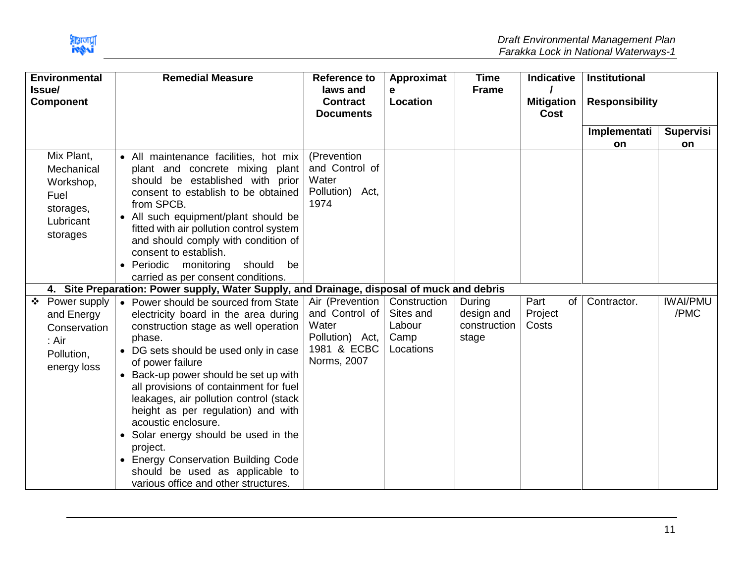

| <b>Environmental</b>                                                                | <b>Remedial Measure</b>                                                                                                                                                                                                                                                                                                                                                                                                                                                                                                                                                | <b>Reference to</b>                                                                         | Approximat                                               | <b>Time</b>                                   | <b>Indicative</b>                | <b>Institutional</b>  |                         |
|-------------------------------------------------------------------------------------|------------------------------------------------------------------------------------------------------------------------------------------------------------------------------------------------------------------------------------------------------------------------------------------------------------------------------------------------------------------------------------------------------------------------------------------------------------------------------------------------------------------------------------------------------------------------|---------------------------------------------------------------------------------------------|----------------------------------------------------------|-----------------------------------------------|----------------------------------|-----------------------|-------------------------|
| <b>Issue/</b><br><b>Component</b>                                                   |                                                                                                                                                                                                                                                                                                                                                                                                                                                                                                                                                                        | laws and<br><b>Contract</b><br><b>Documents</b>                                             | e<br>Location                                            | <b>Frame</b>                                  | <b>Mitigation</b><br><b>Cost</b> | <b>Responsibility</b> |                         |
|                                                                                     |                                                                                                                                                                                                                                                                                                                                                                                                                                                                                                                                                                        |                                                                                             |                                                          |                                               |                                  | Implementati          | <b>Supervisi</b>        |
|                                                                                     |                                                                                                                                                                                                                                                                                                                                                                                                                                                                                                                                                                        |                                                                                             |                                                          |                                               |                                  | on                    | on                      |
| Mix Plant,<br>Mechanical<br>Workshop,<br>Fuel<br>storages,<br>Lubricant<br>storages | • All maintenance facilities, hot mix<br>plant and concrete mixing plant<br>should be established with prior<br>consent to establish to be obtained<br>from SPCB.<br>• All such equipment/plant should be<br>fitted with air pollution control system<br>and should comply with condition of<br>consent to establish.<br>• Periodic monitoring<br>should<br>be                                                                                                                                                                                                         | (Prevention<br>and Control of<br>Water<br>Pollution) Act,<br>1974                           |                                                          |                                               |                                  |                       |                         |
|                                                                                     | carried as per consent conditions.                                                                                                                                                                                                                                                                                                                                                                                                                                                                                                                                     |                                                                                             |                                                          |                                               |                                  |                       |                         |
|                                                                                     | 4. Site Preparation: Power supply, Water Supply, and Drainage, disposal of muck and debris                                                                                                                                                                                                                                                                                                                                                                                                                                                                             |                                                                                             |                                                          |                                               |                                  |                       |                         |
| ❖ Power supply<br>and Energy<br>Conservation<br>: Air<br>Pollution,<br>energy loss  | • Power should be sourced from State<br>electricity board in the area during<br>construction stage as well operation<br>phase.<br>• DG sets should be used only in case<br>of power failure<br>• Back-up power should be set up with<br>all provisions of containment for fuel<br>leakages, air pollution control (stack<br>height as per regulation) and with<br>acoustic enclosure.<br>Solar energy should be used in the<br>$\bullet$<br>project.<br>• Energy Conservation Building Code<br>should be used as applicable to<br>various office and other structures. | Air (Prevention<br>and Control of<br>Water<br>Pollution) Act,<br>1981 & ECBC<br>Norms, 2007 | Construction<br>Sites and<br>Labour<br>Camp<br>Locations | During<br>design and<br>construction<br>stage | Part<br>of<br>Project<br>Costs   | Contractor.           | <b>IWAI/PMU</b><br>/PMC |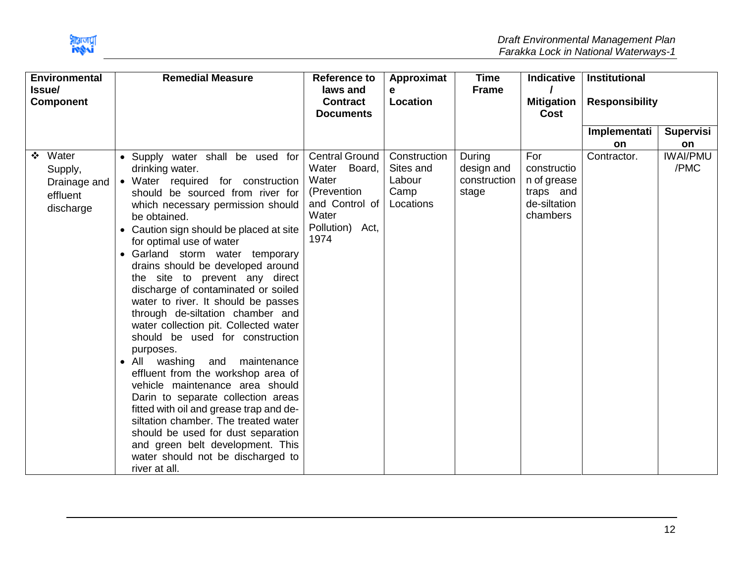

| <b>Environmental</b><br>Issue/<br><b>Component</b>             | <b>Remedial Measure</b>                                                                                                                                                                                                                                                                                                                                                                                                                                                                                                                                                                                                                                                                                                                                                                                                                                                                                                                                      | <b>Reference to</b><br>laws and<br>е<br>Location<br><b>Contract</b><br><b>Documents</b>                                | Approximat                                               | <b>Time</b><br><b>Frame</b>                   |                                                                            |                    |                         |  |  | Indicative<br><b>Mitigation</b><br>Cost | <b>Institutional</b><br><b>Responsibility</b> |  |
|----------------------------------------------------------------|--------------------------------------------------------------------------------------------------------------------------------------------------------------------------------------------------------------------------------------------------------------------------------------------------------------------------------------------------------------------------------------------------------------------------------------------------------------------------------------------------------------------------------------------------------------------------------------------------------------------------------------------------------------------------------------------------------------------------------------------------------------------------------------------------------------------------------------------------------------------------------------------------------------------------------------------------------------|------------------------------------------------------------------------------------------------------------------------|----------------------------------------------------------|-----------------------------------------------|----------------------------------------------------------------------------|--------------------|-------------------------|--|--|-----------------------------------------|-----------------------------------------------|--|
|                                                                |                                                                                                                                                                                                                                                                                                                                                                                                                                                                                                                                                                                                                                                                                                                                                                                                                                                                                                                                                              |                                                                                                                        |                                                          |                                               |                                                                            | Implementati<br>on | Supervisi<br>on         |  |  |                                         |                                               |  |
| Water<br>❖<br>Supply,<br>Drainage and<br>effluent<br>discharge | • Supply water shall be used for<br>drinking water.<br>• Water required for construction<br>should be sourced from river for<br>which necessary permission should<br>be obtained.<br>Caution sign should be placed at site<br>for optimal use of water<br>• Garland storm water temporary<br>drains should be developed around<br>the site to prevent any direct<br>discharge of contaminated or soiled<br>water to river. It should be passes<br>through de-siltation chamber and<br>water collection pit. Collected water<br>should be used for construction<br>purposes.<br>washing<br>and maintenance<br>$\bullet$ All<br>effluent from the workshop area of<br>vehicle maintenance area should<br>Darin to separate collection areas<br>fitted with oil and grease trap and de-<br>siltation chamber. The treated water<br>should be used for dust separation<br>and green belt development. This<br>water should not be discharged to<br>river at all. | <b>Central Ground</b><br>Board,<br>Water<br>Water<br>(Prevention<br>and Control of<br>Water<br>Pollution) Act,<br>1974 | Construction<br>Sites and<br>Labour<br>Camp<br>Locations | During<br>design and<br>construction<br>stage | For<br>constructio<br>n of grease<br>traps and<br>de-siltation<br>chambers | Contractor.        | <b>IWAI/PMU</b><br>/PMC |  |  |                                         |                                               |  |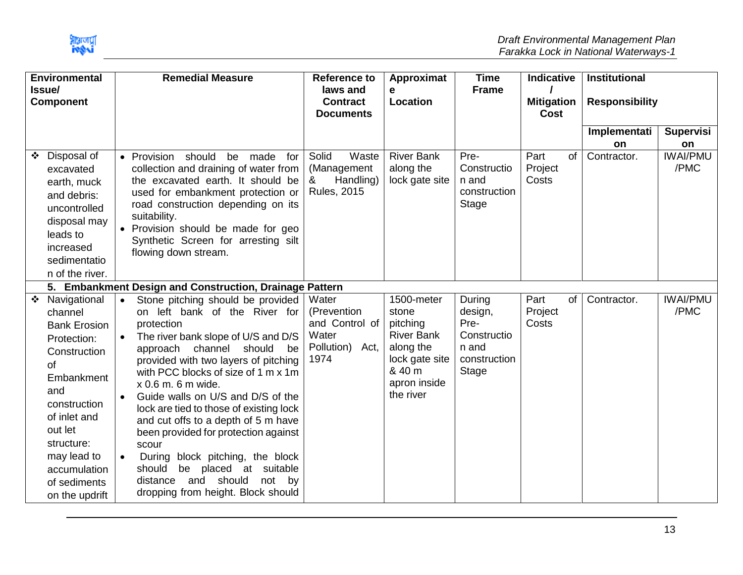|   | <b>Environmental</b><br>Issue/                                                                                                                                                                                                       |                        | <b>Remedial Measure</b>                                                                                                                                                                                                                                                                                                                                                                                                                                                                                                                                                                      | <b>Reference to</b><br>laws and                                            | Approximat<br>e                                                                                                            | <b>Time</b><br><b>Frame</b>                                                       | Indicative                       |           | Institutional         |                               |
|---|--------------------------------------------------------------------------------------------------------------------------------------------------------------------------------------------------------------------------------------|------------------------|----------------------------------------------------------------------------------------------------------------------------------------------------------------------------------------------------------------------------------------------------------------------------------------------------------------------------------------------------------------------------------------------------------------------------------------------------------------------------------------------------------------------------------------------------------------------------------------------|----------------------------------------------------------------------------|----------------------------------------------------------------------------------------------------------------------------|-----------------------------------------------------------------------------------|----------------------------------|-----------|-----------------------|-------------------------------|
|   | <b>Component</b>                                                                                                                                                                                                                     |                        |                                                                                                                                                                                                                                                                                                                                                                                                                                                                                                                                                                                              | <b>Contract</b><br><b>Documents</b>                                        | <b>Location</b>                                                                                                            |                                                                                   | <b>Mitigation</b><br><b>Cost</b> |           | <b>Responsibility</b> |                               |
|   |                                                                                                                                                                                                                                      |                        |                                                                                                                                                                                                                                                                                                                                                                                                                                                                                                                                                                                              |                                                                            |                                                                                                                            |                                                                                   |                                  |           | Implementati          | Supervisi                     |
| ❖ | Disposal of<br>excavated<br>earth, muck<br>and debris:<br>uncontrolled<br>disposal may<br>leads to<br>increased<br>sedimentatio<br>n of the river.                                                                                   |                        | · Provision should<br>made<br>be<br>for<br>collection and draining of water from<br>the excavated earth. It should be<br>used for embankment protection or<br>road construction depending on its<br>suitability.<br>• Provision should be made for geo<br>Synthetic Screen for arresting silt<br>flowing down stream.                                                                                                                                                                                                                                                                        | Solid<br>Waste<br>(Management<br>Handling)<br>&<br><b>Rules, 2015</b>      | <b>River Bank</b><br>along the<br>lock gate site                                                                           | Pre-<br>Constructio<br>n and<br>construction<br>Stage                             | Part<br>Project<br>Costs         | <b>of</b> | on<br>Contractor.     | on<br><b>IWAI/PMU</b><br>/PMC |
|   |                                                                                                                                                                                                                                      |                        | 5. Embankment Design and Construction, Drainage Pattern                                                                                                                                                                                                                                                                                                                                                                                                                                                                                                                                      |                                                                            |                                                                                                                            |                                                                                   |                                  |           |                       |                               |
|   | ❖ Navigational<br>channel<br><b>Bank Erosion</b><br>Protection:<br>Construction<br>of<br>Embankment<br>and<br>construction<br>of inlet and<br>out let<br>structure:<br>may lead to<br>accumulation<br>of sediments<br>on the updrift | $\bullet$<br>$\bullet$ | Stone pitching should be provided<br>on left bank of the River for<br>protection<br>The river bank slope of U/S and D/S<br>approach channel<br>should<br>be<br>provided with two layers of pitching<br>with PCC blocks of size of 1 m x 1m<br>x 0.6 m. 6 m wide.<br>Guide walls on U/S and D/S of the<br>lock are tied to those of existing lock<br>and cut offs to a depth of 5 m have<br>been provided for protection against<br>scour<br>During block pitching, the block<br>should<br>be placed at suitable<br>and should<br>not<br>distance<br>by<br>dropping from height. Block should | Water<br>(Prevention<br>and Control of<br>Water<br>Pollution) Act,<br>1974 | 1500-meter<br>stone<br>pitching<br><b>River Bank</b><br>along the<br>lock gate site<br>& 40 m<br>apron inside<br>the river | During<br>design,<br>Pre-<br>Constructio<br>n and<br>construction<br><b>Stage</b> | Part<br>Project<br>Costs         | of        | Contractor.           | <b>IWAI/PMU</b><br>/PMC       |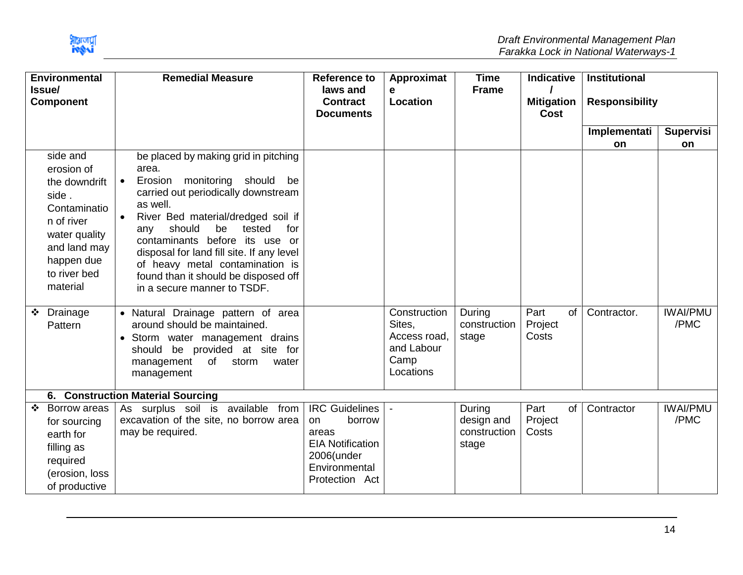

| <b>Environmental</b><br><b>Issue/</b><br><b>Component</b> |                                                                                                                                                  | <b>Remedial Measure</b>                                                                                                                                                                                                                                                                                                                                                                                                 | <b>Reference to</b><br>laws and<br><b>Contract</b>                                                                          | Approximat<br>e<br>Location                                               | <b>Time</b><br><b>Frame</b>                   | <b>Indicative</b><br><b>Mitigation</b> | <b>Institutional</b><br><b>Responsibility</b> |                         |
|-----------------------------------------------------------|--------------------------------------------------------------------------------------------------------------------------------------------------|-------------------------------------------------------------------------------------------------------------------------------------------------------------------------------------------------------------------------------------------------------------------------------------------------------------------------------------------------------------------------------------------------------------------------|-----------------------------------------------------------------------------------------------------------------------------|---------------------------------------------------------------------------|-----------------------------------------------|----------------------------------------|-----------------------------------------------|-------------------------|
|                                                           |                                                                                                                                                  |                                                                                                                                                                                                                                                                                                                                                                                                                         | <b>Documents</b>                                                                                                            |                                                                           |                                               | <b>Cost</b>                            |                                               |                         |
|                                                           |                                                                                                                                                  |                                                                                                                                                                                                                                                                                                                                                                                                                         |                                                                                                                             |                                                                           |                                               |                                        | Implementati<br>on                            | Supervisi<br>on         |
| side.                                                     | side and<br>erosion of<br>the downdrift<br>Contaminatio<br>n of river<br>water quality<br>and land may<br>happen due<br>to river bed<br>material | be placed by making grid in pitching<br>area.<br>Erosion monitoring should<br>be<br>$\bullet$<br>carried out periodically downstream<br>as well.<br>River Bed material/dredged soil if<br>should<br>be<br>tested<br>for<br>any<br>contaminants before its use or<br>disposal for land fill site. If any level<br>of heavy metal contamination is<br>found than it should be disposed off<br>in a secure manner to TSDF. |                                                                                                                             |                                                                           |                                               |                                        |                                               |                         |
| ❖ Drainage                                                | Pattern                                                                                                                                          | • Natural Drainage pattern of area<br>around should be maintained.<br>• Storm water management drains<br>be provided at site for<br>should<br>of storm<br>management<br>water<br>management                                                                                                                                                                                                                             |                                                                                                                             | Construction<br>Sites,<br>Access road,<br>and Labour<br>Camp<br>Locations | During<br>construction<br>stage               | Part<br><b>of</b><br>Project<br>Costs  | Contractor.                                   | <b>IWAI/PMU</b><br>/PMC |
|                                                           |                                                                                                                                                  | 6. Construction Material Sourcing                                                                                                                                                                                                                                                                                                                                                                                       |                                                                                                                             |                                                                           |                                               |                                        |                                               |                         |
| ❖                                                         | Borrow areas<br>for sourcing<br>earth for<br>filling as<br>required<br>(erosion, loss<br>of productive                                           | As surplus soil is available from<br>excavation of the site, no borrow area<br>may be required.                                                                                                                                                                                                                                                                                                                         | <b>IRC Guidelines</b><br>borrow<br>on.<br>areas<br><b>EIA Notification</b><br>2006(under<br>Environmental<br>Protection Act |                                                                           | During<br>design and<br>construction<br>stage | Part<br>of<br>Project<br>Costs         | Contractor                                    | <b>IWAI/PMU</b><br>/PMC |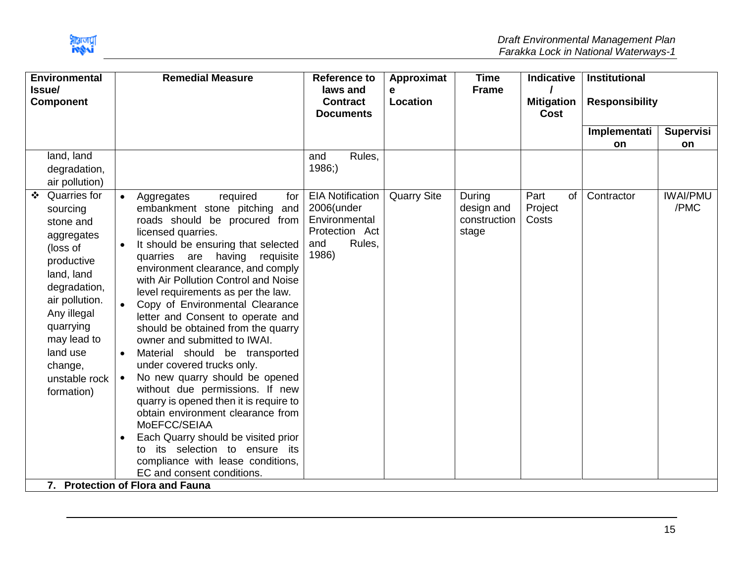

| <b>Environmental</b><br>Issue/<br><b>Component</b> |                                                                                                                                                                                                                                |                                                               | <b>Remedial Measure</b>                                                                                                                                                                                                                                                                                                                                                                                                                                                                                                                                                                                                                                                                                                                                                                                                                                 | <b>Reference to</b><br>laws and<br><b>Contract</b><br><b>Documents</b>                             | Approximat<br>e<br><b>Location</b> | <b>Time</b><br><b>Frame</b>                   | <b>Indicative</b><br><b>Mitigation</b><br><b>Cost</b> | Institutional<br><b>Responsibility</b> |                         |
|----------------------------------------------------|--------------------------------------------------------------------------------------------------------------------------------------------------------------------------------------------------------------------------------|---------------------------------------------------------------|---------------------------------------------------------------------------------------------------------------------------------------------------------------------------------------------------------------------------------------------------------------------------------------------------------------------------------------------------------------------------------------------------------------------------------------------------------------------------------------------------------------------------------------------------------------------------------------------------------------------------------------------------------------------------------------------------------------------------------------------------------------------------------------------------------------------------------------------------------|----------------------------------------------------------------------------------------------------|------------------------------------|-----------------------------------------------|-------------------------------------------------------|----------------------------------------|-------------------------|
|                                                    |                                                                                                                                                                                                                                |                                                               |                                                                                                                                                                                                                                                                                                                                                                                                                                                                                                                                                                                                                                                                                                                                                                                                                                                         |                                                                                                    |                                    |                                               |                                                       | Implementati<br><b>on</b>              | <b>Supervisi</b><br>on  |
|                                                    | land, land<br>degradation,<br>air pollution)                                                                                                                                                                                   |                                                               |                                                                                                                                                                                                                                                                                                                                                                                                                                                                                                                                                                                                                                                                                                                                                                                                                                                         | Rules,<br>and<br>1986;                                                                             |                                    |                                               |                                                       |                                        |                         |
|                                                    | Quarries for<br>sourcing<br>stone and<br>aggregates<br>(loss of<br>productive<br>land, land<br>degradation,<br>air pollution.<br>Any illegal<br>quarrying<br>may lead to<br>land use<br>change,<br>unstable rock<br>formation) | $\bullet$<br>$\bullet$<br>$\bullet$<br>$\bullet$<br>$\bullet$ | required<br>Aggregates<br>for<br>embankment stone pitching<br>and<br>roads should be procured from<br>licensed quarries.<br>It should be ensuring that selected<br>quarries are having<br>requisite<br>environment clearance, and comply<br>with Air Pollution Control and Noise<br>level requirements as per the law.<br>Copy of Environmental Clearance<br>letter and Consent to operate and<br>should be obtained from the quarry<br>owner and submitted to IWAI.<br>Material should be transported<br>under covered trucks only.<br>No new quarry should be opened<br>without due permissions. If new<br>quarry is opened then it is require to<br>obtain environment clearance from<br>MoEFCC/SEIAA<br>Each Quarry should be visited prior<br>its selection to ensure its<br>to<br>compliance with lease conditions,<br>EC and consent conditions. | <b>EIA Notification</b><br>2006(under<br>Environmental<br>Protection Act<br>Rules,<br>and<br>1986) | <b>Quarry Site</b>                 | During<br>design and<br>construction<br>stage | Part<br>of<br>Project<br>Costs                        | Contractor                             | <b>IWAI/PMU</b><br>/PMC |
|                                                    |                                                                                                                                                                                                                                |                                                               | 7. Protection of Flora and Fauna                                                                                                                                                                                                                                                                                                                                                                                                                                                                                                                                                                                                                                                                                                                                                                                                                        |                                                                                                    |                                    |                                               |                                                       |                                        |                         |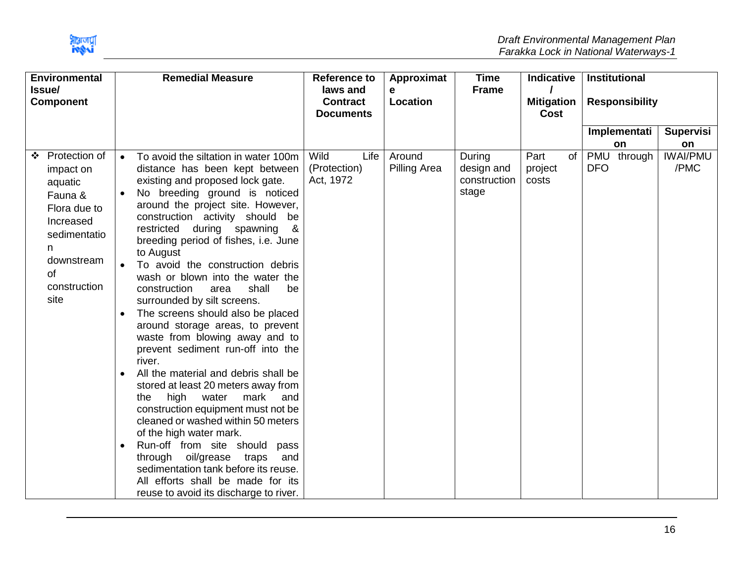| <b>Environmental</b>                                                                                                                             |                                                               | <b>Remedial Measure</b>                                                                                                                                                                                                                                                                                                                                                                                                                                                                                                                                                                                                                                                                                                                                                                                                                                                                                                                                                                                                                       | <b>Reference to</b>                             | Approximat             | <b>Time</b>                                   | <b>Indicative</b>         |    |                       | <b>Institutional</b> |                         |
|--------------------------------------------------------------------------------------------------------------------------------------------------|---------------------------------------------------------------|-----------------------------------------------------------------------------------------------------------------------------------------------------------------------------------------------------------------------------------------------------------------------------------------------------------------------------------------------------------------------------------------------------------------------------------------------------------------------------------------------------------------------------------------------------------------------------------------------------------------------------------------------------------------------------------------------------------------------------------------------------------------------------------------------------------------------------------------------------------------------------------------------------------------------------------------------------------------------------------------------------------------------------------------------|-------------------------------------------------|------------------------|-----------------------------------------------|---------------------------|----|-----------------------|----------------------|-------------------------|
| Issue/<br><b>Component</b>                                                                                                                       |                                                               |                                                                                                                                                                                                                                                                                                                                                                                                                                                                                                                                                                                                                                                                                                                                                                                                                                                                                                                                                                                                                                               | laws and<br><b>Contract</b><br><b>Documents</b> | e<br>Location          | <b>Frame</b>                                  | <b>Mitigation</b><br>Cost |    | <b>Responsibility</b> |                      |                         |
|                                                                                                                                                  |                                                               |                                                                                                                                                                                                                                                                                                                                                                                                                                                                                                                                                                                                                                                                                                                                                                                                                                                                                                                                                                                                                                               |                                                 |                        |                                               |                           |    |                       | Implementati         | <b>Supervisi</b>        |
|                                                                                                                                                  |                                                               |                                                                                                                                                                                                                                                                                                                                                                                                                                                                                                                                                                                                                                                                                                                                                                                                                                                                                                                                                                                                                                               |                                                 |                        |                                               |                           |    |                       | on                   | on                      |
| ❖ Protection of<br>impact on<br>aquatic<br>Fauna &<br>Flora due to<br>Increased<br>sedimentatio<br>n<br>downstream<br>0f<br>construction<br>site | $\bullet$<br>$\bullet$<br>$\bullet$<br>$\bullet$<br>$\bullet$ | To avoid the siltation in water 100m<br>distance has been kept between<br>existing and proposed lock gate.<br>No breeding ground is noticed<br>around the project site. However,<br>construction activity should be<br>restricted during spawning<br>- &<br>breeding period of fishes, i.e. June<br>to August<br>To avoid the construction debris<br>wash or blown into the water the<br>construction<br>shall<br>be<br>area<br>surrounded by silt screens.<br>The screens should also be placed<br>around storage areas, to prevent<br>waste from blowing away and to<br>prevent sediment run-off into the<br>river.<br>All the material and debris shall be<br>stored at least 20 meters away from<br>high water<br>mark<br>the<br>and<br>construction equipment must not be<br>cleaned or washed within 50 meters<br>of the high water mark.<br>Run-off from site should<br>pass<br>through oil/grease traps<br>and<br>sedimentation tank before its reuse.<br>All efforts shall be made for its<br>reuse to avoid its discharge to river. | Wild<br>Life<br>(Protection)<br>Act, 1972       | Around<br>Pilling Area | During<br>design and<br>construction<br>stage | Part<br>project<br>costs  | of | <b>DFO</b>            | PMU through          | <b>IWAI/PMU</b><br>/PMC |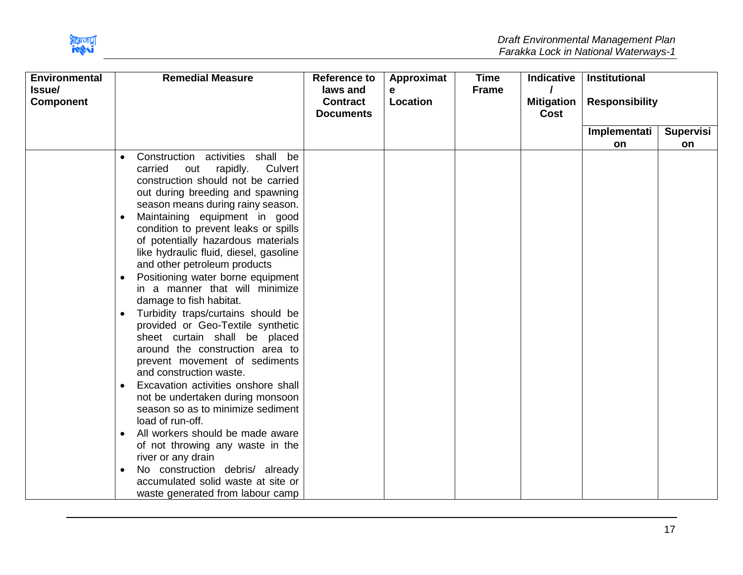

|                                     | <b>Remedial Measure</b>                                                                                                                                                                                                                                                                                                                                                                                                                                                                                                                                                                                                                                                                                                                                                                                                                                                                                                                                             | <b>Reference to</b>                 | Approximat | <b>Time</b> | <b>Indicative</b>                | Institutional         |                  |
|-------------------------------------|---------------------------------------------------------------------------------------------------------------------------------------------------------------------------------------------------------------------------------------------------------------------------------------------------------------------------------------------------------------------------------------------------------------------------------------------------------------------------------------------------------------------------------------------------------------------------------------------------------------------------------------------------------------------------------------------------------------------------------------------------------------------------------------------------------------------------------------------------------------------------------------------------------------------------------------------------------------------|-------------------------------------|------------|-------------|----------------------------------|-----------------------|------------------|
|                                     |                                                                                                                                                                                                                                                                                                                                                                                                                                                                                                                                                                                                                                                                                                                                                                                                                                                                                                                                                                     | <b>Contract</b><br><b>Documents</b> | Location   |             | <b>Mitigation</b><br><b>Cost</b> | <b>Responsibility</b> |                  |
|                                     |                                                                                                                                                                                                                                                                                                                                                                                                                                                                                                                                                                                                                                                                                                                                                                                                                                                                                                                                                                     |                                     |            |             |                                  | Implementati          | <b>Supervisi</b> |
|                                     |                                                                                                                                                                                                                                                                                                                                                                                                                                                                                                                                                                                                                                                                                                                                                                                                                                                                                                                                                                     |                                     |            |             |                                  | on                    | on               |
| $\bullet$<br>$\bullet$<br>$\bullet$ | Construction activities shall be<br>Culvert<br>carried<br>rapidly.<br>out<br>construction should not be carried<br>out during breeding and spawning<br>season means during rainy season.<br>Maintaining equipment in good<br>condition to prevent leaks or spills<br>of potentially hazardous materials<br>like hydraulic fluid, diesel, gasoline<br>and other petroleum products<br>Positioning water borne equipment<br>in a manner that will minimize<br>damage to fish habitat.<br>Turbidity traps/curtains should be<br>provided or Geo-Textile synthetic<br>sheet curtain shall be placed<br>around the construction area to<br>prevent movement of sediments<br>and construction waste.<br>Excavation activities onshore shall<br>not be undertaken during monsoon<br>season so as to minimize sediment<br>load of run-off.<br>All workers should be made aware<br>of not throwing any waste in the<br>river or any drain<br>No construction debris/ already |                                     |            |             |                                  |                       |                  |
|                                     | waste generated from labour camp                                                                                                                                                                                                                                                                                                                                                                                                                                                                                                                                                                                                                                                                                                                                                                                                                                                                                                                                    |                                     |            |             |                                  |                       |                  |
|                                     |                                                                                                                                                                                                                                                                                                                                                                                                                                                                                                                                                                                                                                                                                                                                                                                                                                                                                                                                                                     | accumulated solid waste at site or  | laws and   | е           | <b>Frame</b>                     |                       |                  |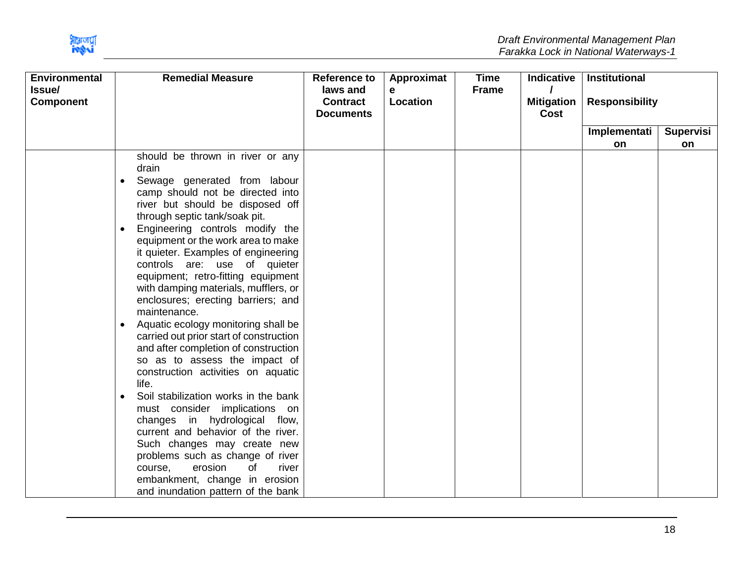

| <b>Environmental</b>       | <b>Remedial Measure</b>                                                                                                                                                                                                                                                                                                                                                                                                                                                                                                                                               | <b>Reference to</b>                             | Approximat    | <b>Time</b>  | <b>Indicative</b>         | Institutional         |                  |
|----------------------------|-----------------------------------------------------------------------------------------------------------------------------------------------------------------------------------------------------------------------------------------------------------------------------------------------------------------------------------------------------------------------------------------------------------------------------------------------------------------------------------------------------------------------------------------------------------------------|-------------------------------------------------|---------------|--------------|---------------------------|-----------------------|------------------|
| Issue/<br><b>Component</b> |                                                                                                                                                                                                                                                                                                                                                                                                                                                                                                                                                                       | laws and<br><b>Contract</b><br><b>Documents</b> | е<br>Location | <b>Frame</b> | <b>Mitigation</b><br>Cost | <b>Responsibility</b> |                  |
|                            |                                                                                                                                                                                                                                                                                                                                                                                                                                                                                                                                                                       |                                                 |               |              |                           | Implementati          | <b>Supervisi</b> |
|                            |                                                                                                                                                                                                                                                                                                                                                                                                                                                                                                                                                                       |                                                 |               |              |                           | <b>on</b>             | on               |
|                            | should be thrown in river or any<br>drain<br>Sewage generated from labour<br>$\bullet$<br>camp should not be directed into<br>river but should be disposed off<br>through septic tank/soak pit.<br>Engineering controls modify the<br>equipment or the work area to make<br>it quieter. Examples of engineering<br>controls are: use of quieter<br>equipment; retro-fitting equipment<br>with damping materials, mufflers, or<br>enclosures; erecting barriers; and<br>maintenance.<br>Aquatic ecology monitoring shall be<br>carried out prior start of construction |                                                 |               |              |                           |                       |                  |
|                            | and after completion of construction<br>so as to assess the impact of<br>construction activities on aquatic<br>life.<br>Soil stabilization works in the bank<br>$\bullet$<br>must consider implications on<br>changes in hydrological flow,<br>current and behavior of the river.<br>Such changes may create new<br>problems such as change of river<br>erosion<br>course,<br>of<br>river<br>embankment, change in erosion<br>and inundation pattern of the bank                                                                                                      |                                                 |               |              |                           |                       |                  |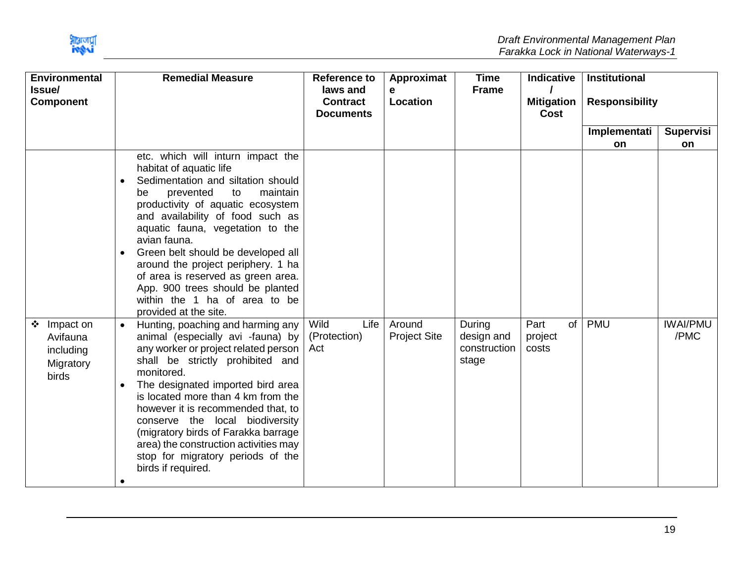

| <b>Environmental</b><br>Issue/<br><b>Component</b>            | <b>Remedial Measure</b>                                                                                                                                                                                                                                                                                                                                                                                                                                                                                                                                                                                                                                                                                                                                                                                                                                                                                                                                              | <b>Reference to</b><br>laws and<br><b>Contract</b><br><b>Documents</b> | Approximat<br>е<br>Location   | <b>Time</b><br><b>Frame</b>                   | <b>Indicative</b><br><b>Mitigation</b><br><b>Cost</b> | <b>Institutional</b><br><b>Responsibility</b> |                               |
|---------------------------------------------------------------|----------------------------------------------------------------------------------------------------------------------------------------------------------------------------------------------------------------------------------------------------------------------------------------------------------------------------------------------------------------------------------------------------------------------------------------------------------------------------------------------------------------------------------------------------------------------------------------------------------------------------------------------------------------------------------------------------------------------------------------------------------------------------------------------------------------------------------------------------------------------------------------------------------------------------------------------------------------------|------------------------------------------------------------------------|-------------------------------|-----------------------------------------------|-------------------------------------------------------|-----------------------------------------------|-------------------------------|
|                                                               |                                                                                                                                                                                                                                                                                                                                                                                                                                                                                                                                                                                                                                                                                                                                                                                                                                                                                                                                                                      |                                                                        |                               |                                               |                                                       | Implementati                                  | Supervisi                     |
| Impact on<br>❖<br>Avifauna<br>including<br>Migratory<br>birds | etc. which will inturn impact the<br>habitat of aquatic life<br>Sedimentation and siltation should<br>prevented<br>to<br>maintain<br>be<br>productivity of aquatic ecosystem<br>and availability of food such as<br>aquatic fauna, vegetation to the<br>avian fauna.<br>Green belt should be developed all<br>around the project periphery. 1 ha<br>of area is reserved as green area.<br>App. 900 trees should be planted<br>within the 1 ha of area to be<br>provided at the site.<br>Hunting, poaching and harming any<br>animal (especially avi -fauna) by<br>any worker or project related person<br>shall be strictly prohibited and<br>monitored.<br>The designated imported bird area<br>$\bullet$<br>is located more than 4 km from the<br>however it is recommended that, to<br>conserve the local biodiversity<br>(migratory birds of Farakka barrage<br>area) the construction activities may<br>stop for migratory periods of the<br>birds if required. | Wild<br>Life  <br>(Protection)<br>Act                                  | Around<br><b>Project Site</b> | During<br>design and<br>construction<br>stage | Part<br>of<br>project<br>costs                        | on<br><b>PMU</b>                              | on<br><b>IWAI/PMU</b><br>/PMC |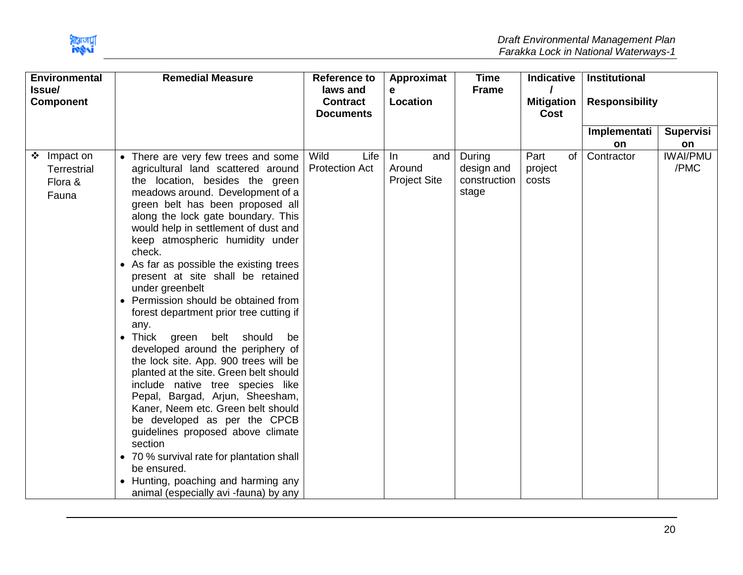

| <b>Environmental</b>                                  | <b>Remedial Measure</b>                                                                                                                                                                                                                                                                                                                                                                                                                                                                                                                                                                                                                                                                                                                                                                                                                                                                                                                                                      | <b>Reference to</b>                             | Approximat                                  | <b>Time</b>                                   | <b>Indicative</b>              | <b>Institutional</b>  |                         |
|-------------------------------------------------------|------------------------------------------------------------------------------------------------------------------------------------------------------------------------------------------------------------------------------------------------------------------------------------------------------------------------------------------------------------------------------------------------------------------------------------------------------------------------------------------------------------------------------------------------------------------------------------------------------------------------------------------------------------------------------------------------------------------------------------------------------------------------------------------------------------------------------------------------------------------------------------------------------------------------------------------------------------------------------|-------------------------------------------------|---------------------------------------------|-----------------------------------------------|--------------------------------|-----------------------|-------------------------|
| Issue/<br><b>Component</b>                            |                                                                                                                                                                                                                                                                                                                                                                                                                                                                                                                                                                                                                                                                                                                                                                                                                                                                                                                                                                              | laws and<br><b>Contract</b><br><b>Documents</b> | e<br>Location                               | <b>Frame</b>                                  | <b>Mitigation</b><br>Cost      | <b>Responsibility</b> |                         |
|                                                       |                                                                                                                                                                                                                                                                                                                                                                                                                                                                                                                                                                                                                                                                                                                                                                                                                                                                                                                                                                              |                                                 |                                             |                                               |                                | Implementati          | <b>Supervisi</b>        |
|                                                       |                                                                                                                                                                                                                                                                                                                                                                                                                                                                                                                                                                                                                                                                                                                                                                                                                                                                                                                                                                              |                                                 |                                             |                                               |                                | <b>on</b>             | on                      |
| ❖ Impact on<br><b>Terrestrial</b><br>Flora &<br>Fauna | • There are very few trees and some<br>agricultural land scattered around<br>the location, besides the green<br>meadows around. Development of a<br>green belt has been proposed all<br>along the lock gate boundary. This<br>would help in settlement of dust and<br>keep atmospheric humidity under<br>check.<br>• As far as possible the existing trees<br>present at site shall be retained<br>under greenbelt<br>Permission should be obtained from<br>forest department prior tree cutting if<br>any.<br>should<br>• Thick green<br>belt<br>be<br>developed around the periphery of<br>the lock site. App. 900 trees will be<br>planted at the site. Green belt should<br>include native tree species like<br>Pepal, Bargad, Arjun, Sheesham,<br>Kaner, Neem etc. Green belt should<br>be developed as per the CPCB<br>guidelines proposed above climate<br>section<br>• 70 % survival rate for plantation shall<br>be ensured.<br>• Hunting, poaching and harming any | Wild<br>Life<br><b>Protection Act</b>           | and<br>In.<br>Around<br><b>Project Site</b> | During<br>design and<br>construction<br>stage | Part<br>of<br>project<br>costs | Contractor            | <b>IWAI/PMU</b><br>/PMC |
|                                                       | animal (especially avi -fauna) by any                                                                                                                                                                                                                                                                                                                                                                                                                                                                                                                                                                                                                                                                                                                                                                                                                                                                                                                                        |                                                 |                                             |                                               |                                |                       |                         |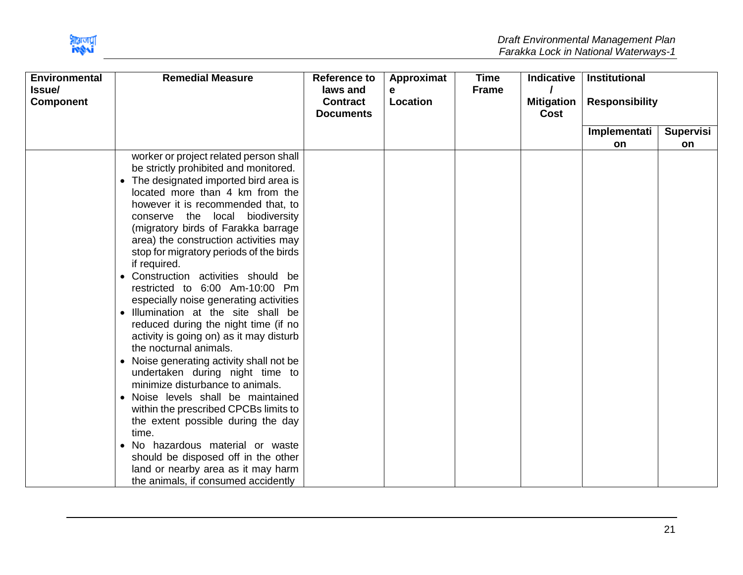

| <b>Environmental</b><br>Issue/<br><b>Component</b> | <b>Remedial Measure</b>                                                                                                                                                                                                                                                                                                                                                                                                                                                                                                                                                                                                                                                                                                                                                                                                                                                                                                                                                                                                                             | <b>Reference to</b><br>laws and<br><b>Contract</b><br><b>Documents</b> | Approximat<br>е<br>Location | <b>Time</b><br><b>Frame</b> | <b>Indicative</b><br><b>Mitigation</b><br><b>Cost</b> | <b>Institutional</b><br><b>Responsibility</b> |                  |
|----------------------------------------------------|-----------------------------------------------------------------------------------------------------------------------------------------------------------------------------------------------------------------------------------------------------------------------------------------------------------------------------------------------------------------------------------------------------------------------------------------------------------------------------------------------------------------------------------------------------------------------------------------------------------------------------------------------------------------------------------------------------------------------------------------------------------------------------------------------------------------------------------------------------------------------------------------------------------------------------------------------------------------------------------------------------------------------------------------------------|------------------------------------------------------------------------|-----------------------------|-----------------------------|-------------------------------------------------------|-----------------------------------------------|------------------|
|                                                    |                                                                                                                                                                                                                                                                                                                                                                                                                                                                                                                                                                                                                                                                                                                                                                                                                                                                                                                                                                                                                                                     |                                                                        |                             |                             |                                                       | Implementati                                  | <b>Supervisi</b> |
|                                                    |                                                                                                                                                                                                                                                                                                                                                                                                                                                                                                                                                                                                                                                                                                                                                                                                                                                                                                                                                                                                                                                     |                                                                        |                             |                             |                                                       | on                                            | <b>on</b>        |
|                                                    | worker or project related person shall<br>be strictly prohibited and monitored.<br>The designated imported bird area is<br>$\bullet$<br>located more than 4 km from the<br>however it is recommended that, to<br>conserve the<br>local biodiversity<br>(migratory birds of Farakka barrage)<br>area) the construction activities may<br>stop for migratory periods of the birds<br>if required.<br>• Construction activities should be<br>restricted to 6:00 Am-10:00 Pm<br>especially noise generating activities<br>Illumination at the site shall be<br>$\bullet$<br>reduced during the night time (if no<br>activity is going on) as it may disturb<br>the nocturnal animals.<br>• Noise generating activity shall not be<br>undertaken during night time to<br>minimize disturbance to animals.<br>• Noise levels shall be maintained<br>within the prescribed CPCBs limits to<br>the extent possible during the day<br>time.<br>• No hazardous material or waste<br>should be disposed off in the other<br>land or nearby area as it may harm |                                                                        |                             |                             |                                                       |                                               |                  |
|                                                    | the animals, if consumed accidently                                                                                                                                                                                                                                                                                                                                                                                                                                                                                                                                                                                                                                                                                                                                                                                                                                                                                                                                                                                                                 |                                                                        |                             |                             |                                                       |                                               |                  |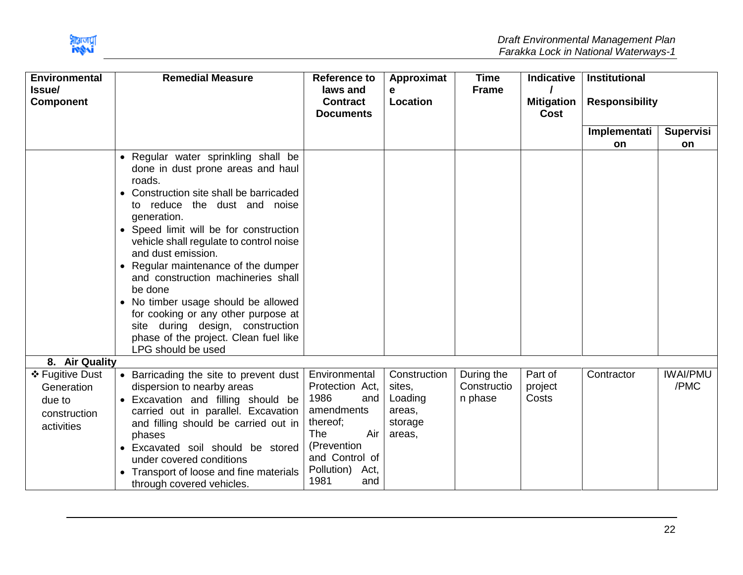

| <b>Environmental</b><br>Issue/<br><b>Component</b>                    | <b>Remedial Measure</b>                                                                                                                                                                                                                                                                                                                                                                                                                                                                            | <b>Reference to</b><br>laws and<br><b>Contract</b>                                                                                                                   | Approximat<br>е<br>Location                                      | <b>Time</b><br><b>Frame</b>          | Indicative<br><b>Mitigation</b> | <b>Institutional</b><br><b>Responsibility</b> |                         |
|-----------------------------------------------------------------------|----------------------------------------------------------------------------------------------------------------------------------------------------------------------------------------------------------------------------------------------------------------------------------------------------------------------------------------------------------------------------------------------------------------------------------------------------------------------------------------------------|----------------------------------------------------------------------------------------------------------------------------------------------------------------------|------------------------------------------------------------------|--------------------------------------|---------------------------------|-----------------------------------------------|-------------------------|
|                                                                       |                                                                                                                                                                                                                                                                                                                                                                                                                                                                                                    | <b>Documents</b>                                                                                                                                                     |                                                                  |                                      | Cost                            |                                               |                         |
|                                                                       |                                                                                                                                                                                                                                                                                                                                                                                                                                                                                                    |                                                                                                                                                                      |                                                                  |                                      |                                 | Implementati                                  | Supervisi               |
|                                                                       |                                                                                                                                                                                                                                                                                                                                                                                                                                                                                                    |                                                                                                                                                                      |                                                                  |                                      |                                 | on                                            | on                      |
|                                                                       | • Regular water sprinkling shall be<br>done in dust prone areas and haul<br>roads.<br>Construction site shall be barricaded<br>reduce the dust and noise<br>to<br>generation.<br>• Speed limit will be for construction<br>vehicle shall regulate to control noise<br>and dust emission.<br>• Regular maintenance of the dumper<br>and construction machineries shall<br>be done<br>• No timber usage should be allowed<br>for cooking or any other purpose at<br>site during design, construction |                                                                                                                                                                      |                                                                  |                                      |                                 |                                               |                         |
|                                                                       | phase of the project. Clean fuel like<br>LPG should be used                                                                                                                                                                                                                                                                                                                                                                                                                                        |                                                                                                                                                                      |                                                                  |                                      |                                 |                                               |                         |
| 8. Air Quality                                                        |                                                                                                                                                                                                                                                                                                                                                                                                                                                                                                    |                                                                                                                                                                      |                                                                  |                                      |                                 |                                               |                         |
| ❖ Fugitive Dust<br>Generation<br>due to<br>construction<br>activities | • Barricading the site to prevent dust<br>dispersion to nearby areas<br>Excavation and filling should be<br>carried out in parallel. Excavation<br>and filling should be carried out in<br>phases<br>• Excavated soil should be stored<br>under covered conditions<br>Transport of loose and fine materials<br>through covered vehicles.                                                                                                                                                           | Environmental<br>Protection Act,<br>1986<br>and<br>amendments<br>thereof;<br><b>The</b><br>Air<br>(Prevention<br>and Control of<br>Pollution)<br>Act,<br>1981<br>and | Construction<br>sites,<br>Loading<br>areas,<br>storage<br>areas, | During the<br>Constructio<br>n phase | Part of<br>project<br>Costs     | Contractor                                    | <b>IWAI/PMU</b><br>/PMC |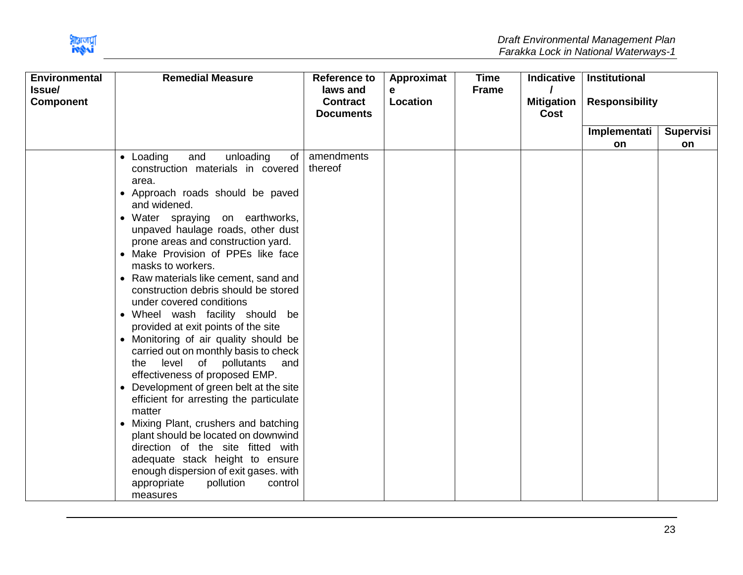

| <b>Environmental</b><br>Issue/ | <b>Remedial Measure</b>                                                                                                                                                                                                                                                                                                                                                                                                                                                                                                                                                                                                                                                                                                                                                                                                                                                                                                                                                                                | <b>Reference to</b><br>laws and     | Approximat<br>е | <b>Time</b><br><b>Frame</b> | <b>Indicative</b>         | Institutional         |                  |
|--------------------------------|--------------------------------------------------------------------------------------------------------------------------------------------------------------------------------------------------------------------------------------------------------------------------------------------------------------------------------------------------------------------------------------------------------------------------------------------------------------------------------------------------------------------------------------------------------------------------------------------------------------------------------------------------------------------------------------------------------------------------------------------------------------------------------------------------------------------------------------------------------------------------------------------------------------------------------------------------------------------------------------------------------|-------------------------------------|-----------------|-----------------------------|---------------------------|-----------------------|------------------|
| <b>Component</b>               |                                                                                                                                                                                                                                                                                                                                                                                                                                                                                                                                                                                                                                                                                                                                                                                                                                                                                                                                                                                                        | <b>Contract</b><br><b>Documents</b> | Location        |                             | <b>Mitigation</b><br>Cost | <b>Responsibility</b> |                  |
|                                |                                                                                                                                                                                                                                                                                                                                                                                                                                                                                                                                                                                                                                                                                                                                                                                                                                                                                                                                                                                                        |                                     |                 |                             |                           | Implementati          | <b>Supervisi</b> |
|                                |                                                                                                                                                                                                                                                                                                                                                                                                                                                                                                                                                                                                                                                                                                                                                                                                                                                                                                                                                                                                        |                                     |                 |                             |                           | on                    | on               |
|                                | • Loading<br>unloading<br>and<br>of<br>construction materials in covered<br>area.<br>• Approach roads should be paved<br>and widened.<br>• Water spraying on earthworks,<br>unpaved haulage roads, other dust<br>prone areas and construction yard.<br>• Make Provision of PPEs like face<br>masks to workers.<br>• Raw materials like cement, sand and<br>construction debris should be stored<br>under covered conditions<br>• Wheel wash facility should be<br>provided at exit points of the site<br>• Monitoring of air quality should be<br>carried out on monthly basis to check<br>level of pollutants<br>the<br>and<br>effectiveness of proposed EMP.<br>• Development of green belt at the site<br>efficient for arresting the particulate<br>matter<br>• Mixing Plant, crushers and batching<br>plant should be located on downwind<br>direction of the site fitted with<br>adequate stack height to ensure<br>enough dispersion of exit gases. with<br>appropriate<br>pollution<br>control | amendments<br>thereof               |                 |                             |                           |                       |                  |
|                                | measures                                                                                                                                                                                                                                                                                                                                                                                                                                                                                                                                                                                                                                                                                                                                                                                                                                                                                                                                                                                               |                                     |                 |                             |                           |                       |                  |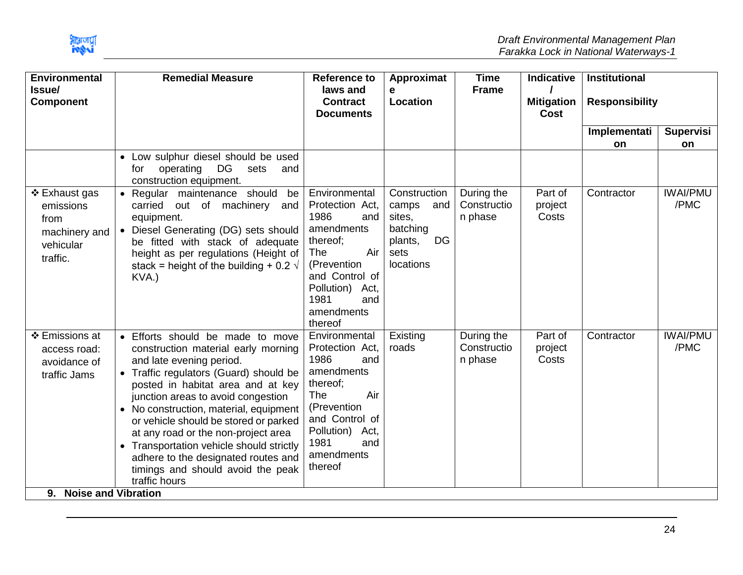| <b>Environmental</b>                                                         | <b>Remedial Measure</b>                                                                                                                                                                                                                                                                                                                                                                                                                                                                   | <b>Reference to</b>                                                                                                                                                                        | Approximat                                                                               | <b>Time</b>                          | Indicative                       | <b>Institutional</b>  |                         |
|------------------------------------------------------------------------------|-------------------------------------------------------------------------------------------------------------------------------------------------------------------------------------------------------------------------------------------------------------------------------------------------------------------------------------------------------------------------------------------------------------------------------------------------------------------------------------------|--------------------------------------------------------------------------------------------------------------------------------------------------------------------------------------------|------------------------------------------------------------------------------------------|--------------------------------------|----------------------------------|-----------------------|-------------------------|
| Issue/<br><b>Component</b>                                                   |                                                                                                                                                                                                                                                                                                                                                                                                                                                                                           | laws and<br><b>Contract</b><br><b>Documents</b>                                                                                                                                            | e<br>Location                                                                            | <b>Frame</b>                         | <b>Mitigation</b><br><b>Cost</b> | <b>Responsibility</b> |                         |
|                                                                              |                                                                                                                                                                                                                                                                                                                                                                                                                                                                                           |                                                                                                                                                                                            |                                                                                          |                                      |                                  | Implementati          | <b>Supervisi</b>        |
|                                                                              | • Low sulphur diesel should be used<br>DG<br>operating<br>for<br>sets<br>and<br>construction equipment.                                                                                                                                                                                                                                                                                                                                                                                   |                                                                                                                                                                                            |                                                                                          |                                      |                                  | <b>on</b>             | on                      |
| ❖ Exhaust gas<br>emissions<br>from<br>machinery and<br>vehicular<br>traffic. | • Regular maintenance should be<br>carried out of machinery and<br>equipment.<br>• Diesel Generating (DG) sets should<br>be fitted with stack of adequate<br>height as per regulations (Height of<br>stack = height of the building + 0.2 $\sqrt{ }$<br>KVA.)                                                                                                                                                                                                                             | Environmental<br>Protection Act,<br>1986<br>and<br>amendments<br>thereof;<br>Air<br>The<br>(Prevention<br>and Control of<br>Pollution) Act,<br>1981<br>and<br>amendments<br>thereof        | Construction<br>camps<br>and<br>sites,<br>batching<br>DG<br>plants,<br>sets<br>locations | During the<br>Constructio<br>n phase | Part of<br>project<br>Costs      | Contractor            | <b>IWAI/PMU</b><br>/PMC |
| ❖ Emissions at<br>access road:<br>avoidance of<br>traffic Jams               | • Efforts should be made to move<br>construction material early morning<br>and late evening period.<br>• Traffic regulators (Guard) should be<br>posted in habitat area and at key<br>junction areas to avoid congestion<br>No construction, material, equipment<br>or vehicle should be stored or parked<br>at any road or the non-project area<br>• Transportation vehicle should strictly<br>adhere to the designated routes and<br>timings and should avoid the peak<br>traffic hours | Environmental<br>Protection Act,<br>1986<br>and<br>amendments<br>thereof;<br><b>The</b><br>Air<br>(Prevention<br>and Control of<br>Pollution) Act,<br>1981<br>and<br>amendments<br>thereof | Existing<br>roads                                                                        | During the<br>Constructio<br>n phase | Part of<br>project<br>Costs      | Contractor            | <b>IWAI/PMU</b><br>/PMC |
| 9. Noise and Vibration                                                       |                                                                                                                                                                                                                                                                                                                                                                                                                                                                                           |                                                                                                                                                                                            |                                                                                          |                                      |                                  |                       |                         |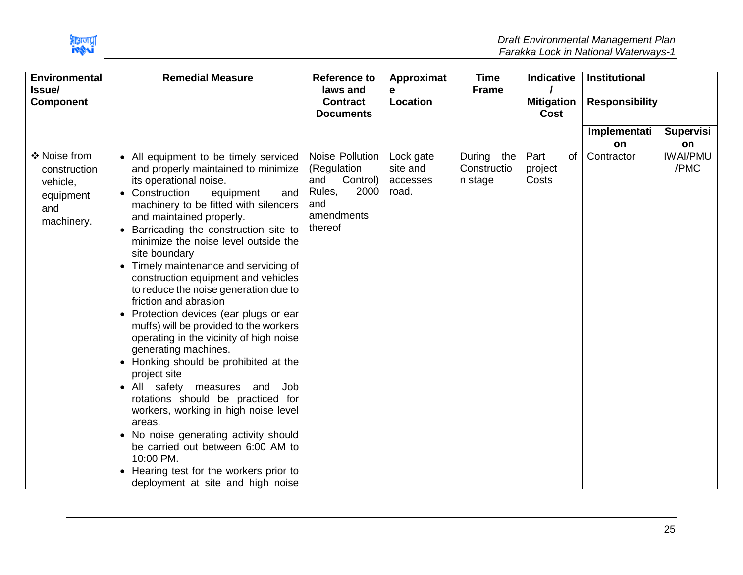

| <b>Environmental</b>                                                       | <b>Remedial Measure</b>                                                                                                                                                                                                                                                                                                                                                                                                                                                                                                                                                                                                                                                                                                                                                                                                                                                                                                                                                           | <b>Reference to</b>                                                                                 | Approximat                                 | <b>Time</b>                          | <b>Indicative</b>                | <b>Institutional</b>  |                               |
|----------------------------------------------------------------------------|-----------------------------------------------------------------------------------------------------------------------------------------------------------------------------------------------------------------------------------------------------------------------------------------------------------------------------------------------------------------------------------------------------------------------------------------------------------------------------------------------------------------------------------------------------------------------------------------------------------------------------------------------------------------------------------------------------------------------------------------------------------------------------------------------------------------------------------------------------------------------------------------------------------------------------------------------------------------------------------|-----------------------------------------------------------------------------------------------------|--------------------------------------------|--------------------------------------|----------------------------------|-----------------------|-------------------------------|
| Issue/<br><b>Component</b>                                                 |                                                                                                                                                                                                                                                                                                                                                                                                                                                                                                                                                                                                                                                                                                                                                                                                                                                                                                                                                                                   | laws and<br><b>Contract</b><br><b>Documents</b>                                                     | e<br>Location                              | <b>Frame</b>                         | <b>Mitigation</b><br><b>Cost</b> | <b>Responsibility</b> |                               |
|                                                                            |                                                                                                                                                                                                                                                                                                                                                                                                                                                                                                                                                                                                                                                                                                                                                                                                                                                                                                                                                                                   |                                                                                                     |                                            |                                      |                                  | Implementati          | <b>Supervisi</b>              |
| ❖ Noise from<br>construction<br>vehicle,<br>equipment<br>and<br>machinery. | • All equipment to be timely serviced<br>and properly maintained to minimize<br>its operational noise.<br>Construction<br>equipment<br>and<br>machinery to be fitted with silencers<br>and maintained properly.<br>Barricading the construction site to<br>minimize the noise level outside the<br>site boundary<br>Timely maintenance and servicing of<br>construction equipment and vehicles<br>to reduce the noise generation due to<br>friction and abrasion<br>Protection devices (ear plugs or ear<br>muffs) will be provided to the workers<br>operating in the vicinity of high noise<br>generating machines.<br>Honking should be prohibited at the<br>project site<br>• All safety measures<br>and<br>Job<br>rotations should be practiced for<br>workers, working in high noise level<br>areas.<br>No noise generating activity should<br>be carried out between 6:00 AM to<br>10:00 PM.<br>Hearing test for the workers prior to<br>deployment at site and high noise | Noise Pollution<br>(Regulation<br>Control)<br>and<br>Rules,<br>2000<br>and<br>amendments<br>thereof | Lock gate<br>site and<br>accesses<br>road. | During the<br>Constructio<br>n stage | Part<br>0f<br>project<br>Costs   | on<br>Contractor      | on<br><b>IWAI/PMU</b><br>/PMC |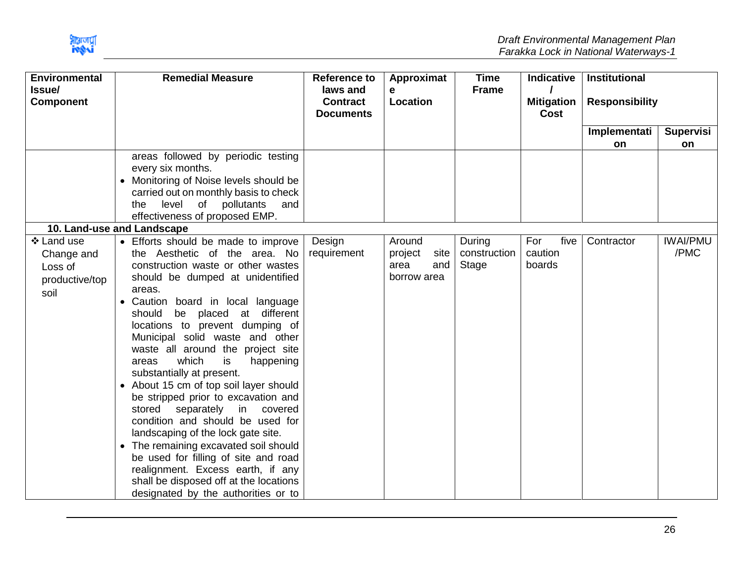

| <b>Environmental</b>       |           | <b>Remedial Measure</b>                                            | <b>Reference to</b>                             | Approximat      | <b>Time</b>  | <b>Indicative</b>                | <b>Institutional</b>  |                  |
|----------------------------|-----------|--------------------------------------------------------------------|-------------------------------------------------|-----------------|--------------|----------------------------------|-----------------------|------------------|
| Issue/<br><b>Component</b> |           |                                                                    | laws and<br><b>Contract</b><br><b>Documents</b> | e<br>Location   | <b>Frame</b> | <b>Mitigation</b><br><b>Cost</b> | <b>Responsibility</b> |                  |
|                            |           |                                                                    |                                                 |                 |              |                                  | Implementati          | <b>Supervisi</b> |
|                            |           |                                                                    |                                                 |                 |              |                                  | on.                   | on.              |
|                            |           | areas followed by periodic testing<br>every six months.            |                                                 |                 |              |                                  |                       |                  |
|                            | $\bullet$ | Monitoring of Noise levels should be                               |                                                 |                 |              |                                  |                       |                  |
|                            |           | carried out on monthly basis to check                              |                                                 |                 |              |                                  |                       |                  |
|                            |           | level<br>of pollutants<br>and<br>the                               |                                                 |                 |              |                                  |                       |                  |
|                            |           | effectiveness of proposed EMP.                                     |                                                 |                 |              |                                  |                       |                  |
| 10. Land-use and Landscape |           |                                                                    |                                                 |                 |              |                                  |                       |                  |
| ❖ Land use                 |           | • Efforts should be made to improve                                | Design                                          | Around          | During       | five<br>For                      | Contractor            | <b>IWAI/PMU</b>  |
| Change and                 |           | the Aesthetic of the area. No                                      | requirement                                     | project<br>site | construction | caution                          |                       | /PMC             |
| Loss of                    |           | construction waste or other wastes                                 |                                                 | and<br>area     | Stage        | boards                           |                       |                  |
| productive/top             |           | should be dumped at unidentified                                   |                                                 | borrow area     |              |                                  |                       |                  |
| soil                       |           | areas.                                                             |                                                 |                 |              |                                  |                       |                  |
|                            |           | • Caution board in local language                                  |                                                 |                 |              |                                  |                       |                  |
|                            |           | be placed<br>at different<br>should                                |                                                 |                 |              |                                  |                       |                  |
|                            |           | locations to prevent dumping of<br>Municipal solid waste and other |                                                 |                 |              |                                  |                       |                  |
|                            |           | waste all around the project site                                  |                                                 |                 |              |                                  |                       |                  |
|                            |           | which<br>is<br>areas<br>happening                                  |                                                 |                 |              |                                  |                       |                  |
|                            |           | substantially at present.                                          |                                                 |                 |              |                                  |                       |                  |
|                            |           | • About 15 cm of top soil layer should                             |                                                 |                 |              |                                  |                       |                  |
|                            |           | be stripped prior to excavation and                                |                                                 |                 |              |                                  |                       |                  |
|                            |           | separately<br>stored<br>in covered                                 |                                                 |                 |              |                                  |                       |                  |
|                            |           | condition and should be used for                                   |                                                 |                 |              |                                  |                       |                  |
|                            |           | landscaping of the lock gate site.                                 |                                                 |                 |              |                                  |                       |                  |
|                            |           | • The remaining excavated soil should                              |                                                 |                 |              |                                  |                       |                  |
|                            |           | be used for filling of site and road                               |                                                 |                 |              |                                  |                       |                  |
|                            |           | realignment. Excess earth, if any                                  |                                                 |                 |              |                                  |                       |                  |
|                            |           | shall be disposed off at the locations                             |                                                 |                 |              |                                  |                       |                  |
|                            |           | designated by the authorities or to                                |                                                 |                 |              |                                  |                       |                  |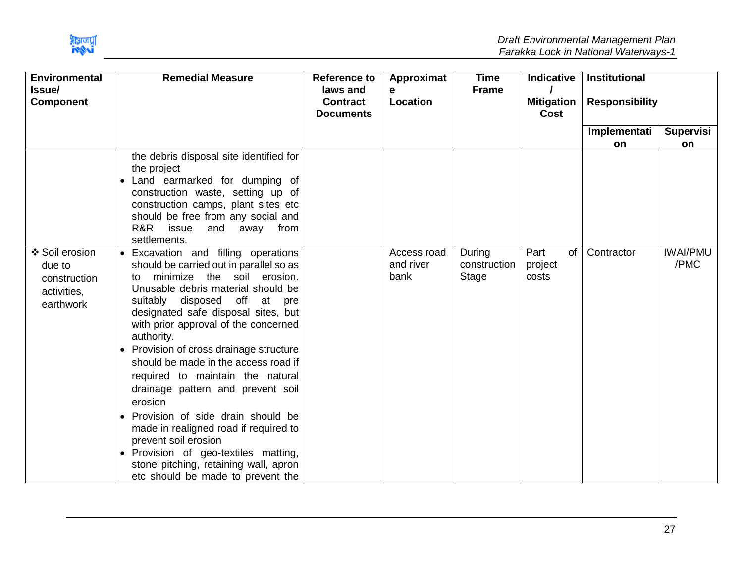

| <b>Environmental</b><br>Issue/                                       | <b>Remedial Measure</b>                                                                                                                                                                                                                                                                                                                                                                                                                                                                                                                                                                                                                                                                               | <b>Reference to</b><br>laws and     | Approximat<br>е                  | <b>Time</b><br><b>Frame</b>     | <b>Indicative</b>              | <b>Institutional</b>  |                         |
|----------------------------------------------------------------------|-------------------------------------------------------------------------------------------------------------------------------------------------------------------------------------------------------------------------------------------------------------------------------------------------------------------------------------------------------------------------------------------------------------------------------------------------------------------------------------------------------------------------------------------------------------------------------------------------------------------------------------------------------------------------------------------------------|-------------------------------------|----------------------------------|---------------------------------|--------------------------------|-----------------------|-------------------------|
| <b>Component</b>                                                     |                                                                                                                                                                                                                                                                                                                                                                                                                                                                                                                                                                                                                                                                                                       | <b>Contract</b><br><b>Documents</b> | Location                         |                                 | <b>Mitigation</b><br>Cost      | <b>Responsibility</b> |                         |
|                                                                      |                                                                                                                                                                                                                                                                                                                                                                                                                                                                                                                                                                                                                                                                                                       |                                     |                                  |                                 |                                | Implementati<br>on    | Supervisi<br>on         |
|                                                                      | the debris disposal site identified for<br>the project<br>Land earmarked for dumping of<br>construction waste, setting up of<br>construction camps, plant sites etc<br>should be free from any social and<br>R&R issue<br>and away from<br>settlements.                                                                                                                                                                                                                                                                                                                                                                                                                                               |                                     |                                  |                                 |                                |                       |                         |
| ❖ Soil erosion<br>due to<br>construction<br>activities,<br>earthwork | • Excavation and filling operations<br>should be carried out in parallel so as<br>minimize the soil erosion.<br>to<br>Unusable debris material should be<br>suitably disposed off at pre<br>designated safe disposal sites, but<br>with prior approval of the concerned<br>authority.<br>Provision of cross drainage structure<br>$\bullet$<br>should be made in the access road if<br>required to maintain the natural<br>drainage pattern and prevent soil<br>erosion<br>• Provision of side drain should be<br>made in realigned road if required to<br>prevent soil erosion<br>• Provision of geo-textiles matting,<br>stone pitching, retaining wall, apron<br>etc should be made to prevent the |                                     | Access road<br>and river<br>bank | During<br>construction<br>Stage | Part<br>of<br>project<br>costs | Contractor            | <b>IWAI/PMU</b><br>/PMC |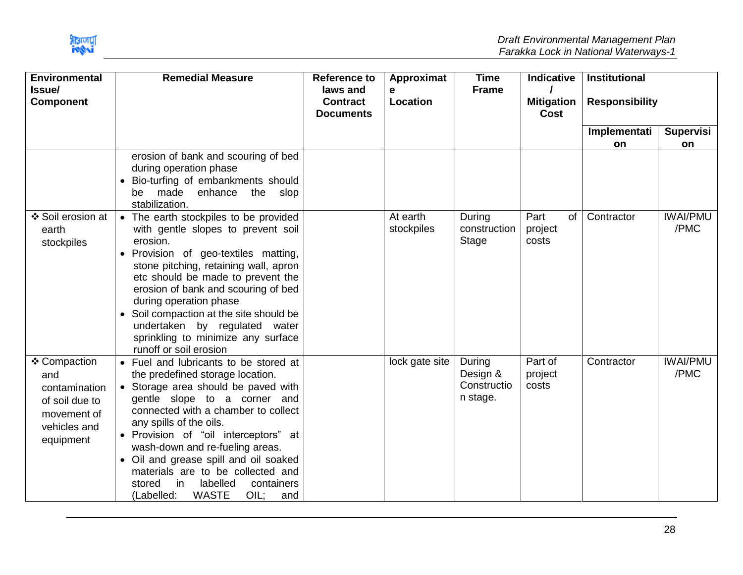

| <b>Environmental</b>                                                                               | <b>Remedial Measure</b>                                                                                                                                                                                                                                                                                                                                                                                                                                           | <b>Reference to</b>                             | Approximat             | <b>Time</b>                                   | <b>Indicative</b>              | <b>Institutional</b>  |                         |
|----------------------------------------------------------------------------------------------------|-------------------------------------------------------------------------------------------------------------------------------------------------------------------------------------------------------------------------------------------------------------------------------------------------------------------------------------------------------------------------------------------------------------------------------------------------------------------|-------------------------------------------------|------------------------|-----------------------------------------------|--------------------------------|-----------------------|-------------------------|
| <b>Issue/</b><br><b>Component</b>                                                                  |                                                                                                                                                                                                                                                                                                                                                                                                                                                                   | laws and<br><b>Contract</b><br><b>Documents</b> | e<br>Location          | <b>Frame</b>                                  | <b>Mitigation</b><br>Cost      | <b>Responsibility</b> |                         |
|                                                                                                    |                                                                                                                                                                                                                                                                                                                                                                                                                                                                   |                                                 |                        |                                               |                                | Implementati          | <b>Supervisi</b>        |
|                                                                                                    |                                                                                                                                                                                                                                                                                                                                                                                                                                                                   |                                                 |                        |                                               |                                | on                    | on                      |
|                                                                                                    | erosion of bank and scouring of bed<br>during operation phase<br>Bio-turfing of embankments should<br>made enhance the slop<br>be<br>stabilization.                                                                                                                                                                                                                                                                                                               |                                                 |                        |                                               |                                |                       |                         |
| ❖ Soil erosion at<br>earth<br>stockpiles                                                           | The earth stockpiles to be provided<br>$\bullet$<br>with gentle slopes to prevent soil<br>erosion.<br>Provision of geo-textiles matting,<br>stone pitching, retaining wall, apron<br>etc should be made to prevent the<br>erosion of bank and scouring of bed<br>during operation phase<br>• Soil compaction at the site should be<br>undertaken by regulated water<br>sprinkling to minimize any surface<br>runoff or soil erosion                               |                                                 | At earth<br>stockpiles | During<br>construction<br>Stage               | Part<br>of<br>project<br>costs | Contractor            | <b>IWAI/PMU</b><br>/PMC |
| ❖ Compaction<br>and<br>contamination<br>of soil due to<br>movement of<br>vehicles and<br>equipment | • Fuel and lubricants to be stored at<br>the predefined storage location.<br>• Storage area should be paved with<br>gentle slope to a corner and<br>connected with a chamber to collect<br>any spills of the oils.<br>· Provision of "oil interceptors" at<br>wash-down and re-fueling areas.<br>• Oil and grease spill and oil soaked<br>materials are to be collected and<br>in<br>labelled<br>stored<br>containers<br><b>WASTE</b><br>(Labelled:<br>OIL<br>and |                                                 | lock gate site         | During<br>Design &<br>Constructio<br>n stage. | Part of<br>project<br>costs    | Contractor            | <b>IWAI/PMU</b><br>/PMC |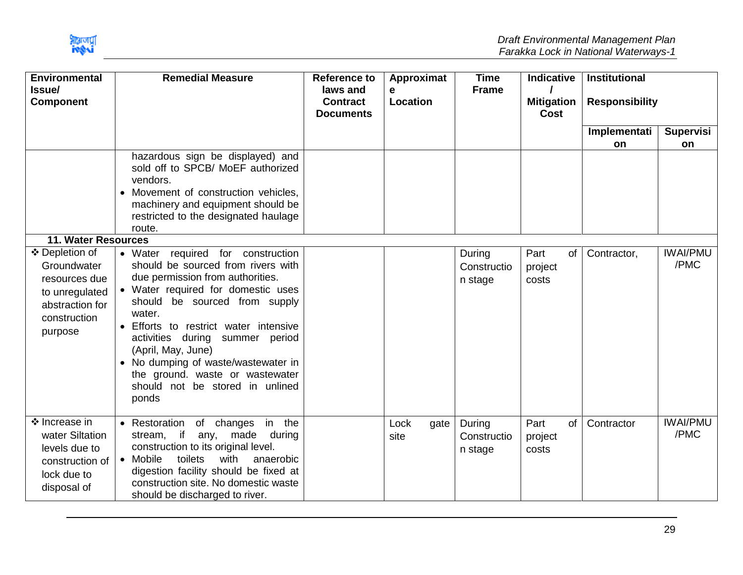

| <b>Environmental</b><br><b>Issue/</b><br><b>Component</b>                                                                                    | <b>Remedial Measure</b>                                                                                                                                                                                                                                                                                                                                                                                                                                                                                                                                                                                                     | <b>Reference to</b><br>laws and<br><b>Contract</b><br><b>Documents</b> | Approximat<br>e<br>Location | <b>Time</b><br><b>Frame</b>      | <b>Indicative</b><br><b>Mitigation</b><br><b>Cost</b> | <b>Institutional</b><br><b>Responsibility</b><br>Implementati | <b>Supervisi</b>        |
|----------------------------------------------------------------------------------------------------------------------------------------------|-----------------------------------------------------------------------------------------------------------------------------------------------------------------------------------------------------------------------------------------------------------------------------------------------------------------------------------------------------------------------------------------------------------------------------------------------------------------------------------------------------------------------------------------------------------------------------------------------------------------------------|------------------------------------------------------------------------|-----------------------------|----------------------------------|-------------------------------------------------------|---------------------------------------------------------------|-------------------------|
|                                                                                                                                              |                                                                                                                                                                                                                                                                                                                                                                                                                                                                                                                                                                                                                             |                                                                        |                             |                                  |                                                       | <b>on</b>                                                     | <b>on</b>               |
| <b>11. Water Resources</b><br>❖ Depletion of<br>Groundwater<br>resources due<br>to unregulated<br>abstraction for<br>construction<br>purpose | hazardous sign be displayed) and<br>sold off to SPCB/ MoEF authorized<br>vendors.<br>Movement of construction vehicles,<br>machinery and equipment should be<br>restricted to the designated haulage<br>route.<br>• Water required for construction<br>should be sourced from rivers with<br>due permission from authorities.<br>• Water required for domestic uses<br>should be sourced from supply<br>water.<br>• Efforts to restrict water intensive<br>activities during summer period<br>(April, May, June)<br>No dumping of waste/wastewater in<br>the ground. waste or wastewater<br>should not be stored in unlined |                                                                        |                             | During<br>Constructio<br>n stage | Part<br>of<br>project<br>costs                        | Contractor,                                                   | <b>IWAI/PMU</b><br>/PMC |
| ❖ Increase in<br>water Siltation<br>levels due to<br>construction of<br>lock due to<br>disposal of                                           | ponds<br>• Restoration of changes in the<br>stream, if any, made during<br>construction to its original level.<br>• Mobile<br>toilets<br>with<br>anaerobic<br>digestion facility should be fixed at<br>construction site. No domestic waste<br>should be discharged to river.                                                                                                                                                                                                                                                                                                                                               |                                                                        | Lock<br>gate<br>site        | During<br>Constructio<br>n stage | of<br>Part<br>project<br>costs                        | Contractor                                                    | <b>IWAI/PMU</b><br>/PMC |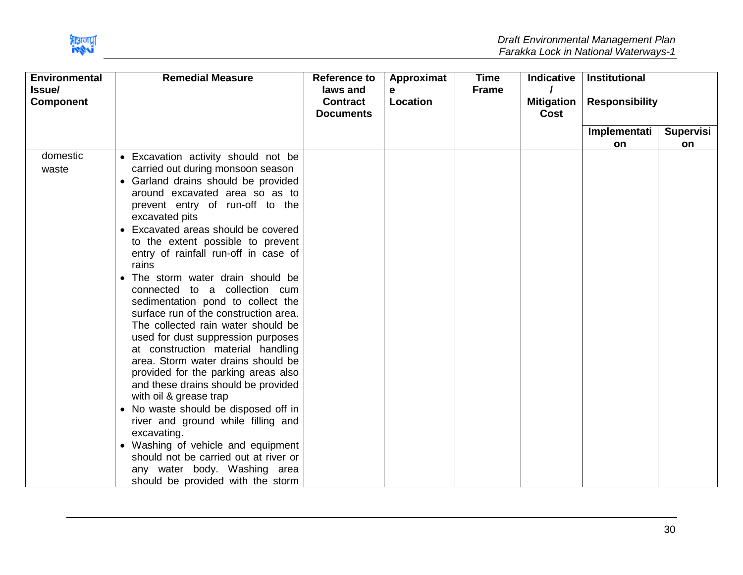

| <b>Environmental</b><br>Issue/<br><b>Component</b> | <b>Remedial Measure</b>               | <b>Reference to</b><br>laws and<br><b>Contract</b> | Approximat<br>е<br>Location | <b>Time</b><br><b>Frame</b> | <b>Indicative</b><br><b>Mitigation</b> | Institutional<br><b>Responsibility</b> |                  |
|----------------------------------------------------|---------------------------------------|----------------------------------------------------|-----------------------------|-----------------------------|----------------------------------------|----------------------------------------|------------------|
|                                                    |                                       | <b>Documents</b>                                   |                             |                             | <b>Cost</b>                            |                                        |                  |
|                                                    |                                       |                                                    |                             |                             |                                        | Implementati                           | <b>Supervisi</b> |
|                                                    |                                       |                                                    |                             |                             |                                        | on                                     | on               |
| domestic                                           | • Excavation activity should not be   |                                                    |                             |                             |                                        |                                        |                  |
| waste                                              | carried out during monsoon season     |                                                    |                             |                             |                                        |                                        |                  |
|                                                    | • Garland drains should be provided   |                                                    |                             |                             |                                        |                                        |                  |
|                                                    | around excavated area so as to        |                                                    |                             |                             |                                        |                                        |                  |
|                                                    | prevent entry of run-off to the       |                                                    |                             |                             |                                        |                                        |                  |
|                                                    | excavated pits                        |                                                    |                             |                             |                                        |                                        |                  |
|                                                    | • Excavated areas should be covered   |                                                    |                             |                             |                                        |                                        |                  |
|                                                    | to the extent possible to prevent     |                                                    |                             |                             |                                        |                                        |                  |
|                                                    | entry of rainfall run-off in case of  |                                                    |                             |                             |                                        |                                        |                  |
|                                                    | rains                                 |                                                    |                             |                             |                                        |                                        |                  |
|                                                    | • The storm water drain should be     |                                                    |                             |                             |                                        |                                        |                  |
|                                                    | connected to a collection cum         |                                                    |                             |                             |                                        |                                        |                  |
|                                                    | sedimentation pond to collect the     |                                                    |                             |                             |                                        |                                        |                  |
|                                                    | surface run of the construction area. |                                                    |                             |                             |                                        |                                        |                  |
|                                                    | The collected rain water should be    |                                                    |                             |                             |                                        |                                        |                  |
|                                                    | used for dust suppression purposes    |                                                    |                             |                             |                                        |                                        |                  |
|                                                    | at construction material handling     |                                                    |                             |                             |                                        |                                        |                  |
|                                                    | area. Storm water drains should be    |                                                    |                             |                             |                                        |                                        |                  |
|                                                    | provided for the parking areas also   |                                                    |                             |                             |                                        |                                        |                  |
|                                                    | and these drains should be provided   |                                                    |                             |                             |                                        |                                        |                  |
|                                                    | with oil & grease trap                |                                                    |                             |                             |                                        |                                        |                  |
|                                                    | • No waste should be disposed off in  |                                                    |                             |                             |                                        |                                        |                  |
|                                                    | river and ground while filling and    |                                                    |                             |                             |                                        |                                        |                  |
|                                                    | excavating.                           |                                                    |                             |                             |                                        |                                        |                  |
|                                                    | • Washing of vehicle and equipment    |                                                    |                             |                             |                                        |                                        |                  |
|                                                    | should not be carried out at river or |                                                    |                             |                             |                                        |                                        |                  |
|                                                    | any water body. Washing area          |                                                    |                             |                             |                                        |                                        |                  |
|                                                    | should be provided with the storm     |                                                    |                             |                             |                                        |                                        |                  |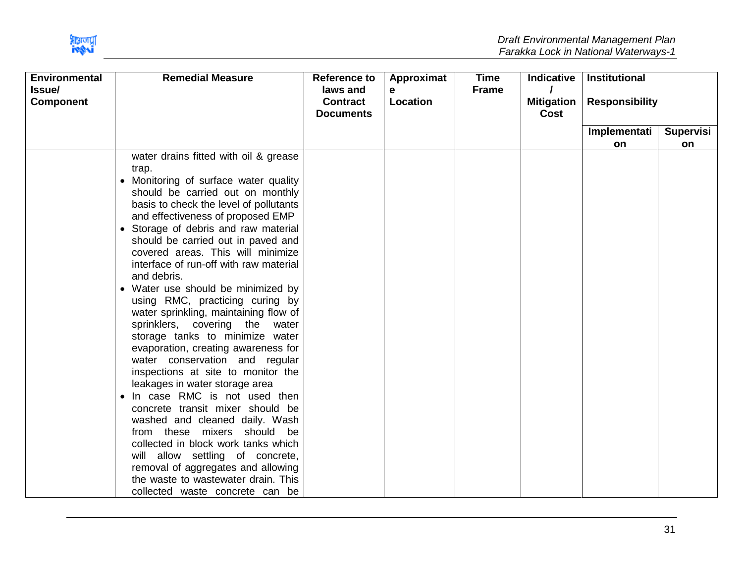

| <b>Environmental</b><br>Issue/ | <b>Remedial Measure</b>                | <b>Reference to</b><br>laws and     | Approximat<br>е | <b>Time</b><br><b>Frame</b> | <b>Indicative</b>         | Institutional         |                  |
|--------------------------------|----------------------------------------|-------------------------------------|-----------------|-----------------------------|---------------------------|-----------------------|------------------|
| <b>Component</b>               |                                        | <b>Contract</b><br><b>Documents</b> | Location        |                             | <b>Mitigation</b><br>Cost | <b>Responsibility</b> |                  |
|                                |                                        |                                     |                 |                             |                           | Implementati          | <b>Supervisi</b> |
|                                |                                        |                                     |                 |                             |                           | on                    | on               |
|                                | water drains fitted with oil & grease  |                                     |                 |                             |                           |                       |                  |
|                                | trap.                                  |                                     |                 |                             |                           |                       |                  |
|                                | • Monitoring of surface water quality  |                                     |                 |                             |                           |                       |                  |
|                                | should be carried out on monthly       |                                     |                 |                             |                           |                       |                  |
|                                | basis to check the level of pollutants |                                     |                 |                             |                           |                       |                  |
|                                | and effectiveness of proposed EMP      |                                     |                 |                             |                           |                       |                  |
|                                | • Storage of debris and raw material   |                                     |                 |                             |                           |                       |                  |
|                                | should be carried out in paved and     |                                     |                 |                             |                           |                       |                  |
|                                | covered areas. This will minimize      |                                     |                 |                             |                           |                       |                  |
|                                | interface of run-off with raw material |                                     |                 |                             |                           |                       |                  |
|                                | and debris.                            |                                     |                 |                             |                           |                       |                  |
|                                | • Water use should be minimized by     |                                     |                 |                             |                           |                       |                  |
|                                | using RMC, practicing curing by        |                                     |                 |                             |                           |                       |                  |
|                                | water sprinkling, maintaining flow of  |                                     |                 |                             |                           |                       |                  |
|                                | sprinklers, covering the water         |                                     |                 |                             |                           |                       |                  |
|                                | storage tanks to minimize water        |                                     |                 |                             |                           |                       |                  |
|                                | evaporation, creating awareness for    |                                     |                 |                             |                           |                       |                  |
|                                | water conservation and regular         |                                     |                 |                             |                           |                       |                  |
|                                | inspections at site to monitor the     |                                     |                 |                             |                           |                       |                  |
|                                | leakages in water storage area         |                                     |                 |                             |                           |                       |                  |
|                                | • In case RMC is not used then         |                                     |                 |                             |                           |                       |                  |
|                                | concrete transit mixer should be       |                                     |                 |                             |                           |                       |                  |
|                                | washed and cleaned daily. Wash         |                                     |                 |                             |                           |                       |                  |
|                                | from these mixers should be            |                                     |                 |                             |                           |                       |                  |
|                                | collected in block work tanks which    |                                     |                 |                             |                           |                       |                  |
|                                | will allow settling of concrete,       |                                     |                 |                             |                           |                       |                  |
|                                | removal of aggregates and allowing     |                                     |                 |                             |                           |                       |                  |
|                                | the waste to wastewater drain. This    |                                     |                 |                             |                           |                       |                  |
|                                | collected waste concrete can be        |                                     |                 |                             |                           |                       |                  |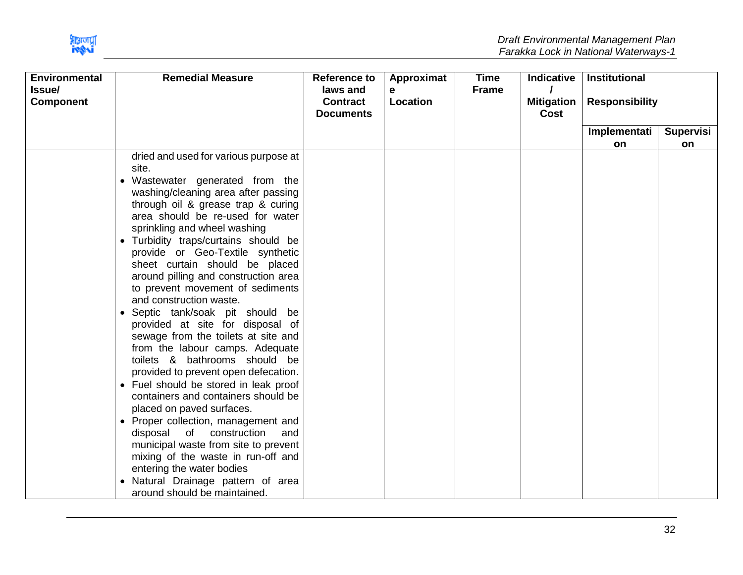

| <b>Environmental</b>       | <b>Remedial Measure</b>                                                                                                                                                                                                                                                                                                                                                                                                                                                                                                                                                                                                                                                                                                                                                                                                                                                                                                                                                                                                               | <b>Reference to</b>                             | Approximat    | <b>Time</b>  | <b>Indicative</b>         | <b>Institutional</b>  |                  |
|----------------------------|---------------------------------------------------------------------------------------------------------------------------------------------------------------------------------------------------------------------------------------------------------------------------------------------------------------------------------------------------------------------------------------------------------------------------------------------------------------------------------------------------------------------------------------------------------------------------------------------------------------------------------------------------------------------------------------------------------------------------------------------------------------------------------------------------------------------------------------------------------------------------------------------------------------------------------------------------------------------------------------------------------------------------------------|-------------------------------------------------|---------------|--------------|---------------------------|-----------------------|------------------|
| Issue/<br><b>Component</b> |                                                                                                                                                                                                                                                                                                                                                                                                                                                                                                                                                                                                                                                                                                                                                                                                                                                                                                                                                                                                                                       | laws and<br><b>Contract</b><br><b>Documents</b> | e<br>Location | <b>Frame</b> | <b>Mitigation</b><br>Cost | <b>Responsibility</b> |                  |
|                            |                                                                                                                                                                                                                                                                                                                                                                                                                                                                                                                                                                                                                                                                                                                                                                                                                                                                                                                                                                                                                                       |                                                 |               |              |                           | Implementati          | <b>Supervisi</b> |
|                            |                                                                                                                                                                                                                                                                                                                                                                                                                                                                                                                                                                                                                                                                                                                                                                                                                                                                                                                                                                                                                                       |                                                 |               |              |                           | on                    | on               |
|                            | dried and used for various purpose at<br>site.<br>Wastewater generated from the<br>$\bullet$<br>washing/cleaning area after passing<br>through oil & grease trap & curing<br>area should be re-used for water<br>sprinkling and wheel washing<br>• Turbidity traps/curtains should be<br>provide or Geo-Textile synthetic<br>sheet curtain should be placed<br>around pilling and construction area<br>to prevent movement of sediments<br>and construction waste.<br>• Septic tank/soak pit should be<br>provided at site for disposal of<br>sewage from the toilets at site and<br>from the labour camps. Adequate<br>toilets & bathrooms should be<br>provided to prevent open defecation.<br>• Fuel should be stored in leak proof<br>containers and containers should be<br>placed on paved surfaces.<br>• Proper collection, management and<br>disposal of construction<br>and<br>municipal waste from site to prevent<br>mixing of the waste in run-off and<br>entering the water bodies<br>· Natural Drainage pattern of area |                                                 |               |              |                           |                       |                  |
|                            | around should be maintained.                                                                                                                                                                                                                                                                                                                                                                                                                                                                                                                                                                                                                                                                                                                                                                                                                                                                                                                                                                                                          |                                                 |               |              |                           |                       |                  |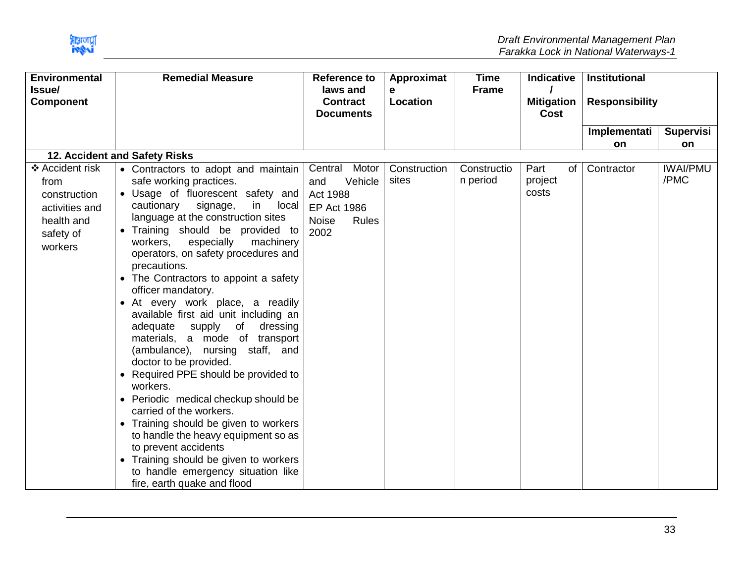

| <b>Environmental</b>                                                                            | <b>Remedial Measure</b>                                                                                                                                                                                                                                                                                                                                                                                                                                                                                                                                                                                                                                                                                                                                                                                                                                                                                                                      | <b>Reference to</b>                                                                                       | Approximat            | <b>Time</b>             | <b>Indicative</b>                | Institutional         |                         |
|-------------------------------------------------------------------------------------------------|----------------------------------------------------------------------------------------------------------------------------------------------------------------------------------------------------------------------------------------------------------------------------------------------------------------------------------------------------------------------------------------------------------------------------------------------------------------------------------------------------------------------------------------------------------------------------------------------------------------------------------------------------------------------------------------------------------------------------------------------------------------------------------------------------------------------------------------------------------------------------------------------------------------------------------------------|-----------------------------------------------------------------------------------------------------------|-----------------------|-------------------------|----------------------------------|-----------------------|-------------------------|
| Issue/<br><b>Component</b>                                                                      |                                                                                                                                                                                                                                                                                                                                                                                                                                                                                                                                                                                                                                                                                                                                                                                                                                                                                                                                              | laws and<br><b>Contract</b><br><b>Documents</b>                                                           | e<br>Location         | <b>Frame</b>            | <b>Mitigation</b><br><b>Cost</b> | <b>Responsibility</b> |                         |
|                                                                                                 |                                                                                                                                                                                                                                                                                                                                                                                                                                                                                                                                                                                                                                                                                                                                                                                                                                                                                                                                              |                                                                                                           |                       |                         |                                  | Implementati          | <b>Supervisi</b>        |
|                                                                                                 | 12. Accident and Safety Risks                                                                                                                                                                                                                                                                                                                                                                                                                                                                                                                                                                                                                                                                                                                                                                                                                                                                                                                |                                                                                                           |                       |                         |                                  | <b>on</b>             | on                      |
| ❖ Accident risk<br>from<br>construction<br>activities and<br>health and<br>safety of<br>workers | • Contractors to adopt and maintain<br>safe working practices.<br>• Usage of fluorescent safety and<br>cautionary<br>signage,<br>in<br>local<br>language at the construction sites<br>• Training should be provided to<br>workers,<br>especially<br>machinery<br>operators, on safety procedures and<br>precautions.<br>• The Contractors to appoint a safety<br>officer mandatory.<br>• At every work place, a readily<br>available first aid unit including an<br>adequate supply of<br>dressing<br>materials, a mode of transport<br>(ambulance), nursing staff, and<br>doctor to be provided.<br>• Required PPE should be provided to<br>workers.<br>• Periodic medical checkup should be<br>carried of the workers.<br>Training should be given to workers<br>to handle the heavy equipment so as<br>to prevent accidents<br>• Training should be given to workers<br>to handle emergency situation like<br>fire, earth quake and flood | Central Motor<br>Vehicle<br>and<br><b>Act 1988</b><br><b>EP Act 1986</b><br><b>Noise</b><br>Rules<br>2002 | Construction<br>sites | Constructio<br>n period | Part<br>of<br>project<br>costs   | Contractor            | <b>IWAI/PMU</b><br>/PMC |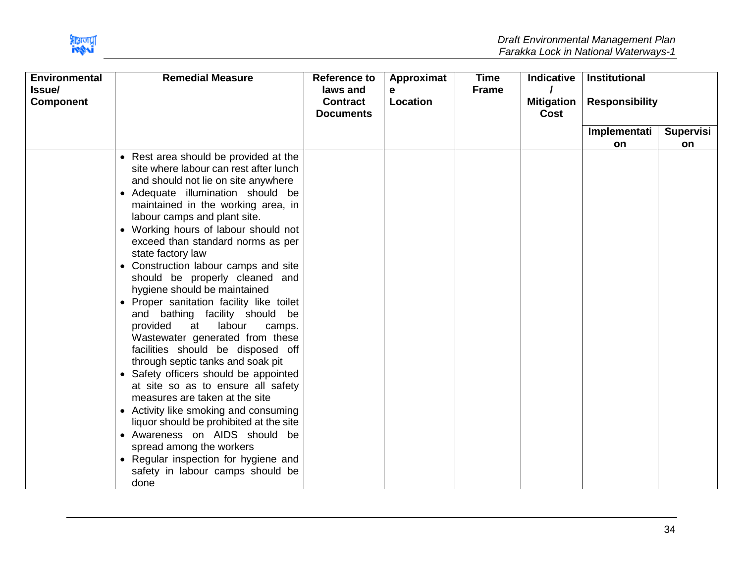

| <b>Remedial Measure</b><br><b>Environmental</b><br>Issue/<br><b>Component</b>                                                                                                                                                                                                                                                                                                                                                                                                                                                                                                                                                                                                                                                                                                                                                                                                                                                                                                                                                        | <b>Reference to</b><br>laws and<br><b>Contract</b><br><b>Documents</b> | Approximat<br>е<br>Location | <b>Time</b><br><b>Frame</b> | <b>Indicative</b><br><b>Mitigation</b><br>Cost | <b>Institutional</b><br><b>Responsibility</b> |                  |
|--------------------------------------------------------------------------------------------------------------------------------------------------------------------------------------------------------------------------------------------------------------------------------------------------------------------------------------------------------------------------------------------------------------------------------------------------------------------------------------------------------------------------------------------------------------------------------------------------------------------------------------------------------------------------------------------------------------------------------------------------------------------------------------------------------------------------------------------------------------------------------------------------------------------------------------------------------------------------------------------------------------------------------------|------------------------------------------------------------------------|-----------------------------|-----------------------------|------------------------------------------------|-----------------------------------------------|------------------|
|                                                                                                                                                                                                                                                                                                                                                                                                                                                                                                                                                                                                                                                                                                                                                                                                                                                                                                                                                                                                                                      |                                                                        |                             |                             |                                                | Implementati                                  | <b>Supervisi</b> |
|                                                                                                                                                                                                                                                                                                                                                                                                                                                                                                                                                                                                                                                                                                                                                                                                                                                                                                                                                                                                                                      |                                                                        |                             |                             |                                                | <b>on</b>                                     | on               |
| • Rest area should be provided at the<br>site where labour can rest after lunch<br>and should not lie on site anywhere<br>• Adequate illumination should be<br>maintained in the working area, in<br>labour camps and plant site.<br>• Working hours of labour should not<br>exceed than standard norms as per<br>state factory law<br>• Construction labour camps and site<br>should be properly cleaned and<br>hygiene should be maintained<br>• Proper sanitation facility like toilet<br>and bathing facility should be<br>provided<br>at<br>labour<br>camps.<br>Wastewater generated from these<br>facilities should be disposed off<br>through septic tanks and soak pit<br>• Safety officers should be appointed<br>at site so as to ensure all safety<br>measures are taken at the site<br>• Activity like smoking and consuming<br>liquor should be prohibited at the site<br>• Awareness on AIDS should be<br>spread among the workers<br>• Regular inspection for hygiene and<br>safety in labour camps should be<br>done |                                                                        |                             |                             |                                                |                                               |                  |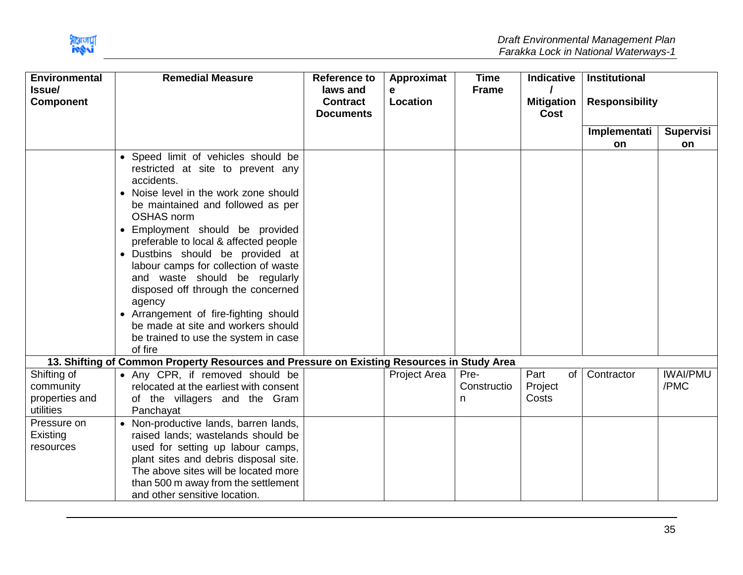

| <b>Environmental</b>                                    | <b>Remedial Measure</b>                                                                                                                                                                                                                                                                                                                                                                                                                                                                                                                                   | <b>Reference to</b>                             | Approximat          | <b>Time</b>              | <b>Indicative</b>              | <b>Institutional</b>  |                         |
|---------------------------------------------------------|-----------------------------------------------------------------------------------------------------------------------------------------------------------------------------------------------------------------------------------------------------------------------------------------------------------------------------------------------------------------------------------------------------------------------------------------------------------------------------------------------------------------------------------------------------------|-------------------------------------------------|---------------------|--------------------------|--------------------------------|-----------------------|-------------------------|
| Issue/<br><b>Component</b>                              |                                                                                                                                                                                                                                                                                                                                                                                                                                                                                                                                                           | laws and<br><b>Contract</b><br><b>Documents</b> | e<br>Location       | <b>Frame</b>             | <b>Mitigation</b><br>Cost      | <b>Responsibility</b> |                         |
|                                                         |                                                                                                                                                                                                                                                                                                                                                                                                                                                                                                                                                           |                                                 |                     |                          |                                | Implementati          | <b>Supervisi</b>        |
|                                                         |                                                                                                                                                                                                                                                                                                                                                                                                                                                                                                                                                           |                                                 |                     |                          |                                | <b>on</b>             | on                      |
|                                                         | • Speed limit of vehicles should be<br>restricted at site to prevent any<br>accidents.<br>• Noise level in the work zone should<br>be maintained and followed as per<br><b>OSHAS norm</b><br>• Employment should be provided<br>preferable to local & affected people<br>· Dustbins should be provided at<br>labour camps for collection of waste<br>and waste should be regularly<br>disposed off through the concerned<br>agency<br>• Arrangement of fire-fighting should<br>be made at site and workers should<br>be trained to use the system in case |                                                 |                     |                          |                                |                       |                         |
|                                                         | of fire                                                                                                                                                                                                                                                                                                                                                                                                                                                                                                                                                   |                                                 |                     |                          |                                |                       |                         |
|                                                         | 13. Shifting of Common Property Resources and Pressure on Existing Resources in Study Area                                                                                                                                                                                                                                                                                                                                                                                                                                                                |                                                 |                     |                          |                                |                       |                         |
| Shifting of<br>community<br>properties and<br>utilities | • Any CPR, if removed should be<br>relocated at the earliest with consent<br>of the villagers and the Gram<br>Panchayat                                                                                                                                                                                                                                                                                                                                                                                                                                   |                                                 | <b>Project Area</b> | Pre-<br>Constructio<br>n | Part<br>of<br>Project<br>Costs | Contractor            | <b>IWAI/PMU</b><br>/PMC |
| Pressure on<br>Existing<br>resources                    | Non-productive lands, barren lands,<br>raised lands; wastelands should be<br>used for setting up labour camps,<br>plant sites and debris disposal site.<br>The above sites will be located more<br>than 500 m away from the settlement<br>and other sensitive location.                                                                                                                                                                                                                                                                                   |                                                 |                     |                          |                                |                       |                         |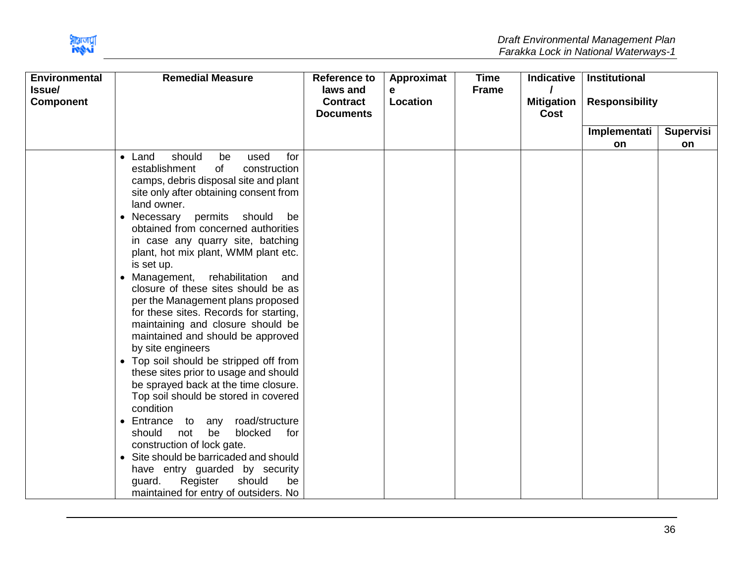

| <b>Environmental</b>       | <b>Remedial Measure</b>                                                                                                                                                                                                                                                                                                                                                                                                                                                                                                                                                                                                                                                                                                                                                                                                                                                                                                                                                                                                                                                                                                     | <b>Reference to</b>                             | Approximat    | <b>Time</b>  | <b>Indicative</b>         | <b>Institutional</b>  |                  |
|----------------------------|-----------------------------------------------------------------------------------------------------------------------------------------------------------------------------------------------------------------------------------------------------------------------------------------------------------------------------------------------------------------------------------------------------------------------------------------------------------------------------------------------------------------------------------------------------------------------------------------------------------------------------------------------------------------------------------------------------------------------------------------------------------------------------------------------------------------------------------------------------------------------------------------------------------------------------------------------------------------------------------------------------------------------------------------------------------------------------------------------------------------------------|-------------------------------------------------|---------------|--------------|---------------------------|-----------------------|------------------|
| Issue/<br><b>Component</b> |                                                                                                                                                                                                                                                                                                                                                                                                                                                                                                                                                                                                                                                                                                                                                                                                                                                                                                                                                                                                                                                                                                                             | laws and<br><b>Contract</b><br><b>Documents</b> | e<br>Location | <b>Frame</b> | <b>Mitigation</b><br>Cost | <b>Responsibility</b> |                  |
|                            |                                                                                                                                                                                                                                                                                                                                                                                                                                                                                                                                                                                                                                                                                                                                                                                                                                                                                                                                                                                                                                                                                                                             |                                                 |               |              |                           | Implementati          | <b>Supervisi</b> |
|                            |                                                                                                                                                                                                                                                                                                                                                                                                                                                                                                                                                                                                                                                                                                                                                                                                                                                                                                                                                                                                                                                                                                                             |                                                 |               |              |                           | <b>on</b>             | on               |
|                            | should<br>used<br>for<br>$\bullet$ Land<br>be<br>establishment<br>of<br>construction<br>camps, debris disposal site and plant<br>site only after obtaining consent from<br>land owner.<br>• Necessary permits should<br>be<br>obtained from concerned authorities<br>in case any quarry site, batching<br>plant, hot mix plant, WMM plant etc.<br>is set up.<br>rehabilitation<br>Management,<br>and<br>$\bullet$<br>closure of these sites should be as<br>per the Management plans proposed<br>for these sites. Records for starting,<br>maintaining and closure should be<br>maintained and should be approved<br>by site engineers<br>Top soil should be stripped off from<br>$\bullet$<br>these sites prior to usage and should<br>be sprayed back at the time closure.<br>Top soil should be stored in covered<br>condition<br>road/structure<br>• Entrance<br>to<br>any<br>blocked<br>be<br>for<br>should<br>not<br>construction of lock gate.<br>Site should be barricaded and should<br>$\bullet$<br>have entry guarded by security<br>Register<br>should<br>be<br>guard.<br>maintained for entry of outsiders. No |                                                 |               |              |                           |                       |                  |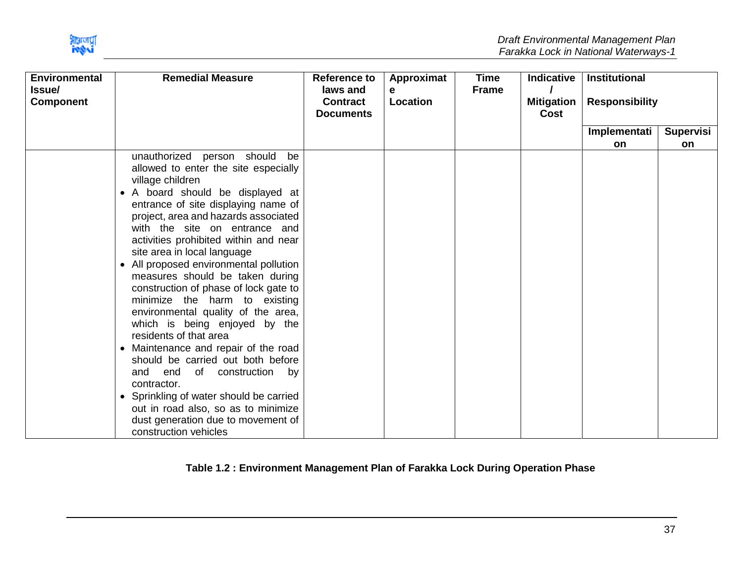

| <b>Environmental</b><br><b>Issue/</b><br><b>Component</b> | <b>Remedial Measure</b>                                                                                                                                                                                                                                                                                                                                                                                                                                                                                                                                                                                                                                                                                                                                                                                                  | <b>Reference to</b><br>laws and<br><b>Contract</b><br><b>Documents</b> | Approximat<br>е<br>Location | Time<br><b>Frame</b> | <b>Indicative</b><br><b>Mitigation</b><br>Cost | <b>Institutional</b><br><b>Responsibility</b> |           |
|-----------------------------------------------------------|--------------------------------------------------------------------------------------------------------------------------------------------------------------------------------------------------------------------------------------------------------------------------------------------------------------------------------------------------------------------------------------------------------------------------------------------------------------------------------------------------------------------------------------------------------------------------------------------------------------------------------------------------------------------------------------------------------------------------------------------------------------------------------------------------------------------------|------------------------------------------------------------------------|-----------------------------|----------------------|------------------------------------------------|-----------------------------------------------|-----------|
|                                                           |                                                                                                                                                                                                                                                                                                                                                                                                                                                                                                                                                                                                                                                                                                                                                                                                                          |                                                                        |                             |                      |                                                | Implementati                                  | Supervisi |
|                                                           |                                                                                                                                                                                                                                                                                                                                                                                                                                                                                                                                                                                                                                                                                                                                                                                                                          |                                                                        |                             |                      |                                                | on                                            | on        |
|                                                           | unauthorized person should be<br>allowed to enter the site especially<br>village children<br>• A board should be displayed at<br>entrance of site displaying name of<br>project, area and hazards associated<br>with the site on entrance and<br>activities prohibited within and near<br>site area in local language<br>All proposed environmental pollution<br>$\bullet$<br>measures should be taken during<br>construction of phase of lock gate to<br>minimize the harm to existing<br>environmental quality of the area,<br>which is being enjoyed by the<br>residents of that area<br>Maintenance and repair of the road<br>$\bullet$<br>should be carried out both before<br>and<br>end<br>of construction<br>by<br>contractor.<br>• Sprinkling of water should be carried<br>out in road also, so as to minimize |                                                                        |                             |                      |                                                |                                               |           |
|                                                           | dust generation due to movement of<br>construction vehicles                                                                                                                                                                                                                                                                                                                                                                                                                                                                                                                                                                                                                                                                                                                                                              |                                                                        |                             |                      |                                                |                                               |           |

<span id="page-37-0"></span>**Table 1.2 : Environment Management Plan of Farakka Lock During Operation Phase**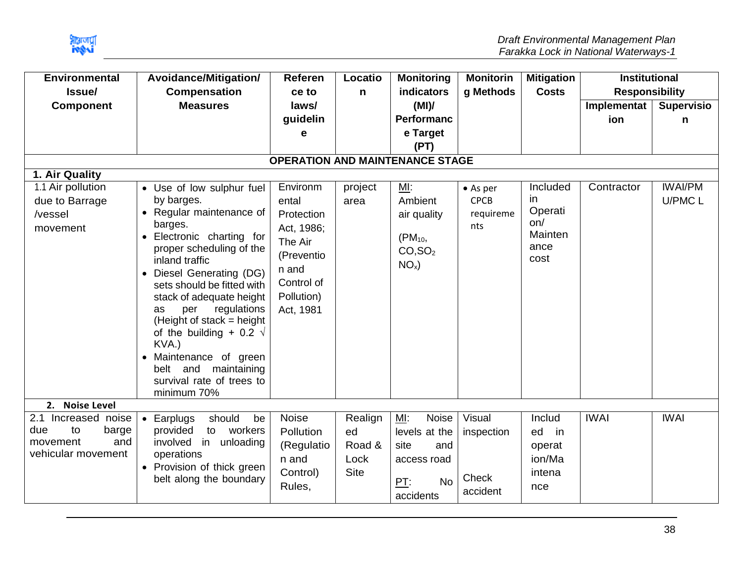

| <b>Environmental</b>                   | Avoidance/Mitigation/                                | Referen    | Locatio      | <b>Monitoring</b>   | <b>Monitorin</b> | <b>Mitigation</b> | <b>Institutional</b>  |                   |  |
|----------------------------------------|------------------------------------------------------|------------|--------------|---------------------|------------------|-------------------|-----------------------|-------------------|--|
| Issue/                                 | <b>Compensation</b>                                  | ce to      | $\mathsf{n}$ | indicators          | g Methods        | <b>Costs</b>      | <b>Responsibility</b> |                   |  |
| <b>Component</b>                       | <b>Measures</b>                                      | laws/      |              | (MI)                |                  |                   | Implementat           | <b>Supervisio</b> |  |
|                                        |                                                      | guidelin   |              | Performanc          |                  |                   | ion                   | n                 |  |
|                                        |                                                      | е          |              | e Target            |                  |                   |                       |                   |  |
|                                        |                                                      |            |              | (PT)                |                  |                   |                       |                   |  |
| <b>OPERATION AND MAINTENANCE STAGE</b> |                                                      |            |              |                     |                  |                   |                       |                   |  |
| 1. Air Quality                         |                                                      |            |              |                     |                  |                   |                       |                   |  |
| 1.1 Air pollution                      | • Use of low sulphur fuel                            | Environm   | project      | MI:                 | $\bullet$ As per | Included          | Contractor            | <b>IWAI/PM</b>    |  |
| due to Barrage                         | by barges.                                           | ental      | area         | Ambient             | <b>CPCB</b>      | in.               |                       | U/PMC L           |  |
| /vessel                                | • Regular maintenance of                             | Protection |              | air quality         | requireme        | Operati           |                       |                   |  |
| movement                               | barges.                                              | Act, 1986; |              |                     | nts              | on/<br>Mainten    |                       |                   |  |
|                                        | Electronic charting for<br>$\bullet$                 | The Air    |              | $(PM_{10},$         |                  | ance              |                       |                   |  |
|                                        | proper scheduling of the<br>inland traffic           | (Preventio |              | CO, SO <sub>2</sub> |                  | cost              |                       |                   |  |
|                                        | Diesel Generating (DG)<br>$\bullet$                  | n and      |              | $NOx$ )             |                  |                   |                       |                   |  |
|                                        | sets should be fitted with                           | Control of |              |                     |                  |                   |                       |                   |  |
|                                        | stack of adequate height                             | Pollution) |              |                     |                  |                   |                       |                   |  |
|                                        | regulations<br>per<br>as                             | Act, 1981  |              |                     |                  |                   |                       |                   |  |
|                                        | (Height of stack = height                            |            |              |                     |                  |                   |                       |                   |  |
|                                        | of the building + 0.2 $\sqrt{ }$                     |            |              |                     |                  |                   |                       |                   |  |
|                                        | KVA.)                                                |            |              |                     |                  |                   |                       |                   |  |
|                                        | Maintenance of green<br>$\bullet$                    |            |              |                     |                  |                   |                       |                   |  |
|                                        | belt and<br>maintaining<br>survival rate of trees to |            |              |                     |                  |                   |                       |                   |  |
|                                        | minimum 70%                                          |            |              |                     |                  |                   |                       |                   |  |
| 2. Noise Level                         |                                                      |            |              |                     |                  |                   |                       |                   |  |
| 2.1 Increased noise                    | should<br>Earplugs<br>be<br>$\bullet$                | Noise      | Realign      | ML:<br>Noise        | Visual           | Includ            | <b>IWAI</b>           | <b>IWAI</b>       |  |
| due<br>to<br>barge                     | provided<br>to workers                               | Pollution  | ed           | levels at the       | inspection       | ed<br>in          |                       |                   |  |
| and<br>movement                        | involved<br>in<br>unloading                          | (Regulatio | Road &       | site<br>and         |                  | operat            |                       |                   |  |
| vehicular movement                     | operations                                           | n and      | Lock         | access road         |                  | ion/Ma            |                       |                   |  |
|                                        | • Provision of thick green                           | Control)   | <b>Site</b>  |                     |                  | intena            |                       |                   |  |
|                                        | belt along the boundary                              | Rules,     |              | <b>No</b><br>PT:    | Check            | nce               |                       |                   |  |
|                                        |                                                      |            |              | accidents           | accident         |                   |                       |                   |  |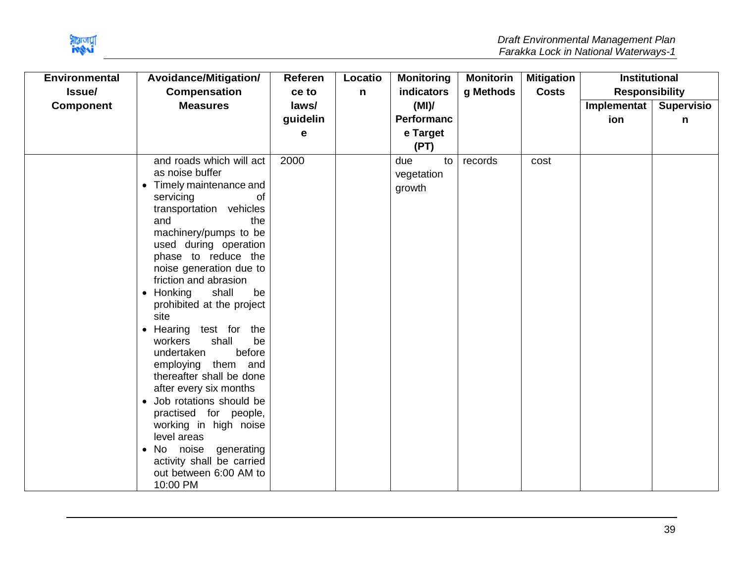

| <b>Environmental</b> | Avoidance/Mitigation/                        | <b>Referen</b> | Locatio | <b>Monitoring</b> | <b>Monitorin</b> | <b>Mitigation</b> | <b>Institutional</b>  |                   |
|----------------------|----------------------------------------------|----------------|---------|-------------------|------------------|-------------------|-----------------------|-------------------|
| Issue/               | <b>Compensation</b>                          | ce to          | n       | indicators        | g Methods        | <b>Costs</b>      | <b>Responsibility</b> |                   |
| <b>Component</b>     | <b>Measures</b>                              | laws/          |         | (MI)              |                  |                   | Implementat           | <b>Supervisio</b> |
|                      |                                              | guidelin       |         | <b>Performanc</b> |                  |                   | ion                   | n                 |
|                      |                                              | е              |         | e Target          |                  |                   |                       |                   |
|                      |                                              |                |         | (PT)              |                  |                   |                       |                   |
|                      | and roads which will act                     | 2000           |         | due<br>to         | records          | cost              |                       |                   |
|                      | as noise buffer                              |                |         | vegetation        |                  |                   |                       |                   |
|                      | Timely maintenance and<br>$\bullet$          |                |         | growth            |                  |                   |                       |                   |
|                      | servicing<br><b>of</b>                       |                |         |                   |                  |                   |                       |                   |
|                      | transportation vehicles                      |                |         |                   |                  |                   |                       |                   |
|                      | and<br>the                                   |                |         |                   |                  |                   |                       |                   |
|                      | machinery/pumps to be                        |                |         |                   |                  |                   |                       |                   |
|                      | used during operation<br>phase to reduce the |                |         |                   |                  |                   |                       |                   |
|                      | noise generation due to                      |                |         |                   |                  |                   |                       |                   |
|                      | friction and abrasion                        |                |         |                   |                  |                   |                       |                   |
|                      | $\bullet$ Honking<br>shall<br>be             |                |         |                   |                  |                   |                       |                   |
|                      | prohibited at the project                    |                |         |                   |                  |                   |                       |                   |
|                      | site                                         |                |         |                   |                  |                   |                       |                   |
|                      | Hearing test for the<br>$\bullet$            |                |         |                   |                  |                   |                       |                   |
|                      | be<br>shall<br>workers                       |                |         |                   |                  |                   |                       |                   |
|                      | before<br>undertaken                         |                |         |                   |                  |                   |                       |                   |
|                      | employing them and                           |                |         |                   |                  |                   |                       |                   |
|                      | thereafter shall be done                     |                |         |                   |                  |                   |                       |                   |
|                      | after every six months                       |                |         |                   |                  |                   |                       |                   |
|                      | Job rotations should be                      |                |         |                   |                  |                   |                       |                   |
|                      | practised for people,                        |                |         |                   |                  |                   |                       |                   |
|                      | working in high noise<br>level areas         |                |         |                   |                  |                   |                       |                   |
|                      | noise<br>generating<br>No<br>$\bullet$       |                |         |                   |                  |                   |                       |                   |
|                      | activity shall be carried                    |                |         |                   |                  |                   |                       |                   |
|                      | out between 6:00 AM to                       |                |         |                   |                  |                   |                       |                   |
|                      | 10:00 PM                                     |                |         |                   |                  |                   |                       |                   |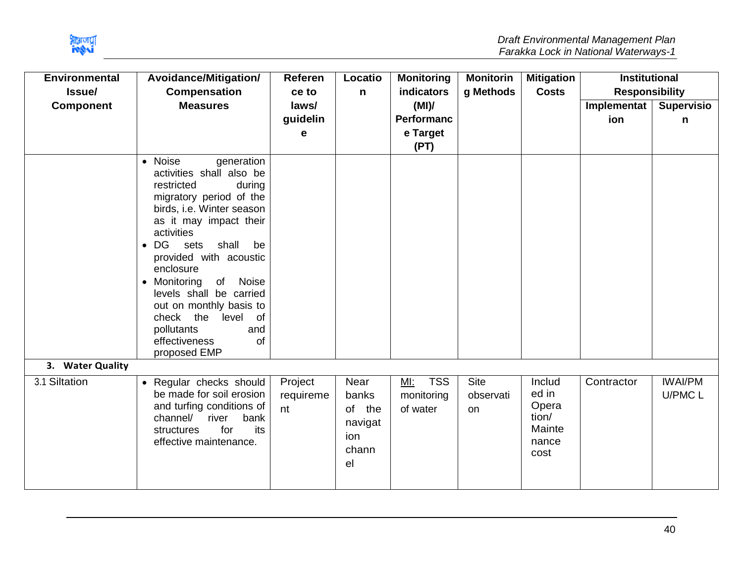

| <b>Environmental</b><br>Issue/ | Avoidance/Mitigation/<br><b>Compensation</b>                                                                                                                                                                                                                                                                                                                                                                                            | Referen<br>ce to           | Locatio<br>n                                             | <b>Monitoring</b><br><b>indicators</b>        | <b>Monitorin</b><br>g Methods  | <b>Mitigation</b><br><b>Costs</b>                            | <b>Institutional</b><br><b>Responsibility</b> |                           |
|--------------------------------|-----------------------------------------------------------------------------------------------------------------------------------------------------------------------------------------------------------------------------------------------------------------------------------------------------------------------------------------------------------------------------------------------------------------------------------------|----------------------------|----------------------------------------------------------|-----------------------------------------------|--------------------------------|--------------------------------------------------------------|-----------------------------------------------|---------------------------|
| <b>Component</b>               | <b>Measures</b>                                                                                                                                                                                                                                                                                                                                                                                                                         | laws/<br>guidelin<br>е     |                                                          | (MI)<br><b>Performanc</b><br>e Target<br>(PT) |                                |                                                              | Implementat<br>ion                            | <b>Supervisio</b><br>n    |
|                                | • Noise<br>generation<br>activities shall also be<br>restricted<br>during<br>migratory period of the<br>birds, i.e. Winter season<br>as it may impact their<br>activities<br>$\bullet$ DG<br>shall<br>sets<br>be<br>provided with acoustic<br>enclosure<br>• Monitoring<br>Noise<br>of<br>levels shall be carried<br>out on monthly basis to<br>check<br>the<br>level<br>of<br>pollutants<br>and<br>effectiveness<br>of<br>proposed EMP |                            |                                                          |                                               |                                |                                                              |                                               |                           |
| 3. Water Quality               |                                                                                                                                                                                                                                                                                                                                                                                                                                         |                            |                                                          |                                               |                                |                                                              |                                               |                           |
| 3.1 Siltation                  | • Regular checks should<br>be made for soil erosion<br>and turfing conditions of<br>channel/<br>river<br>bank<br>its<br>for<br>structures<br>effective maintenance.                                                                                                                                                                                                                                                                     | Project<br>requireme<br>nt | Near<br>banks<br>of the<br>navigat<br>ion<br>chann<br>el | <b>TSS</b><br>MI:<br>monitoring<br>of water   | <b>Site</b><br>observati<br>on | Includ<br>ed in<br>Opera<br>tion/<br>Mainte<br>nance<br>cost | Contractor                                    | <b>IWAI/PM</b><br>U/PMC L |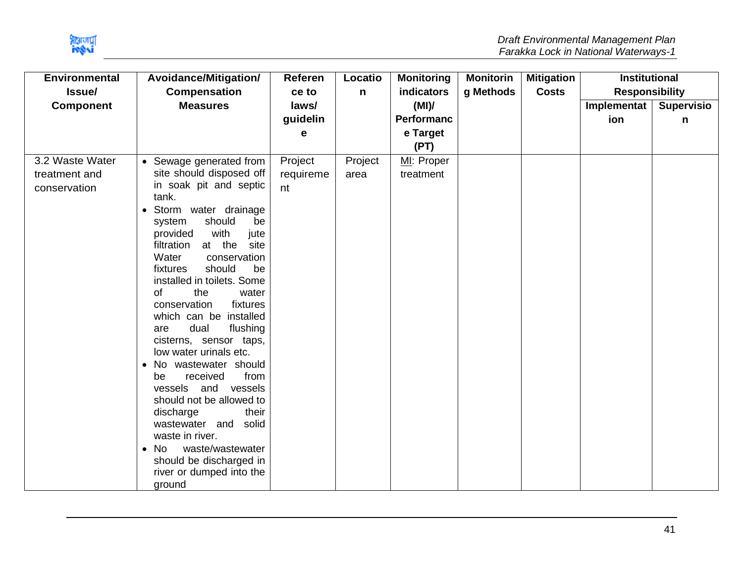

| <b>Environmental</b> | <b>Avoidance/Mitigation/</b>                                | Referen   | Locatio | <b>Monitoring</b> | <b>Monitorin</b> | <b>Mitigation</b> | <b>Institutional</b>  |                   |
|----------------------|-------------------------------------------------------------|-----------|---------|-------------------|------------------|-------------------|-----------------------|-------------------|
| Issue/               | <b>Compensation</b>                                         | ce to     | n       | <b>indicators</b> | g Methods        | <b>Costs</b>      | <b>Responsibility</b> |                   |
| <b>Component</b>     | <b>Measures</b>                                             | laws/     |         | (MI)              |                  |                   | Implementat           | <b>Supervisio</b> |
|                      |                                                             | guidelin  |         | <b>Performanc</b> |                  |                   | ion                   | n                 |
|                      |                                                             | е         |         | e Target          |                  |                   |                       |                   |
|                      |                                                             |           |         | (PT)              |                  |                   |                       |                   |
| 3.2 Waste Water      | • Sewage generated from                                     | Project   | Project | MI: Proper        |                  |                   |                       |                   |
| treatment and        | site should disposed off                                    | requireme | area    | treatment         |                  |                   |                       |                   |
| conservation         | in soak pit and septic                                      | nt        |         |                   |                  |                   |                       |                   |
|                      | tank.                                                       |           |         |                   |                  |                   |                       |                   |
|                      | Storm water drainage                                        |           |         |                   |                  |                   |                       |                   |
|                      | should<br>system<br>be                                      |           |         |                   |                  |                   |                       |                   |
|                      | with<br>provided<br>jute<br>at the<br>filtration<br>site    |           |         |                   |                  |                   |                       |                   |
|                      | Water<br>conservation                                       |           |         |                   |                  |                   |                       |                   |
|                      | should<br>fixtures<br>be                                    |           |         |                   |                  |                   |                       |                   |
|                      | installed in toilets. Some                                  |           |         |                   |                  |                   |                       |                   |
|                      | of<br>the<br>water                                          |           |         |                   |                  |                   |                       |                   |
|                      | conservation<br>fixtures                                    |           |         |                   |                  |                   |                       |                   |
|                      | which can be installed                                      |           |         |                   |                  |                   |                       |                   |
|                      | dual<br>flushing<br>are                                     |           |         |                   |                  |                   |                       |                   |
|                      | cisterns, sensor taps,                                      |           |         |                   |                  |                   |                       |                   |
|                      | low water urinals etc.                                      |           |         |                   |                  |                   |                       |                   |
|                      | No wastewater should<br>$\bullet$<br>received<br>from<br>be |           |         |                   |                  |                   |                       |                   |
|                      | vessels<br>and vessels                                      |           |         |                   |                  |                   |                       |                   |
|                      | should not be allowed to                                    |           |         |                   |                  |                   |                       |                   |
|                      | their<br>discharge                                          |           |         |                   |                  |                   |                       |                   |
|                      | wastewater and<br>solid                                     |           |         |                   |                  |                   |                       |                   |
|                      | waste in river.                                             |           |         |                   |                  |                   |                       |                   |
|                      | waste/wastewater<br>$\bullet$ No                            |           |         |                   |                  |                   |                       |                   |
|                      | should be discharged in                                     |           |         |                   |                  |                   |                       |                   |
|                      | river or dumped into the                                    |           |         |                   |                  |                   |                       |                   |
|                      | ground                                                      |           |         |                   |                  |                   |                       |                   |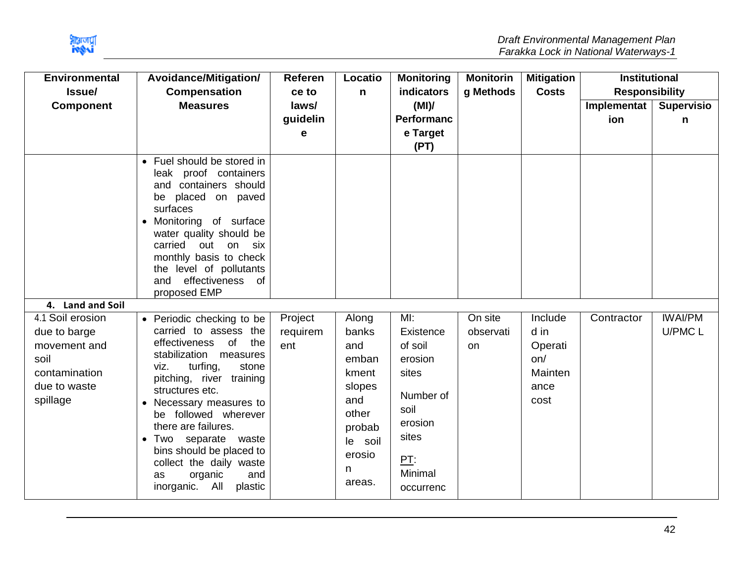

| <b>Environmental</b>                                                                                  | Avoidance/Mitigation/                                                                                                                                                                                                                                                                                                                                                                               | Referen                    | Locatio                                                                                                            | <b>Monitoring</b>                                                                                                | <b>Monitorin</b>                  | <b>Mitigation</b>                                            | <b>Institutional</b>  |                   |
|-------------------------------------------------------------------------------------------------------|-----------------------------------------------------------------------------------------------------------------------------------------------------------------------------------------------------------------------------------------------------------------------------------------------------------------------------------------------------------------------------------------------------|----------------------------|--------------------------------------------------------------------------------------------------------------------|------------------------------------------------------------------------------------------------------------------|-----------------------------------|--------------------------------------------------------------|-----------------------|-------------------|
| <b>Issue</b>                                                                                          | <b>Compensation</b>                                                                                                                                                                                                                                                                                                                                                                                 | ce to                      | n                                                                                                                  | <b>indicators</b>                                                                                                | g Methods                         | <b>Costs</b>                                                 | <b>Responsibility</b> |                   |
| <b>Component</b>                                                                                      | <b>Measures</b>                                                                                                                                                                                                                                                                                                                                                                                     | laws/                      |                                                                                                                    | (MI)                                                                                                             |                                   |                                                              | Implementat           | <b>Supervisio</b> |
|                                                                                                       |                                                                                                                                                                                                                                                                                                                                                                                                     | guidelin<br>е              |                                                                                                                    | Performanc<br>e Target<br>(PT)                                                                                   |                                   |                                                              | ion                   | n                 |
| 4. Land and Soil                                                                                      | • Fuel should be stored in<br>leak proof containers<br>and containers should<br>placed on paved<br>be<br>surfaces<br>• Monitoring of surface<br>water quality should be<br>carried<br>out on<br>six<br>monthly basis to check<br>the level of pollutants<br>effectiveness of<br>and<br>proposed EMP                                                                                                 |                            |                                                                                                                    |                                                                                                                  |                                   |                                                              |                       |                   |
|                                                                                                       |                                                                                                                                                                                                                                                                                                                                                                                                     |                            |                                                                                                                    | MI:                                                                                                              |                                   |                                                              |                       | <b>IWAI/PM</b>    |
| 4.1 Soil erosion<br>due to barge<br>movement and<br>soil<br>contamination<br>due to waste<br>spillage | • Periodic checking to be<br>carried to assess the<br>effectiveness<br>of<br>the<br>stabilization measures<br>turfing,<br>stone<br>viz.<br>pitching, river training<br>structures etc.<br>Necessary measures to<br>be followed wherever<br>there are failures.<br>Two separate waste<br>bins should be placed to<br>collect the daily waste<br>organic<br>and<br>as<br>All<br>inorganic.<br>plastic | Project<br>requirem<br>ent | Along<br>banks<br>and<br>emban<br>kment<br>slopes<br>and<br>other<br>probab<br>soil<br>le<br>erosio<br>n<br>areas. | Existence<br>of soil<br>erosion<br>sites<br>Number of<br>soil<br>erosion<br>sites<br>PT:<br>Minimal<br>occurrenc | On site<br>observati<br><b>on</b> | Include<br>d in<br>Operati<br>on/<br>Mainten<br>ance<br>cost | Contractor            | U/PMC L           |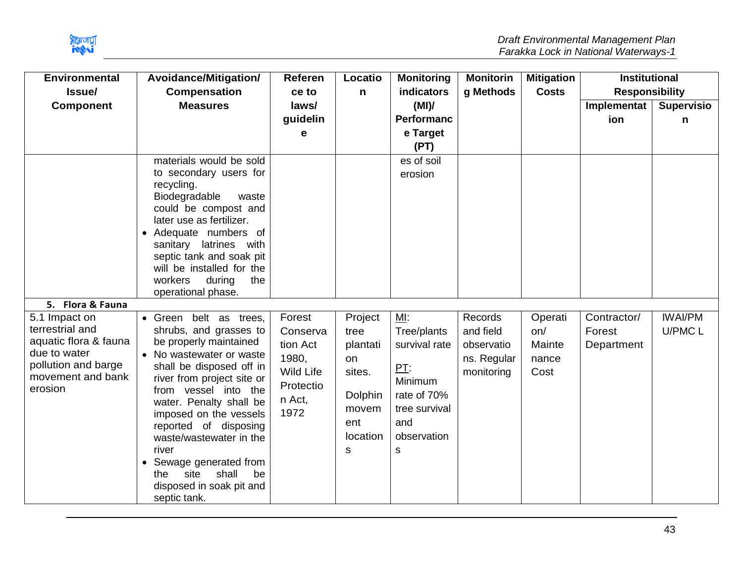

| <b>Environmental</b>                                                                                                             | Avoidance/Mitigation/                                                                                                                                                                                                                                                                                                                                                                                           | <b>Referen</b>                                                                             | Locatio                                                                                 | <b>Monitoring</b>                                                                                                | <b>Monitorin</b>                                                | <b>Mitigation</b>                         | <b>Institutional</b>                |                           |
|----------------------------------------------------------------------------------------------------------------------------------|-----------------------------------------------------------------------------------------------------------------------------------------------------------------------------------------------------------------------------------------------------------------------------------------------------------------------------------------------------------------------------------------------------------------|--------------------------------------------------------------------------------------------|-----------------------------------------------------------------------------------------|------------------------------------------------------------------------------------------------------------------|-----------------------------------------------------------------|-------------------------------------------|-------------------------------------|---------------------------|
| Issue/                                                                                                                           | <b>Compensation</b>                                                                                                                                                                                                                                                                                                                                                                                             | ce to                                                                                      | $\mathsf{n}$                                                                            | <b>indicators</b>                                                                                                | g Methods                                                       | <b>Costs</b>                              | <b>Responsibility</b>               |                           |
| <b>Component</b>                                                                                                                 | <b>Measures</b>                                                                                                                                                                                                                                                                                                                                                                                                 | laws/                                                                                      |                                                                                         | (MI)                                                                                                             |                                                                 |                                           | Implementat                         | <b>Supervisio</b>         |
|                                                                                                                                  |                                                                                                                                                                                                                                                                                                                                                                                                                 | guidelin                                                                                   |                                                                                         | <b>Performanc</b>                                                                                                |                                                                 |                                           | ion                                 | n                         |
|                                                                                                                                  |                                                                                                                                                                                                                                                                                                                                                                                                                 | e                                                                                          |                                                                                         | e Target                                                                                                         |                                                                 |                                           |                                     |                           |
|                                                                                                                                  |                                                                                                                                                                                                                                                                                                                                                                                                                 |                                                                                            |                                                                                         | (PT)                                                                                                             |                                                                 |                                           |                                     |                           |
|                                                                                                                                  | materials would be sold<br>to secondary users for<br>recycling.<br>Biodegradable<br>waste<br>could be compost and<br>later use as fertilizer.<br>• Adequate numbers of<br>sanitary latrines with<br>septic tank and soak pit<br>will be installed for the<br>workers<br>during<br>the                                                                                                                           |                                                                                            |                                                                                         | es of soil<br>erosion                                                                                            |                                                                 |                                           |                                     |                           |
| 5. Flora & Fauna                                                                                                                 | operational phase.                                                                                                                                                                                                                                                                                                                                                                                              |                                                                                            |                                                                                         |                                                                                                                  |                                                                 |                                           |                                     |                           |
| 5.1 Impact on<br>terrestrial and<br>aquatic flora & fauna<br>due to water<br>pollution and barge<br>movement and bank<br>erosion | • Green belt as trees,<br>shrubs, and grasses to<br>be properly maintained<br>• No wastewater or waste<br>shall be disposed off in<br>river from project site or<br>from vessel into the<br>water. Penalty shall be<br>imposed on the vessels<br>reported of disposing<br>waste/wastewater in the<br>river<br>• Sewage generated from<br>shall<br>site<br>be<br>the<br>disposed in soak pit and<br>septic tank. | Forest<br>Conserva<br>tion Act<br>1980,<br><b>Wild Life</b><br>Protectio<br>n Act,<br>1972 | Project<br>tree<br>plantati<br>on<br>sites.<br>Dolphin<br>movem<br>ent<br>location<br>s | MI:<br>Tree/plants<br>survival rate<br>PT:<br>Minimum<br>rate of 70%<br>tree survival<br>and<br>observation<br>s | Records<br>and field<br>observatio<br>ns. Regular<br>monitoring | Operati<br>on/<br>Mainte<br>nance<br>Cost | Contractor/<br>Forest<br>Department | <b>IWAI/PM</b><br>U/PMC L |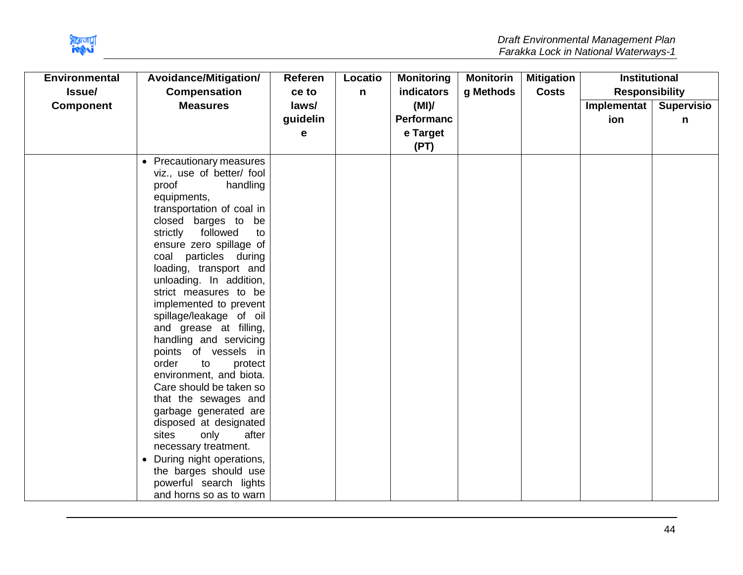

| <b>Environmental</b> | Avoidance/Mitigation/                            | Referen  | Locatio      | <b>Monitoring</b> | <b>Monitorin</b> | <b>Mitigation</b> | <b>Institutional</b>  |                   |
|----------------------|--------------------------------------------------|----------|--------------|-------------------|------------------|-------------------|-----------------------|-------------------|
| Issue/               | <b>Compensation</b>                              | ce to    | $\mathsf{n}$ | indicators        | g Methods        | <b>Costs</b>      | <b>Responsibility</b> |                   |
| <b>Component</b>     | <b>Measures</b>                                  | laws/    |              | (MI)              |                  |                   | Implementat           | <b>Supervisio</b> |
|                      |                                                  | guidelin |              | <b>Performanc</b> |                  |                   | ion                   | n                 |
|                      |                                                  | е        |              | e Target          |                  |                   |                       |                   |
|                      |                                                  |          |              | (PT)              |                  |                   |                       |                   |
|                      | • Precautionary measures                         |          |              |                   |                  |                   |                       |                   |
|                      | viz., use of better/ fool                        |          |              |                   |                  |                   |                       |                   |
|                      | proof<br>handling                                |          |              |                   |                  |                   |                       |                   |
|                      | equipments,                                      |          |              |                   |                  |                   |                       |                   |
|                      | transportation of coal in                        |          |              |                   |                  |                   |                       |                   |
|                      | closed barges to be                              |          |              |                   |                  |                   |                       |                   |
|                      | followed<br>strictly<br>to                       |          |              |                   |                  |                   |                       |                   |
|                      | ensure zero spillage of                          |          |              |                   |                  |                   |                       |                   |
|                      | particles during<br>coal                         |          |              |                   |                  |                   |                       |                   |
|                      | loading, transport and                           |          |              |                   |                  |                   |                       |                   |
|                      | unloading. In addition,<br>strict measures to be |          |              |                   |                  |                   |                       |                   |
|                      | implemented to prevent                           |          |              |                   |                  |                   |                       |                   |
|                      | spillage/leakage of oil                          |          |              |                   |                  |                   |                       |                   |
|                      | and grease at filling,                           |          |              |                   |                  |                   |                       |                   |
|                      | handling and servicing                           |          |              |                   |                  |                   |                       |                   |
|                      | points of vessels in                             |          |              |                   |                  |                   |                       |                   |
|                      | order<br>to<br>protect                           |          |              |                   |                  |                   |                       |                   |
|                      | environment, and biota.                          |          |              |                   |                  |                   |                       |                   |
|                      | Care should be taken so                          |          |              |                   |                  |                   |                       |                   |
|                      | that the sewages and                             |          |              |                   |                  |                   |                       |                   |
|                      | garbage generated are                            |          |              |                   |                  |                   |                       |                   |
|                      | disposed at designated                           |          |              |                   |                  |                   |                       |                   |
|                      | only<br>after<br>sites                           |          |              |                   |                  |                   |                       |                   |
|                      | necessary treatment.                             |          |              |                   |                  |                   |                       |                   |
|                      | During night operations,<br>$\bullet$            |          |              |                   |                  |                   |                       |                   |
|                      | the barges should use                            |          |              |                   |                  |                   |                       |                   |
|                      | powerful search lights                           |          |              |                   |                  |                   |                       |                   |
|                      | and horns so as to warn                          |          |              |                   |                  |                   |                       |                   |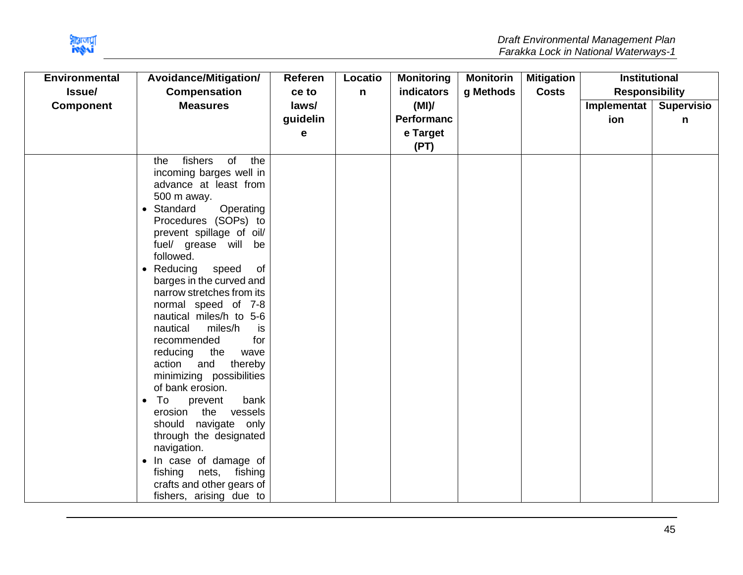

| Avoidance/Mitigation/                                                                                                                                                                                                                                                                                                                                                                                                                                                                                                                                                                                                                                                                                                              | Referen                                              | Locatio      | <b>Monitoring</b> | <b>Monitorin</b> | <b>Mitigation</b> |             |                                               |
|------------------------------------------------------------------------------------------------------------------------------------------------------------------------------------------------------------------------------------------------------------------------------------------------------------------------------------------------------------------------------------------------------------------------------------------------------------------------------------------------------------------------------------------------------------------------------------------------------------------------------------------------------------------------------------------------------------------------------------|------------------------------------------------------|--------------|-------------------|------------------|-------------------|-------------|-----------------------------------------------|
| Compensation                                                                                                                                                                                                                                                                                                                                                                                                                                                                                                                                                                                                                                                                                                                       | ce to                                                | $\mathsf{n}$ | indicators        | g Methods        | <b>Costs</b>      |             |                                               |
| <b>Measures</b>                                                                                                                                                                                                                                                                                                                                                                                                                                                                                                                                                                                                                                                                                                                    | laws/                                                |              | (MI)              |                  |                   | Implementat | <b>Supervisio</b>                             |
|                                                                                                                                                                                                                                                                                                                                                                                                                                                                                                                                                                                                                                                                                                                                    | guidelin                                             |              | <b>Performanc</b> |                  |                   | ion         | n                                             |
|                                                                                                                                                                                                                                                                                                                                                                                                                                                                                                                                                                                                                                                                                                                                    | е                                                    |              | e Target          |                  |                   |             |                                               |
|                                                                                                                                                                                                                                                                                                                                                                                                                                                                                                                                                                                                                                                                                                                                    |                                                      |              | (PT)              |                  |                   |             |                                               |
| of<br>fishers<br>the<br>the<br>incoming barges well in<br>advance at least from<br>500 m away.<br>Operating<br>Standard<br>$\bullet$<br>Procedures (SOPs) to<br>prevent spillage of oil/<br>fuel/ grease will<br>be<br>followed.<br>• Reducing<br>speed<br>of<br>barges in the curved and<br>narrow stretches from its<br>normal speed of 7-8<br>nautical miles/h to 5-6<br>miles/h<br>nautical<br>is<br>recommended<br>for<br>the<br>reducing<br>wave<br>and<br>action<br>thereby<br>minimizing possibilities<br>of bank erosion.<br>To<br>bank<br>prevent<br>$\bullet$<br>erosion<br>the<br>vessels<br>navigate only<br>should<br>through the designated<br>navigation.<br>• In case of damage of<br>nets,<br>fishing<br>fishing |                                                      |              |                   |                  |                   |             |                                               |
|                                                                                                                                                                                                                                                                                                                                                                                                                                                                                                                                                                                                                                                                                                                                    |                                                      |              |                   |                  |                   |             |                                               |
|                                                                                                                                                                                                                                                                                                                                                                                                                                                                                                                                                                                                                                                                                                                                    | crafts and other gears of<br>fishers, arising due to |              |                   |                  |                   |             | <b>Institutional</b><br><b>Responsibility</b> |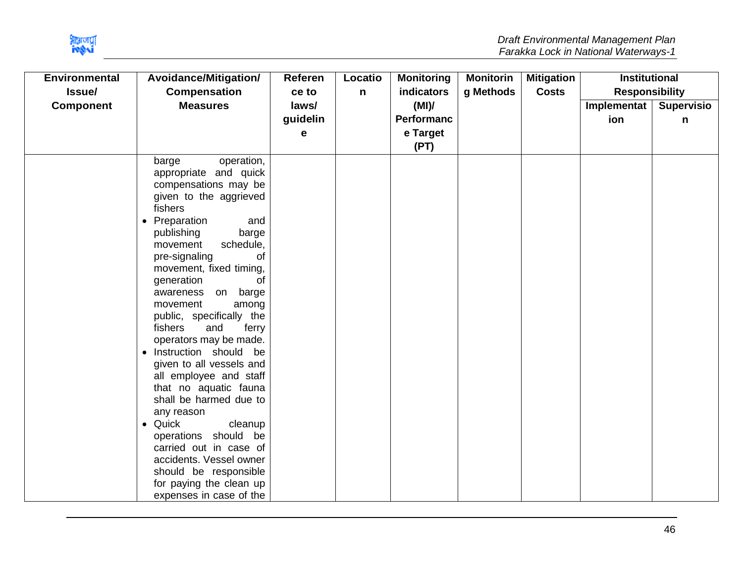

| <b>Environmental</b> | Avoidance/Mitigation/                                                                                                                                                                                                                                                                                                                                                                                                                                                                                                                                                                                                                                | Referen  | Locatio      | <b>Monitoring</b> | <b>Monitorin</b> | <b>Mitigation</b> | <b>Institutional</b>  |                   |
|----------------------|------------------------------------------------------------------------------------------------------------------------------------------------------------------------------------------------------------------------------------------------------------------------------------------------------------------------------------------------------------------------------------------------------------------------------------------------------------------------------------------------------------------------------------------------------------------------------------------------------------------------------------------------------|----------|--------------|-------------------|------------------|-------------------|-----------------------|-------------------|
| Issue/               | Compensation                                                                                                                                                                                                                                                                                                                                                                                                                                                                                                                                                                                                                                         | ce to    | $\mathsf{n}$ | indicators        | g Methods        | <b>Costs</b>      | <b>Responsibility</b> |                   |
| <b>Component</b>     | <b>Measures</b>                                                                                                                                                                                                                                                                                                                                                                                                                                                                                                                                                                                                                                      | laws/    |              | (MI)              |                  |                   | Implementat           | <b>Supervisio</b> |
|                      |                                                                                                                                                                                                                                                                                                                                                                                                                                                                                                                                                                                                                                                      | guidelin |              | <b>Performanc</b> |                  |                   | ion                   | n                 |
|                      |                                                                                                                                                                                                                                                                                                                                                                                                                                                                                                                                                                                                                                                      | е        |              | e Target          |                  |                   |                       |                   |
|                      |                                                                                                                                                                                                                                                                                                                                                                                                                                                                                                                                                                                                                                                      |          |              | (PT)              |                  |                   |                       |                   |
|                      | operation,<br>barge<br>appropriate and quick<br>compensations may be<br>given to the aggrieved<br>fishers<br>Preparation<br>and<br>$\bullet$<br>publishing<br>barge<br>movement<br>schedule,<br>pre-signaling<br>οf<br>movement, fixed timing,<br>generation<br>οf<br>barge<br>awareness<br>on<br>among<br>movement<br>public, specifically the<br>fishers<br>and<br>ferry<br>operators may be made.<br>Instruction should be<br>$\bullet$<br>given to all vessels and<br>all employee and staff<br>that no aquatic fauna<br>shall be harmed due to<br>any reason<br>Quick<br>cleanup<br>$\bullet$<br>operations should be<br>carried out in case of |          |              |                   |                  |                   |                       |                   |
|                      | accidents. Vessel owner                                                                                                                                                                                                                                                                                                                                                                                                                                                                                                                                                                                                                              |          |              |                   |                  |                   |                       |                   |
|                      | should be responsible<br>for paying the clean up                                                                                                                                                                                                                                                                                                                                                                                                                                                                                                                                                                                                     |          |              |                   |                  |                   |                       |                   |
|                      | expenses in case of the                                                                                                                                                                                                                                                                                                                                                                                                                                                                                                                                                                                                                              |          |              |                   |                  |                   |                       |                   |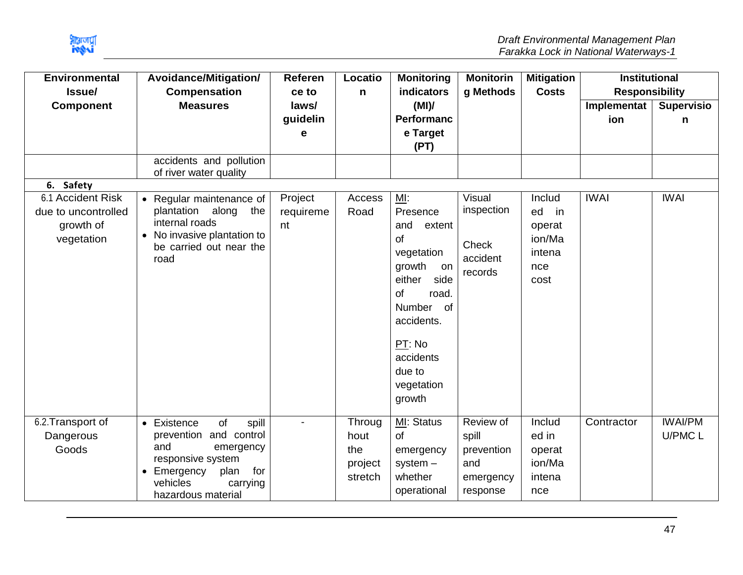

| <b>Environmental</b> | Avoidance/Mitigation/                             | Referen   | Locatio | <b>Monitoring</b>             | <b>Monitorin</b> | <b>Mitigation</b> | <b>Institutional</b>  |                   |
|----------------------|---------------------------------------------------|-----------|---------|-------------------------------|------------------|-------------------|-----------------------|-------------------|
| Issue/               | <b>Compensation</b>                               | ce to     | n       | indicators                    | g Methods        | <b>Costs</b>      | <b>Responsibility</b> |                   |
| <b>Component</b>     | <b>Measures</b>                                   | laws/     |         | (MI)                          |                  |                   | Implementat           | <b>Supervisio</b> |
|                      |                                                   | guidelin  |         | <b>Performanc</b>             |                  |                   | ion                   | n                 |
|                      |                                                   | е         |         | e Target<br>(PT)              |                  |                   |                       |                   |
|                      | accidents and pollution<br>of river water quality |           |         |                               |                  |                   |                       |                   |
| 6. Safety            |                                                   |           |         |                               |                  |                   |                       |                   |
| 6.1 Accident Risk    | • Regular maintenance of                          | Project   | Access  | ML:                           | Visual           | Includ            | <b>IWAI</b>           | <b>IWAI</b>       |
| due to uncontrolled  | plantation<br>along<br>the                        | requireme | Road    | Presence                      | inspection       | ed<br>in          |                       |                   |
| growth of            | internal roads<br>• No invasive plantation to     | nt        |         | and<br>extent                 |                  | operat            |                       |                   |
| vegetation           | be carried out near the                           |           |         | of                            | Check            | ion/Ma            |                       |                   |
|                      | road                                              |           |         | vegetation                    | accident         | intena            |                       |                   |
|                      |                                                   |           |         | growth<br>on                  | records          | nce               |                       |                   |
|                      |                                                   |           |         | side<br>either<br>of<br>road. |                  | cost              |                       |                   |
|                      |                                                   |           |         | Number<br>of                  |                  |                   |                       |                   |
|                      |                                                   |           |         | accidents.                    |                  |                   |                       |                   |
|                      |                                                   |           |         | PT: No                        |                  |                   |                       |                   |
|                      |                                                   |           |         | accidents                     |                  |                   |                       |                   |
|                      |                                                   |           |         | due to                        |                  |                   |                       |                   |
|                      |                                                   |           |         | vegetation                    |                  |                   |                       |                   |
|                      |                                                   |           |         | growth                        |                  |                   |                       |                   |
| 6.2. Transport of    | of<br>• Existence<br>spill                        |           | Throug  | MI: Status                    | Review of        | Includ            | Contractor            | <b>IWAI/PM</b>    |
| Dangerous            | prevention and control                            |           | hout    | $\mathsf{of}$                 | spill            | ed in             |                       | U/PMC L           |
| Goods                | and<br>emergency                                  |           | the     | emergency                     | prevention       | operat            |                       |                   |
|                      | responsive system                                 |           | project | $system -$                    | and              | ion/Ma            |                       |                   |
|                      | for<br>plan<br>Emergency                          |           | stretch | whether                       | emergency        | intena            |                       |                   |
|                      | vehicles<br>carrying                              |           |         | operational                   | response         | nce               |                       |                   |
|                      | hazardous material                                |           |         |                               |                  |                   |                       |                   |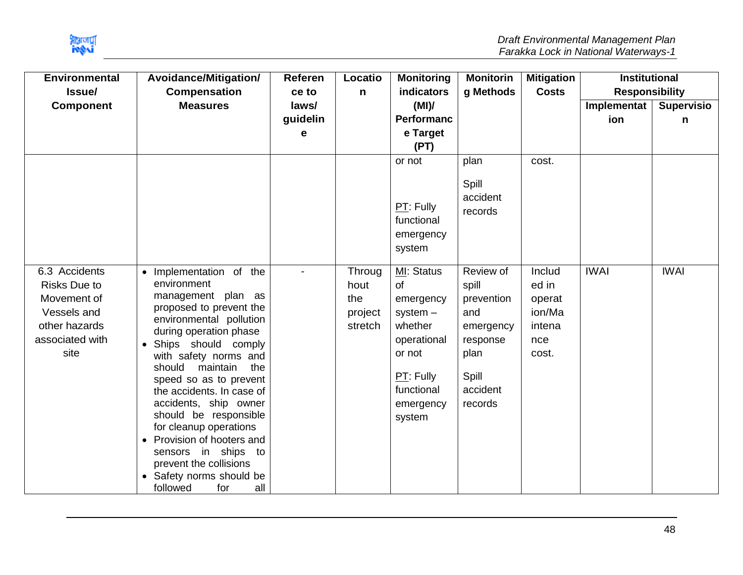

| <b>Environmental</b> | Avoidance/Mitigation/                             | <b>Referen</b> | Locatio | <b>Monitoring</b> | <b>Monitorin</b> | <b>Mitigation</b> | <b>Institutional</b>  |                   |
|----------------------|---------------------------------------------------|----------------|---------|-------------------|------------------|-------------------|-----------------------|-------------------|
| Issue/               | <b>Compensation</b>                               | ce to          | n       | indicators        | g Methods        | <b>Costs</b>      | <b>Responsibility</b> |                   |
| <b>Component</b>     | <b>Measures</b>                                   | laws/          |         | (MI)              |                  |                   | Implementat           | <b>Supervisio</b> |
|                      |                                                   | guidelin       |         | <b>Performanc</b> |                  |                   | ion                   | n                 |
|                      |                                                   | е              |         | e Target          |                  |                   |                       |                   |
|                      |                                                   |                |         | (PT)              |                  |                   |                       |                   |
|                      |                                                   |                |         | or not            | plan             | cost.             |                       |                   |
|                      |                                                   |                |         |                   | Spill            |                   |                       |                   |
|                      |                                                   |                |         |                   | accident         |                   |                       |                   |
|                      |                                                   |                |         | $PT:$ Fully       |                  |                   |                       |                   |
|                      |                                                   |                |         | functional        | records          |                   |                       |                   |
|                      |                                                   |                |         | emergency         |                  |                   |                       |                   |
|                      |                                                   |                |         | system            |                  |                   |                       |                   |
|                      |                                                   |                |         |                   |                  |                   |                       |                   |
| 6.3 Accidents        | • Implementation of the                           |                | Throug  | MI: Status        | Review of        | Includ            | <b>IWAI</b>           | <b>IWAI</b>       |
| <b>Risks Due to</b>  | environment                                       |                | hout    | <b>of</b>         | spill            | ed in             |                       |                   |
| Movement of          | management plan as                                |                | the     | emergency         | prevention       | operat            |                       |                   |
| Vessels and          | proposed to prevent the                           |                | project | $system -$        | and              | ion/Ma            |                       |                   |
| other hazards        | environmental pollution<br>during operation phase |                | stretch | whether           | emergency        | intena            |                       |                   |
| associated with      | Ships should comply<br>$\bullet$                  |                |         | operational       | response         | nce               |                       |                   |
| site                 | with safety norms and                             |                |         | or not            | plan             | cost.             |                       |                   |
|                      | should<br>maintain<br>the                         |                |         |                   |                  |                   |                       |                   |
|                      | speed so as to prevent                            |                |         | PT: Fully         | Spill            |                   |                       |                   |
|                      | the accidents. In case of                         |                |         | functional        | accident         |                   |                       |                   |
|                      | accidents, ship owner                             |                |         | emergency         | records          |                   |                       |                   |
|                      | should be responsible                             |                |         | system            |                  |                   |                       |                   |
|                      | for cleanup operations                            |                |         |                   |                  |                   |                       |                   |
|                      | Provision of hooters and                          |                |         |                   |                  |                   |                       |                   |
|                      | sensors in ships to<br>prevent the collisions     |                |         |                   |                  |                   |                       |                   |
|                      | • Safety norms should be                          |                |         |                   |                  |                   |                       |                   |
|                      | all<br>followed<br>for                            |                |         |                   |                  |                   |                       |                   |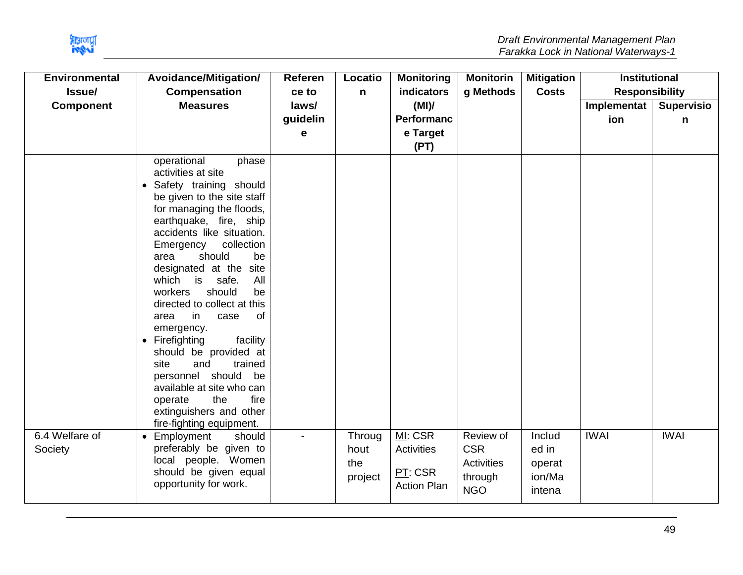

| <b>Environmental</b><br>Issue/ | Avoidance/Mitigation/<br><b>Compensation</b>                                                                                                                                                                                                                                                                                                                                                                                                                                                                                                                                                                                           | Referen<br>ce to       | Locatio<br>$\mathsf{n}$          | <b>Monitoring</b><br>indicators                        | <b>Monitorin</b><br>g Methods                                  | <b>Mitigation</b><br><b>Costs</b>             | <b>Institutional</b><br><b>Responsibility</b> |                        |
|--------------------------------|----------------------------------------------------------------------------------------------------------------------------------------------------------------------------------------------------------------------------------------------------------------------------------------------------------------------------------------------------------------------------------------------------------------------------------------------------------------------------------------------------------------------------------------------------------------------------------------------------------------------------------------|------------------------|----------------------------------|--------------------------------------------------------|----------------------------------------------------------------|-----------------------------------------------|-----------------------------------------------|------------------------|
| <b>Component</b>               | <b>Measures</b>                                                                                                                                                                                                                                                                                                                                                                                                                                                                                                                                                                                                                        | laws/<br>guidelin<br>е |                                  | (MI)<br><b>Performanc</b><br>e Target<br>(PT)          |                                                                |                                               | Implementat<br>ion                            | <b>Supervisio</b><br>n |
|                                | operational<br>phase<br>activities at site<br>Safety training should<br>be given to the site staff<br>for managing the floods,<br>earthquake, fire, ship<br>accidents like situation.<br>collection<br>Emergency<br>should<br>be<br>area<br>designated at the site<br>is<br>safe.<br>All<br>which<br>workers<br>should<br>be<br>directed to collect at this<br>0f<br>in<br>area<br>case<br>emergency.<br>Firefighting<br>facility<br>$\bullet$<br>should be provided at<br>site<br>and<br>trained<br>personnel should be<br>available at site who can<br>the<br>fire<br>operate<br>extinguishers and other<br>fire-fighting equipment. |                        |                                  |                                                        |                                                                |                                               |                                               |                        |
| 6.4 Welfare of<br>Society      | Employment<br>should<br>preferably be given to<br>local people. Women<br>should be given equal<br>opportunity for work.                                                                                                                                                                                                                                                                                                                                                                                                                                                                                                                |                        | Throug<br>hout<br>the<br>project | MI: CSR<br>Activities<br>PT: CSR<br><b>Action Plan</b> | Review of<br><b>CSR</b><br>Activities<br>through<br><b>NGO</b> | Includ<br>ed in<br>operat<br>ion/Ma<br>intena | <b>IWAI</b>                                   | <b>IWAI</b>            |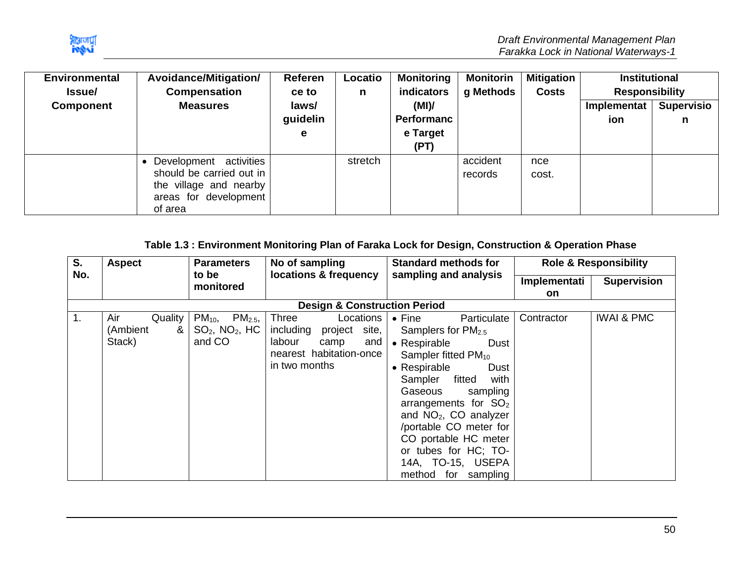

| <b>Environmental</b><br><b>Issue</b> | Avoidance/Mitigation/<br>Compensation                                                                            | <b>Referen</b><br>ce to | Locatio<br>n | <b>Monitoring</b><br><b>indicators</b> | <b>Monitorin</b><br>g Methods | Mitigation<br><b>Costs</b> | <b>Institutional</b><br><b>Responsibility</b> |                        |
|--------------------------------------|------------------------------------------------------------------------------------------------------------------|-------------------------|--------------|----------------------------------------|-------------------------------|----------------------------|-----------------------------------------------|------------------------|
| <b>Component</b>                     | <b>Measures</b>                                                                                                  | laws/<br>guidelin<br>е  |              | (MI)<br>Performanc<br>e Target<br>(PT) |                               |                            | Implementat<br>ion                            | <b>Supervisio</b><br>n |
|                                      | Development activities<br>should be carried out in<br>the village and nearby<br>areas for development<br>of area |                         | stretch      |                                        | accident<br>records           | nce<br>cost.               |                                               |                        |

# **Table 1.3 : Environment Monitoring Plan of Faraka Lock for Design, Construction & Operation Phase**

<span id="page-50-0"></span>

| S.               | <b>Aspect</b>                             | <b>Parameters</b>                                                 | No of sampling                                                                                                           | <b>Standard methods for</b>                                                                                                                                                                                                                                                                                                 |              | <b>Role &amp; Responsibility</b> |
|------------------|-------------------------------------------|-------------------------------------------------------------------|--------------------------------------------------------------------------------------------------------------------------|-----------------------------------------------------------------------------------------------------------------------------------------------------------------------------------------------------------------------------------------------------------------------------------------------------------------------------|--------------|----------------------------------|
| No.              |                                           | to be<br>monitored                                                | locations & frequency                                                                                                    | sampling and analysis                                                                                                                                                                                                                                                                                                       | Implementati | <b>Supervision</b>               |
|                  |                                           |                                                                   |                                                                                                                          |                                                                                                                                                                                                                                                                                                                             | <b>on</b>    |                                  |
|                  |                                           |                                                                   | <b>Design &amp; Construction Period</b>                                                                                  |                                                                                                                                                                                                                                                                                                                             |              |                                  |
| $\overline{1}$ . | Air<br>Quality<br>(Ambient<br>&<br>Stack) | $PM_{10}$<br>$PM_{2.5}$<br>$SO2$ , NO <sub>2</sub> , HC<br>and CO | Three<br>Locations<br>including<br>site,<br>project<br>labour<br>and<br>camp<br>nearest habitation-once<br>in two months | $\bullet$ Fine<br>Particulate<br>Samplers for $PM2.5$<br>• Respirable<br><b>Dust</b><br>Sampler fitted $PM_{10}$<br>• Respirable<br>Dust<br>fitted<br>with<br>Sampler<br>Gaseous<br>sampling<br>arrangements for $SO2$<br>and $NO2$ , CO analyzer<br>/portable CO meter for<br>CO portable HC meter<br>or tubes for HC; TO- | Contractor   | <b>IWAI &amp; PMC</b>            |
|                  |                                           |                                                                   |                                                                                                                          | 14A, TO-15, USEPA<br>method for<br>sampling                                                                                                                                                                                                                                                                                 |              |                                  |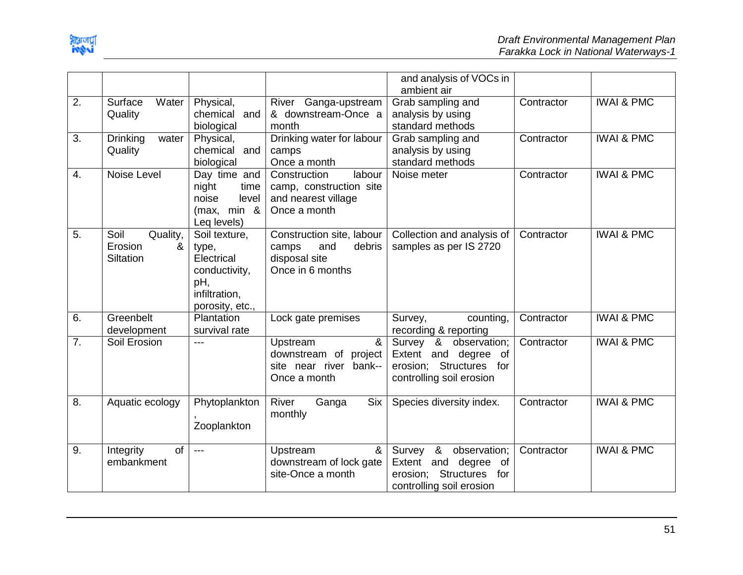

|    |                          |                 |                              | and analysis of VOCs in     |            |                       |
|----|--------------------------|-----------------|------------------------------|-----------------------------|------------|-----------------------|
|    |                          |                 |                              | ambient air                 |            |                       |
| 2. | Surface<br>Water         | Physical,       | River Ganga-upstream         | Grab sampling and           | Contractor | <b>IWAI &amp; PMC</b> |
|    | Quality                  | chemical and    | & downstream-Once a          | analysis by using           |            |                       |
|    |                          | biological      | month                        | standard methods            |            |                       |
| 3. | <b>Drinking</b><br>water | Physical,       | Drinking water for labour    | Grab sampling and           | Contractor | <b>IWAI &amp; PMC</b> |
|    | Quality                  | chemical<br>and | camps                        | analysis by using           |            |                       |
|    |                          | biological      | Once a month                 | standard methods            |            |                       |
| 4. | Noise Level              | Day time and    | labour<br>Construction       | Noise meter                 | Contractor | <b>IWAI &amp; PMC</b> |
|    |                          | night<br>time   | camp, construction site      |                             |            |                       |
|    |                          | noise<br>level  | and nearest village          |                             |            |                       |
|    |                          | (max, min $\&$  | Once a month                 |                             |            |                       |
|    |                          | Leq levels)     |                              |                             |            |                       |
| 5. | Soil<br>Quality,         | Soil texture,   | Construction site, labour    | Collection and analysis of  | Contractor | <b>IWAI &amp; PMC</b> |
|    | Erosion<br>&             | type,           | debris<br>camps<br>and       | samples as per IS 2720      |            |                       |
|    | Siltation                | Electrical      | disposal site                |                             |            |                       |
|    |                          | conductivity,   | Once in 6 months             |                             |            |                       |
|    |                          | pH,             |                              |                             |            |                       |
|    |                          | infiltration,   |                              |                             |            |                       |
|    |                          | porosity, etc., |                              |                             |            |                       |
| 6. | Greenbelt                | Plantation      | Lock gate premises           | Survey,<br>counting,        | Contractor | <b>IWAI &amp; PMC</b> |
|    | development              | survival rate   |                              | recording & reporting       |            |                       |
| 7. | Soil Erosion             | $---$           | &<br>Upstream                | Survey<br>&<br>observation; | Contractor | <b>IWAI &amp; PMC</b> |
|    |                          |                 | downstream of<br>project     | Extent and<br>degree of     |            |                       |
|    |                          |                 | site near river<br>bank--    | erosion; Structures for     |            |                       |
|    |                          |                 | Once a month                 | controlling soil erosion    |            |                       |
|    |                          |                 |                              |                             |            |                       |
| 8. | Aquatic ecology          | Phytoplankton   | River<br><b>Six</b><br>Ganga | Species diversity index.    | Contractor | <b>IWAI &amp; PMC</b> |
|    |                          |                 | monthly                      |                             |            |                       |
|    |                          | Zooplankton     |                              |                             |            |                       |
|    |                          |                 |                              |                             |            |                       |
| 9. | Integrity<br>of          | $---$           | Upstream<br>&                | &<br>observation;<br>Survey | Contractor | <b>IWAI &amp; PMC</b> |
|    | embankment               |                 | downstream of lock gate      | Extent and<br>degree<br>of  |            |                       |
|    |                          |                 | site-Once a month            | erosion; Structures<br>for  |            |                       |
|    |                          |                 |                              | controlling soil erosion    |            |                       |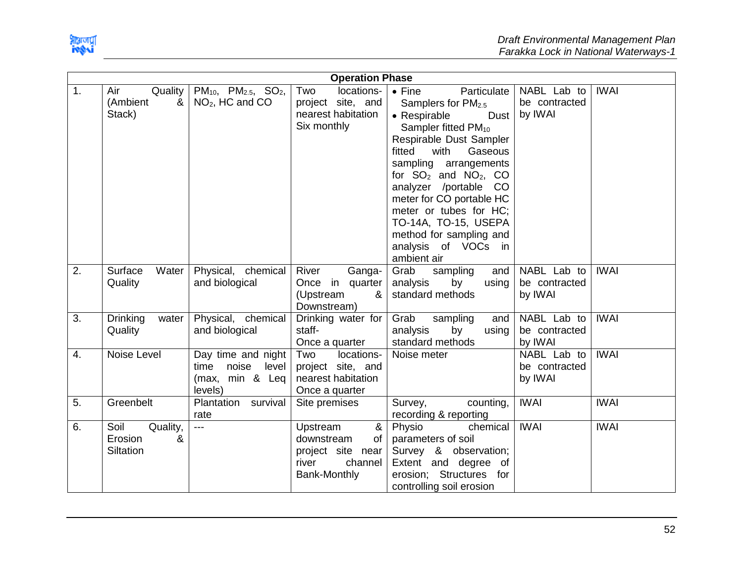

|                  |                                               |                                                                      | <b>Operation Phase</b>                                                                     |                                                                                                                                                                                                                                                                                                                                                                                                           |                                         |             |
|------------------|-----------------------------------------------|----------------------------------------------------------------------|--------------------------------------------------------------------------------------------|-----------------------------------------------------------------------------------------------------------------------------------------------------------------------------------------------------------------------------------------------------------------------------------------------------------------------------------------------------------------------------------------------------------|-----------------------------------------|-------------|
| 1.               | Air<br>Quality  <br>(Ambient<br>&<br>Stack)   | $PM_{10}$ , $PM_{2.5}$ , $SO_2$ ,<br>$NO2$ , HC and CO               | Two<br>locations-<br>project site, and<br>nearest habitation<br>Six monthly                | $\bullet$ Fine<br>Particulate<br>Samplers for $PM2.5$<br>Dust  <br>• Respirable<br>Sampler fitted PM <sub>10</sub><br>Respirable Dust Sampler<br>fitted<br>with<br>Gaseous<br>sampling arrangements<br>for $SO_2$ and $NO_2$ , CO<br>analyzer /portable CO<br>meter for CO portable HC<br>meter or tubes for HC;<br>TO-14A, TO-15, USEPA<br>method for sampling and<br>analysis of VOCs in<br>ambient air | NABL Lab to<br>be contracted<br>by IWAI | <b>IWAI</b> |
| 2.               | Surface<br>Water<br>Quality                   | Physical, chemical<br>and biological                                 | River<br>Ganga-<br>Once in quarter<br>(Upstream<br>&<br>Downstream)                        | Grab<br>sampling<br>and  <br>analysis<br>by<br>using<br>standard methods                                                                                                                                                                                                                                                                                                                                  | NABL Lab to<br>be contracted<br>by IWAI | <b>IWAI</b> |
| 3.               | <b>Drinking</b><br>water<br>Quality           | Physical, chemical<br>and biological                                 | Drinking water for<br>staff-<br>Once a quarter                                             | Grab<br>sampling<br>and<br>analysis<br>by<br>using<br>standard methods                                                                                                                                                                                                                                                                                                                                    | NABL Lab to<br>be contracted<br>by IWAI | <b>IWAI</b> |
| $\overline{4}$ . | Noise Level                                   | Day time and night<br>time noise level<br>(max, min & Leq<br>levels) | Two<br>locations-<br>project site, and<br>nearest habitation<br>Once a quarter             | Noise meter                                                                                                                                                                                                                                                                                                                                                                                               | NABL Lab to<br>be contracted<br>by IWAI | <b>IWAI</b> |
| 5.               | Greenbelt                                     | Plantation survival<br>rate                                          | Site premises                                                                              | counting,<br>Survey,<br>recording & reporting                                                                                                                                                                                                                                                                                                                                                             | <b>IWAI</b>                             | <b>IWAI</b> |
| 6.               | Soil<br>Quality,<br>&<br>Erosion<br>Siltation | $---$                                                                | &<br>Upstream<br>downstream<br>of<br>project site near<br>channel<br>river<br>Bank-Monthly | Physio<br>chemical<br>parameters of soil<br>Survey & observation;<br>Extent and degree of<br>erosion; Structures for<br>controlling soil erosion                                                                                                                                                                                                                                                          | <b>IWAI</b>                             | <b>IWAI</b> |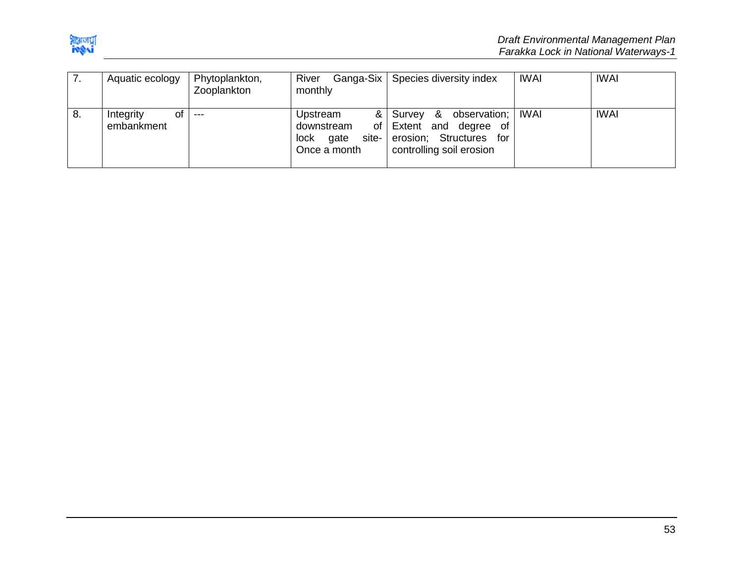

| $\prime$ . | Aquatic ecology               | Phytoplankton,<br>Zooplankton | Ganga-Six  <br>River<br>monthly                                     | Species diversity index                                                                                            | <b>IWAI</b> | <b>IWAI</b> |
|------------|-------------------------------|-------------------------------|---------------------------------------------------------------------|--------------------------------------------------------------------------------------------------------------------|-------------|-------------|
| 8.         | Integrity<br>οf<br>embankment | $---$                         | &<br>Upstream<br>of I<br>downstream<br>lock<br>gate<br>Once a month | &<br>observation;  <br>Survey<br>Extent and degree of<br>site- erosion; Structures for<br>controlling soil erosion | IWAI        | <b>IWAI</b> |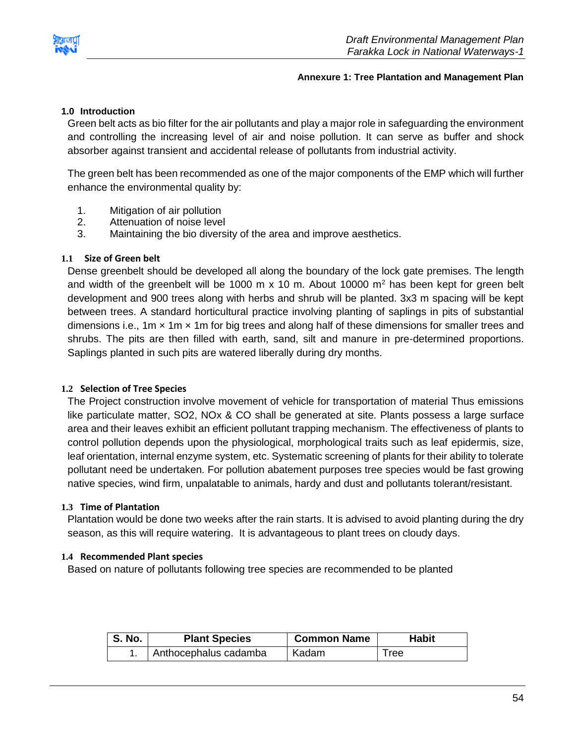

#### **Annexure 1: Tree Plantation and Management Plan**

### <span id="page-54-0"></span>**1.0 Introduction**

Green belt acts as bio filter for the air pollutants and play a major role in safeguarding the environment and controlling the increasing level of air and noise pollution. It can serve as buffer and shock absorber against transient and accidental release of pollutants from industrial activity.

The green belt has been recommended as one of the major components of the EMP which will further enhance the environmental quality by:

- 1. Mitigation of air pollution
- 2. Attenuation of noise level
- 3. Maintaining the bio diversity of the area and improve aesthetics.

#### **1.1 Size of Green belt**

Dense greenbelt should be developed all along the boundary of the lock gate premises. The length and width of the greenbelt will be 1000 m  $x$  10 m. About 10000 m<sup>2</sup> has been kept for green belt development and 900 trees along with herbs and shrub will be planted. 3x3 m spacing will be kept between trees. A standard horticultural practice involving planting of saplings in pits of substantial dimensions i.e., 1m  $\times$  1m  $\times$  1m for big trees and along half of these dimensions for smaller trees and shrubs. The pits are then filled with earth, sand, silt and manure in pre-determined proportions. Saplings planted in such pits are watered liberally during dry months.

#### **1.2 Selection of Tree Species**

The Project construction involve movement of vehicle for transportation of material Thus emissions like particulate matter, SO2, NOx & CO shall be generated at site. Plants possess a large surface area and their leaves exhibit an efficient pollutant trapping mechanism. The effectiveness of plants to control pollution depends upon the physiological, morphological traits such as leaf epidermis, size, leaf orientation, internal enzyme system, etc. Systematic screening of plants for their ability to tolerate pollutant need be undertaken. For pollution abatement purposes tree species would be fast growing native species, wind firm, unpalatable to animals, hardy and dust and pollutants tolerant/resistant.

#### **1.3 Time of Plantation**

Plantation would be done two weeks after the rain starts. It is advised to avoid planting during the dry season, as this will require watering. It is advantageous to plant trees on cloudy days.

#### **1.4 Recommended Plant species**

Based on nature of pollutants following tree species are recommended to be planted

| <b>S. No.</b> | <b>Plant Species</b>  | <b>Common Name</b> | Habit |
|---------------|-----------------------|--------------------|-------|
|               | Anthocephalus cadamba | Kadam              | I ree |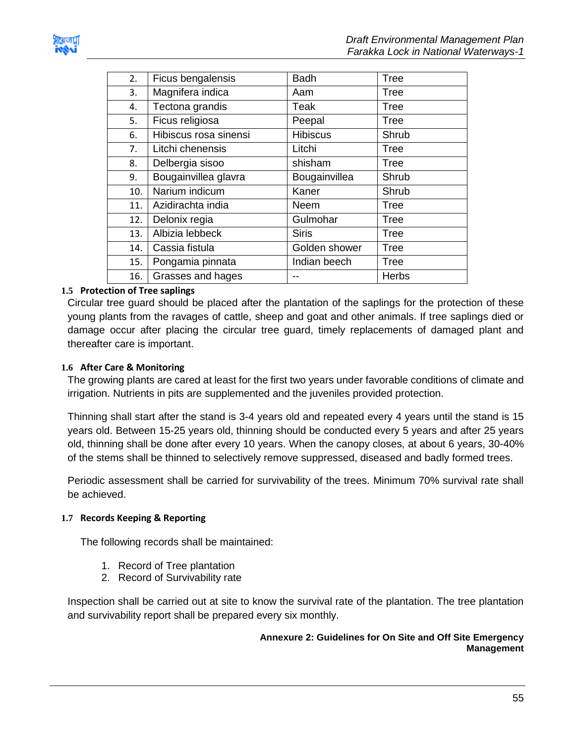

| 2.  | Ficus bengalensis     | <b>Badh</b>     | <b>Tree</b>  |
|-----|-----------------------|-----------------|--------------|
| 3.  | Magnifera indica      | Aam             | Tree         |
| 4.  | Tectona grandis       | Teak            | <b>Tree</b>  |
| 5.  | Ficus religiosa       | Peepal          | <b>Tree</b>  |
| 6.  | Hibiscus rosa sinensi | <b>Hibiscus</b> | Shrub        |
| 7.  | Litchi chenensis      | Litchi          | Tree         |
| 8.  | Delbergia sisoo       | shisham         | Tree         |
| 9.  | Bougainvillea glavra  | Bougainvillea   | Shrub        |
| 10. | Narium indicum        | Kaner           | Shrub        |
| 11. | Azidirachta india     | Neem            | Tree         |
| 12. | Delonix regia         | Gulmohar        | <b>Tree</b>  |
| 13. | Albizia lebbeck       | <b>Siris</b>    | <b>Tree</b>  |
| 14. | Cassia fistula        | Golden shower   | <b>Tree</b>  |
| 15. | Pongamia pinnata      | Indian beech    | Tree         |
| 16. | Grasses and hages     |                 | <b>Herbs</b> |
|     |                       |                 |              |

#### **1.5 Protection of Tree saplings**

Circular tree guard should be placed after the plantation of the saplings for the protection of these young plants from the ravages of cattle, sheep and goat and other animals. If tree saplings died or damage occur after placing the circular tree guard, timely replacements of damaged plant and thereafter care is important.

#### **1.6 After Care & Monitoring**

The growing plants are cared at least for the first two years under favorable conditions of climate and irrigation. Nutrients in pits are supplemented and the juveniles provided protection.

Thinning shall start after the stand is 3-4 years old and repeated every 4 years until the stand is 15 years old. Between 15-25 years old, thinning should be conducted every 5 years and after 25 years old, thinning shall be done after every 10 years. When the canopy closes, at about 6 years, 30-40% of the stems shall be thinned to selectively remove suppressed, diseased and badly formed trees.

Periodic assessment shall be carried for survivability of the trees. Minimum 70% survival rate shall be achieved.

#### **1.7 Records Keeping & Reporting**

The following records shall be maintained:

- 1. Record of Tree plantation
- 2. Record of Survivability rate

<span id="page-55-0"></span>Inspection shall be carried out at site to know the survival rate of the plantation. The tree plantation and survivability report shall be prepared every six monthly.

#### **Annexure 2: Guidelines for On Site and Off Site Emergency Management**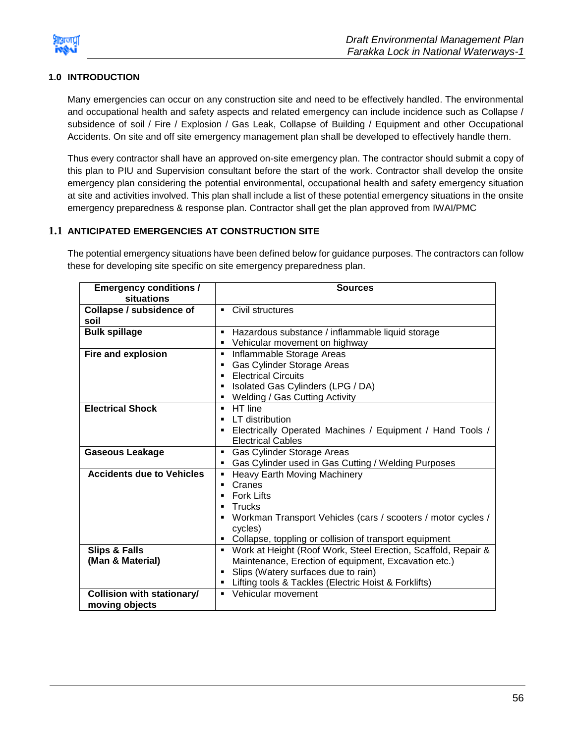

### **1.0 INTRODUCTION**

Many emergencies can occur on any construction site and need to be effectively handled. The environmental and occupational health and safety aspects and related emergency can include incidence such as Collapse / subsidence of soil / Fire / Explosion / Gas Leak, Collapse of Building / Equipment and other Occupational Accidents. On site and off site emergency management plan shall be developed to effectively handle them.

Thus every contractor shall have an approved on-site emergency plan. The contractor should submit a copy of this plan to PIU and Supervision consultant before the start of the work. Contractor shall develop the onsite emergency plan considering the potential environmental, occupational health and safety emergency situation at site and activities involved. This plan shall include a list of these potential emergency situations in the onsite emergency preparedness & response plan. Contractor shall get the plan approved from IWAI/PMC

#### **1.1 ANTICIPATED EMERGENCIES AT CONSTRUCTION SITE**

The potential emergency situations have been defined below for guidance purposes. The contractors can follow these for developing site specific on site emergency preparedness plan.

| <b>Emergency conditions /</b>     | <b>Sources</b>                                                     |
|-----------------------------------|--------------------------------------------------------------------|
| situations                        |                                                                    |
| <b>Collapse / subsidence of</b>   | Civil structures<br>$\blacksquare$                                 |
| soil                              |                                                                    |
| <b>Bulk spillage</b>              | Hazardous substance / inflammable liquid storage                   |
|                                   | Vehicular movement on highway<br>٠                                 |
| <b>Fire and explosion</b>         | Inflammable Storage Areas<br>$\blacksquare$                        |
|                                   | Gas Cylinder Storage Areas                                         |
|                                   | <b>Electrical Circuits</b>                                         |
|                                   | Isolated Gas Cylinders (LPG / DA)<br>٠                             |
|                                   | Welding / Gas Cutting Activity<br>٠                                |
| <b>Electrical Shock</b>           | HT line<br>٠                                                       |
|                                   | LT distribution                                                    |
|                                   | Electrically Operated Machines / Equipment / Hand Tools /<br>٠     |
|                                   | <b>Electrical Cables</b>                                           |
| <b>Gaseous Leakage</b>            | Gas Cylinder Storage Areas<br>٠                                    |
|                                   | Gas Cylinder used in Gas Cutting / Welding Purposes                |
| <b>Accidents due to Vehicles</b>  | <b>Heavy Earth Moving Machinery</b>                                |
|                                   | Cranes                                                             |
|                                   | <b>Fork Lifts</b><br>п                                             |
|                                   | Trucks                                                             |
|                                   | Workman Transport Vehicles (cars / scooters / motor cycles /<br>٠  |
|                                   | cycles)                                                            |
|                                   | Collapse, toppling or collision of transport equipment             |
| <b>Slips &amp; Falls</b>          | Work at Height (Roof Work, Steel Erection, Scaffold, Repair &<br>٠ |
| (Man & Material)                  | Maintenance, Erection of equipment, Excavation etc.)               |
|                                   | Slips (Watery surfaces due to rain)<br>٠                           |
|                                   | Lifting tools & Tackles (Electric Hoist & Forklifts)               |
| <b>Collision with stationary/</b> | Vehicular movement                                                 |
| moving objects                    |                                                                    |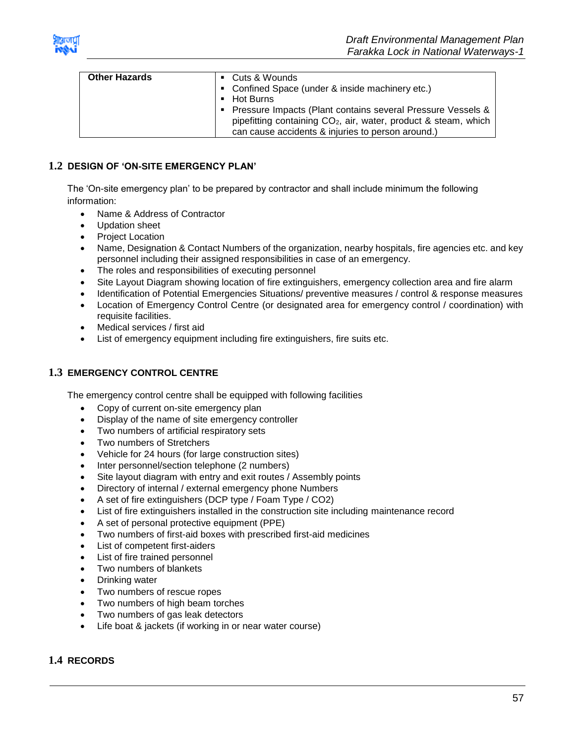

| can cause accidents & injuries to person around.) |
|---------------------------------------------------|
|---------------------------------------------------|

#### **1.2 DESIGN OF 'ON-SITE EMERGENCY PLAN'**

The 'On-site emergency plan' to be prepared by contractor and shall include minimum the following information:

- Name & Address of Contractor
- Updation sheet
- Project Location
- Name, Designation & Contact Numbers of the organization, nearby hospitals, fire agencies etc. and key personnel including their assigned responsibilities in case of an emergency.
- The roles and responsibilities of executing personnel
- Site Layout Diagram showing location of fire extinguishers, emergency collection area and fire alarm
- Identification of Potential Emergencies Situations/ preventive measures / control & response measures
- Location of Emergency Control Centre (or designated area for emergency control / coordination) with requisite facilities.
- Medical services / first aid
- List of emergency equipment including fire extinguishers, fire suits etc.

#### **1.3 EMERGENCY CONTROL CENTRE**

The emergency control centre shall be equipped with following facilities

- Copy of current on-site emergency plan
- Display of the name of site emergency controller
- Two numbers of artificial respiratory sets
- Two numbers of Stretchers
- Vehicle for 24 hours (for large construction sites)
- Inter personnel/section telephone (2 numbers)
- Site layout diagram with entry and exit routes / Assembly points
- Directory of internal / external emergency phone Numbers
- A set of fire extinguishers (DCP type / Foam Type / CO2)
- List of fire extinguishers installed in the construction site including maintenance record
- A set of personal protective equipment (PPE)
- Two numbers of first-aid boxes with prescribed first-aid medicines
- List of competent first-aiders
- List of fire trained personnel
- Two numbers of blankets
- Drinking water
- Two numbers of rescue ropes
- Two numbers of high beam torches
- Two numbers of gas leak detectors
- Life boat & jackets (if working in or near water course)

### **1.4 RECORDS**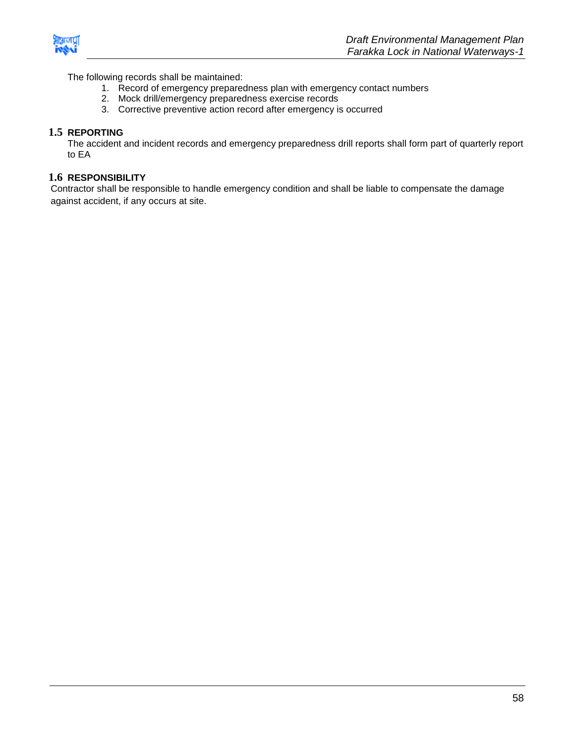

The following records shall be maintained:

- 1. Record of emergency preparedness plan with emergency contact numbers
- 2. Mock drill/emergency preparedness exercise records
- 3. Corrective preventive action record after emergency is occurred

#### **1.5 REPORTING**

The accident and incident records and emergency preparedness drill reports shall form part of quarterly report to EA

#### **1.6 RESPONSIBILITY**

Contractor shall be responsible to handle emergency condition and shall be liable to compensate the damage against accident, if any occurs at site.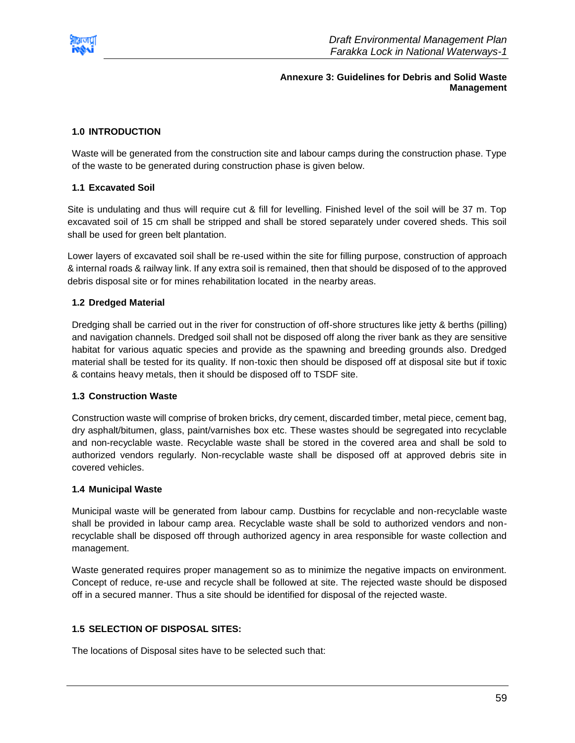<span id="page-59-0"></span>

#### **Annexure 3: Guidelines for Debris and Solid Waste Management**

#### **1.0 INTRODUCTION**

Waste will be generated from the construction site and labour camps during the construction phase. Type of the waste to be generated during construction phase is given below.

#### **1.1 Excavated Soil**

Site is undulating and thus will require cut & fill for levelling. Finished level of the soil will be 37 m. Top excavated soil of 15 cm shall be stripped and shall be stored separately under covered sheds. This soil shall be used for green belt plantation.

Lower layers of excavated soil shall be re-used within the site for filling purpose, construction of approach & internal roads & railway link. If any extra soil is remained, then that should be disposed of to the approved debris disposal site or for mines rehabilitation located in the nearby areas.

#### **1.2 Dredged Material**

Dredging shall be carried out in the river for construction of off-shore structures like jetty & berths (pilling) and navigation channels. Dredged soil shall not be disposed off along the river bank as they are sensitive habitat for various aquatic species and provide as the spawning and breeding grounds also. Dredged material shall be tested for its quality. If non-toxic then should be disposed off at disposal site but if toxic & contains heavy metals, then it should be disposed off to TSDF site.

#### **1.3 Construction Waste**

Construction waste will comprise of broken bricks, dry cement, discarded timber, metal piece, cement bag, dry asphalt/bitumen, glass, paint/varnishes box etc. These wastes should be segregated into recyclable and non-recyclable waste. Recyclable waste shall be stored in the covered area and shall be sold to authorized vendors regularly. Non-recyclable waste shall be disposed off at approved debris site in covered vehicles.

#### **1.4 Municipal Waste**

Municipal waste will be generated from labour camp. Dustbins for recyclable and non-recyclable waste shall be provided in labour camp area. Recyclable waste shall be sold to authorized vendors and nonrecyclable shall be disposed off through authorized agency in area responsible for waste collection and management.

Waste generated requires proper management so as to minimize the negative impacts on environment. Concept of reduce, re-use and recycle shall be followed at site. The rejected waste should be disposed off in a secured manner. Thus a site should be identified for disposal of the rejected waste.

#### **1.5 SELECTION OF DISPOSAL SITES:**

The locations of Disposal sites have to be selected such that: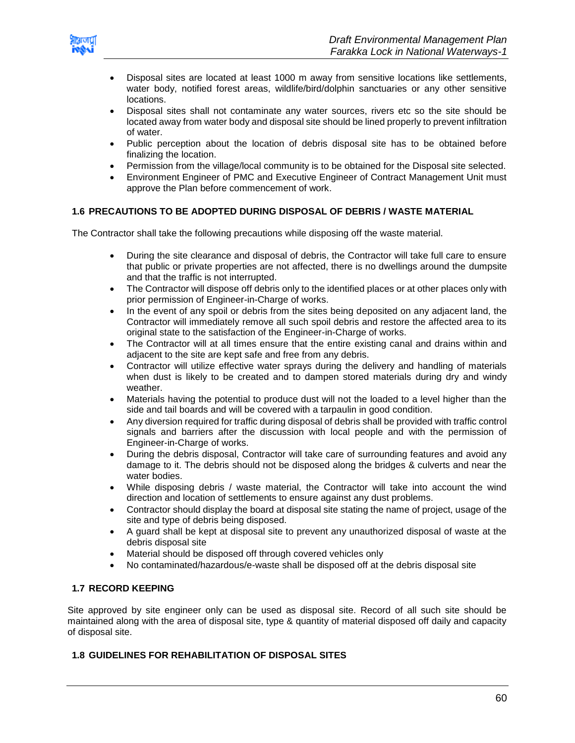

- Disposal sites are located at least 1000 m away from sensitive locations like settlements, water body, notified forest areas, wildlife/bird/dolphin sanctuaries or any other sensitive locations.
- Disposal sites shall not contaminate any water sources, rivers etc so the site should be located away from water body and disposal site should be lined properly to prevent infiltration of water.
- Public perception about the location of debris disposal site has to be obtained before finalizing the location.
- Permission from the village/local community is to be obtained for the Disposal site selected.
- Environment Engineer of PMC and Executive Engineer of Contract Management Unit must approve the Plan before commencement of work.

#### **1.6 PRECAUTIONS TO BE ADOPTED DURING DISPOSAL OF DEBRIS / WASTE MATERIAL**

The Contractor shall take the following precautions while disposing off the waste material.

- During the site clearance and disposal of debris, the Contractor will take full care to ensure that public or private properties are not affected, there is no dwellings around the dumpsite and that the traffic is not interrupted.
- The Contractor will dispose off debris only to the identified places or at other places only with prior permission of Engineer-in-Charge of works.
- In the event of any spoil or debris from the sites being deposited on any adjacent land, the Contractor will immediately remove all such spoil debris and restore the affected area to its original state to the satisfaction of the Engineer-in-Charge of works.
- The Contractor will at all times ensure that the entire existing canal and drains within and adjacent to the site are kept safe and free from any debris.
- Contractor will utilize effective water sprays during the delivery and handling of materials when dust is likely to be created and to dampen stored materials during dry and windy weather.
- Materials having the potential to produce dust will not the loaded to a level higher than the side and tail boards and will be covered with a tarpaulin in good condition.
- Any diversion required for traffic during disposal of debris shall be provided with traffic control signals and barriers after the discussion with local people and with the permission of Engineer-in-Charge of works.
- During the debris disposal, Contractor will take care of surrounding features and avoid any damage to it. The debris should not be disposed along the bridges & culverts and near the water bodies.
- While disposing debris / waste material, the Contractor will take into account the wind direction and location of settlements to ensure against any dust problems.
- Contractor should display the board at disposal site stating the name of project, usage of the site and type of debris being disposed.
- A guard shall be kept at disposal site to prevent any unauthorized disposal of waste at the debris disposal site
- Material should be disposed off through covered vehicles only
- No contaminated/hazardous/e-waste shall be disposed off at the debris disposal site

#### **1.7 RECORD KEEPING**

Site approved by site engineer only can be used as disposal site. Record of all such site should be maintained along with the area of disposal site, type & quantity of material disposed off daily and capacity of disposal site.

#### **1.8 GUIDELINES FOR REHABILITATION OF DISPOSAL SITES**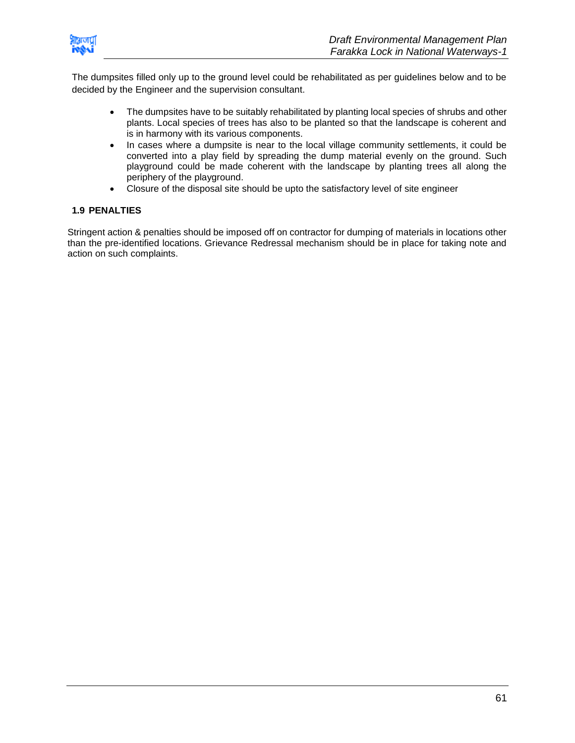

The dumpsites filled only up to the ground level could be rehabilitated as per guidelines below and to be decided by the Engineer and the supervision consultant.

- The dumpsites have to be suitably rehabilitated by planting local species of shrubs and other plants. Local species of trees has also to be planted so that the landscape is coherent and is in harmony with its various components.
- In cases where a dumpsite is near to the local village community settlements, it could be converted into a play field by spreading the dump material evenly on the ground. Such playground could be made coherent with the landscape by planting trees all along the periphery of the playground.
- Closure of the disposal site should be upto the satisfactory level of site engineer

#### **1.9 PENALTIES**

Stringent action & penalties should be imposed off on contractor for dumping of materials in locations other than the pre-identified locations. Grievance Redressal mechanism should be in place for taking note and action on such complaints.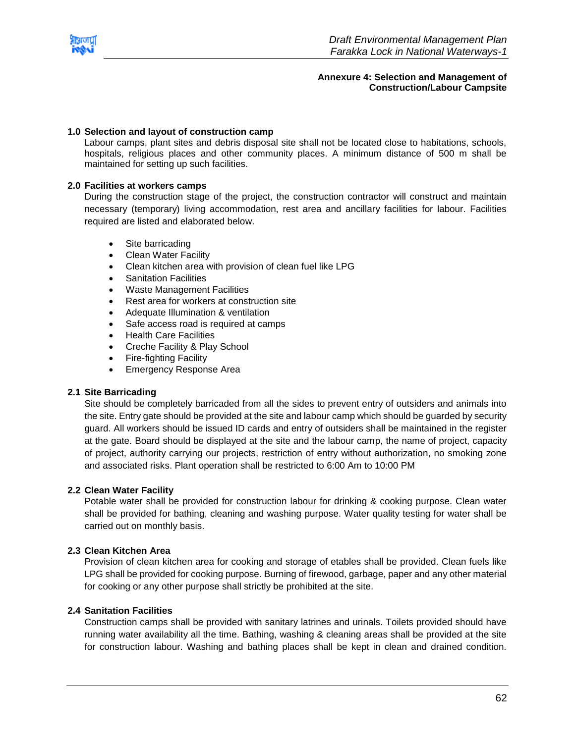<span id="page-62-0"></span>

#### **Annexure 4: Selection and Management of Construction/Labour Campsite**

#### **1.0 Selection and layout of construction camp**

Labour camps, plant sites and debris disposal site shall not be located close to habitations, schools, hospitals, religious places and other community places. A minimum distance of 500 m shall be maintained for setting up such facilities.

#### **2.0 Facilities at workers camps**

During the construction stage of the project, the construction contractor will construct and maintain necessary (temporary) living accommodation, rest area and ancillary facilities for labour. Facilities required are listed and elaborated below.

- Site barricading
- Clean Water Facility
- Clean kitchen area with provision of clean fuel like LPG
- Sanitation Facilities
- Waste Management Facilities
- Rest area for workers at construction site
- Adequate Illumination & ventilation
- Safe access road is required at camps
- Health Care Facilities
- Creche Facility & Play School
- Fire-fighting Facility
- Emergency Response Area

#### **2.1 Site Barricading**

Site should be completely barricaded from all the sides to prevent entry of outsiders and animals into the site. Entry gate should be provided at the site and labour camp which should be guarded by security guard. All workers should be issued ID cards and entry of outsiders shall be maintained in the register at the gate. Board should be displayed at the site and the labour camp, the name of project, capacity of project, authority carrying our projects, restriction of entry without authorization, no smoking zone and associated risks. Plant operation shall be restricted to 6:00 Am to 10:00 PM

#### **2.2 Clean Water Facility**

Potable water shall be provided for construction labour for drinking & cooking purpose. Clean water shall be provided for bathing, cleaning and washing purpose. Water quality testing for water shall be carried out on monthly basis.

#### **2.3 Clean Kitchen Area**

Provision of clean kitchen area for cooking and storage of etables shall be provided. Clean fuels like LPG shall be provided for cooking purpose. Burning of firewood, garbage, paper and any other material for cooking or any other purpose shall strictly be prohibited at the site.

#### **2.4 Sanitation Facilities**

Construction camps shall be provided with sanitary latrines and urinals. Toilets provided should have running water availability all the time. Bathing, washing & cleaning areas shall be provided at the site for construction labour. Washing and bathing places shall be kept in clean and drained condition.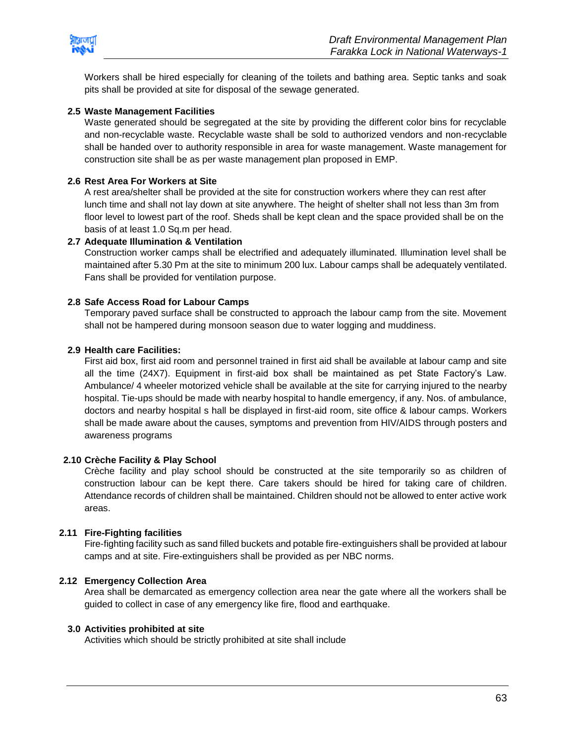

Workers shall be hired especially for cleaning of the toilets and bathing area. Septic tanks and soak pits shall be provided at site for disposal of the sewage generated.

#### **2.5 Waste Management Facilities**

Waste generated should be segregated at the site by providing the different color bins for recyclable and non-recyclable waste. Recyclable waste shall be sold to authorized vendors and non-recyclable shall be handed over to authority responsible in area for waste management. Waste management for construction site shall be as per waste management plan proposed in EMP.

#### **2.6 Rest Area For Workers at Site**

A rest area/shelter shall be provided at the site for construction workers where they can rest after lunch time and shall not lay down at site anywhere. The height of shelter shall not less than 3m from floor level to lowest part of the roof. Sheds shall be kept clean and the space provided shall be on the basis of at least 1.0 Sq.m per head.

#### **2.7 Adequate Illumination & Ventilation**

Construction worker camps shall be electrified and adequately illuminated. Illumination level shall be maintained after 5.30 Pm at the site to minimum 200 lux. Labour camps shall be adequately ventilated. Fans shall be provided for ventilation purpose.

#### **2.8 Safe Access Road for Labour Camps**

Temporary paved surface shall be constructed to approach the labour camp from the site. Movement shall not be hampered during monsoon season due to water logging and muddiness.

#### **2.9 Health care Facilities:**

First aid box, first aid room and personnel trained in first aid shall be available at labour camp and site all the time (24X7). Equipment in first-aid box shall be maintained as pet State Factory's Law. Ambulance/ 4 wheeler motorized vehicle shall be available at the site for carrying injured to the nearby hospital. Tie-ups should be made with nearby hospital to handle emergency, if any. Nos. of ambulance, doctors and nearby hospital s hall be displayed in first-aid room, site office & labour camps. Workers shall be made aware about the causes, symptoms and prevention from HIV/AIDS through posters and awareness programs

#### **2.10 Crèche Facility & Play School**

Crèche facility and play school should be constructed at the site temporarily so as children of construction labour can be kept there. Care takers should be hired for taking care of children. Attendance records of children shall be maintained. Children should not be allowed to enter active work areas.

#### **2.11 Fire-Fighting facilities**

Fire-fighting facility such as sand filled buckets and potable fire-extinguishers shall be provided at labour camps and at site. Fire-extinguishers shall be provided as per NBC norms.

#### **2.12 Emergency Collection Area**

Area shall be demarcated as emergency collection area near the gate where all the workers shall be guided to collect in case of any emergency like fire, flood and earthquake.

#### **3.0 Activities prohibited at site**

Activities which should be strictly prohibited at site shall include